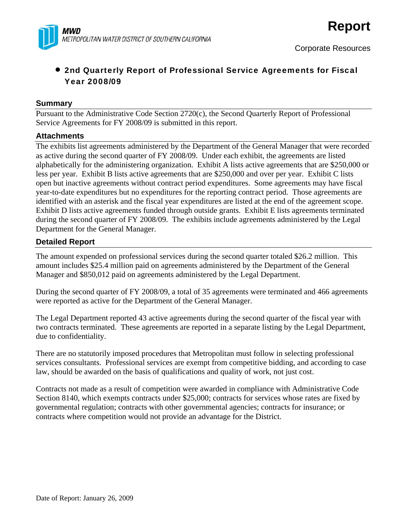

# • 2nd Quarterly Report of Professional Service Agreements for Fiscal Year 2008/09

#### **Summary**

Pursuant to the Administrative Code Section 2720(c), the Second Quarterly Report of Professional Service Agreements for FY 2008/09 is submitted in this report.

#### **Attachments**

The exhibits list agreements administered by the Department of the General Manager that were recorded as active during the second quarter of FY 2008/09. Under each exhibit, the agreements are listed alphabetically for the administering organization. Exhibit A lists active agreements that are \$250,000 or less per year. Exhibit B lists active agreements that are \$250,000 and over per year. Exhibit C lists open but inactive agreements without contract period expenditures. Some agreements may have fiscal year-to-date expenditures but no expenditures for the reporting contract period. Those agreements are identified with an asterisk and the fiscal year expenditures are listed at the end of the agreement scope. Exhibit D lists active agreements funded through outside grants. Exhibit E lists agreements terminated during the second quarter of FY 2008/09. The exhibits include agreements administered by the Legal Department for the General Manager.

### **Detailed Report**

The amount expended on professional services during the second quarter totaled \$26.2 million. This amount includes \$25.4 million paid on agreements administered by the Department of the General Manager and \$850,012 paid on agreements administered by the Legal Department.

During the second quarter of FY 2008/09, a total of 35 agreements were terminated and 466 agreements were reported as active for the Department of the General Manager.

The Legal Department reported 43 active agreements during the second quarter of the fiscal year with two contracts terminated. These agreements are reported in a separate listing by the Legal Department, due to confidentiality.

There are no statutorily imposed procedures that Metropolitan must follow in selecting professional services consultants. Professional services are exempt from competitive bidding, and according to case law, should be awarded on the basis of qualifications and quality of work, not just cost.

Contracts not made as a result of competition were awarded in compliance with Administrative Code Section 8140, which exempts contracts under \$25,000; contracts for services whose rates are fixed by governmental regulation; contracts with other governmental agencies; contracts for insurance; or contracts where competition would not provide an advantage for the District.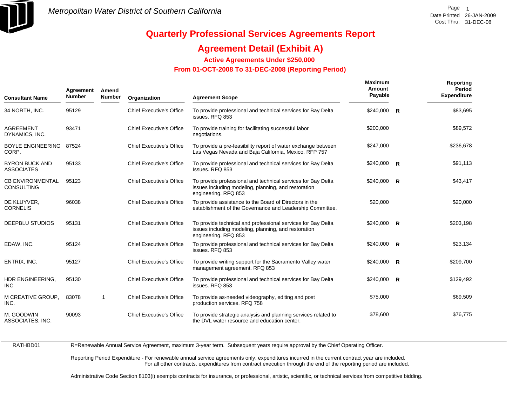

### **Agreement Detail (Exhibit A)**

**Active Agreements Under \$250,000** 

 **From 01-OCT-2008 To 31-DEC-2008 (Reporting Period)** 

| <b>Consultant Name</b>                       | Agreement<br><b>Number</b> | Amend<br><b>Number</b> | Organization                    | <b>Agreement Scope</b>                                                                                                                       | <b>Maximum</b><br>Amount<br>Payable | Reporting<br>Period<br><b>Expenditure</b> |
|----------------------------------------------|----------------------------|------------------------|---------------------------------|----------------------------------------------------------------------------------------------------------------------------------------------|-------------------------------------|-------------------------------------------|
| 34 NORTH, INC.                               | 95129                      |                        | <b>Chief Executive's Office</b> | To provide professional and technical services for Bay Delta<br>issues. RFQ 853                                                              | \$240,000 R                         | \$83,695                                  |
| <b>AGREEMENT</b><br>DYNAMICS, INC.           | 93471                      |                        | <b>Chief Executive's Office</b> | To provide training for facilitating successful labor<br>negotiations.                                                                       | \$200,000                           | \$89,572                                  |
| <b>BOYLE ENGINEERING</b><br>CORP.            | 87524                      |                        | <b>Chief Executive's Office</b> | To provide a pre-feasibility report of water exchange between<br>Las Vegas Nevada and Baja California, Mexico. RFP 757                       | \$247,000                           | \$236,678                                 |
| <b>BYRON BUCK AND</b><br><b>ASSOCIATES</b>   | 95133                      |                        | <b>Chief Executive's Office</b> | To provide professional and technical services for Bay Delta<br>Issues, RFQ 853                                                              | $$240,000$ R                        | \$91,113                                  |
| <b>CB ENVIRONMENTAL</b><br><b>CONSULTING</b> | 95123                      |                        | <b>Chief Executive's Office</b> | To provide professional and technical services for Bay Delta<br>issues including modeling, planning, and restoration<br>engineering. RFQ 853 | $$240,000$ R                        | \$43,417                                  |
| DE KLUYVER.<br><b>CORNELIS</b>               | 96038                      |                        | <b>Chief Executive's Office</b> | To provide assistance to the Board of Directors in the<br>establishment of the Governance and Leadership Committee.                          | \$20,000                            | \$20,000                                  |
| <b>DEEPBLU STUDIOS</b>                       | 95131                      |                        | <b>Chief Executive's Office</b> | To provide technical and professional services for Bay Delta<br>issues including modeling, planning, and restoration<br>engineering. RFQ 853 | \$240,000 R                         | \$203,198                                 |
| EDAW, INC.                                   | 95124                      |                        | <b>Chief Executive's Office</b> | To provide professional and technical services for Bay Delta<br>issues. RFQ 853                                                              | $$240,000$ R                        | \$23,134                                  |
| ENTRIX, INC.                                 | 95127                      |                        | <b>Chief Executive's Office</b> | To provide writing support for the Sacramento Valley water<br>management agreement. RFQ 853                                                  | $$240,000$ R                        | \$209,700                                 |
| HDR ENGINEERING,<br><b>INC</b>               | 95130                      |                        | Chief Executive's Office        | To provide professional and technical services for Bay Delta<br>issues, RFQ 853                                                              | $$240,000$ R                        | \$129,492                                 |
| M CREATIVE GROUP,<br>INC.                    | 83078                      | -1                     | <b>Chief Executive's Office</b> | To provide as-needed videography, editing and post<br>production services. RFQ 758                                                           | \$75,000                            | \$69,509                                  |
| M. GOODWIN<br>ASSOCIATES, INC.               | 90093                      |                        | <b>Chief Executive's Office</b> | To provide strategic analysis and planning services related to<br>the DVL water resource and education center.                               | \$78,600                            | \$76,775                                  |

RATHBD01

R=Renewable Annual Service Agreement, maximum 3-year term. Subsequent years require approval by the Chief Operating Officer.

Reporting Period Expenditure - For renewable annual service agreements only, expenditures incurred in the current contract year are included. For all other contracts, expenditures from contract execution through the end of the reporting period are included.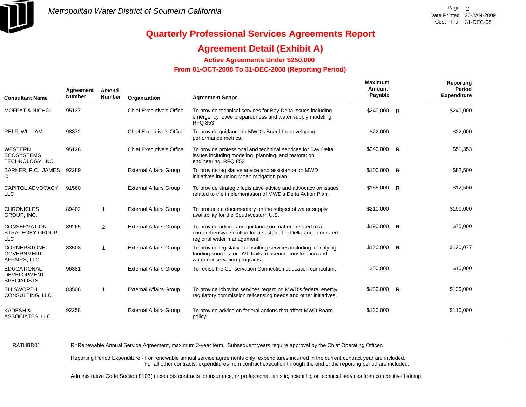

### **Agreement Detail (Exhibit A)**

**Active Agreements Under \$250,000** 

 **From 01-OCT-2008 To 31-DEC-2008 (Reporting Period)** 

| <b>Consultant Name</b>                                         | Agreement<br><b>Number</b> | Amend<br><b>Number</b> | Organization                    | <b>Agreement Scope</b>                                                                                                                                       | <b>Maximum</b><br>Amount<br>Payable | Reporting<br>Period<br><b>Expenditure</b> |
|----------------------------------------------------------------|----------------------------|------------------------|---------------------------------|--------------------------------------------------------------------------------------------------------------------------------------------------------------|-------------------------------------|-------------------------------------------|
| <b>MOFFAT &amp; NICHOL</b>                                     | 95137                      |                        | <b>Chief Executive's Office</b> | To provide technical services for Bay Delta issues including<br>emergency levee preparedness and water supply modeling.<br><b>RFQ 853</b>                    | \$240,000 R                         | \$240,000                                 |
| RELF, WILLIAM                                                  | 98872                      |                        | <b>Chief Executive's Office</b> | To provide guidance to MWD's Board for developing<br>performance metrics.                                                                                    | \$22,000                            | \$22,000                                  |
| <b>WESTERN</b><br><b>ECOSYSTEMS</b><br>TECHNOLOGY, INC.        | 95128                      |                        | <b>Chief Executive's Office</b> | To provide professional and technical services for Bay Delta<br>issues including modeling, planning, and restoration<br>engineering. RFQ 853                 | $$240,000$ R                        | \$51,353                                  |
| BARKER, P.C., JAMES<br>С.                                      | 92289                      |                        | <b>External Affairs Group</b>   | To provide legislative advice and assistance on MWD<br>initiatives including Moab mitigation plan.                                                           | $$100,000$ R                        | \$82,500                                  |
| CAPITOL ADVOCACY,<br><b>LLC</b>                                | 91560                      |                        | <b>External Affairs Group</b>   | To provide strategic legislative advice and advocacy on issues<br>related to the implementation of MWD's Delta Action Plan.                                  | $$155,000$ R                        | \$12,500                                  |
| <b>CHRONICLES</b><br>GROUP, INC.                               | 89402                      | $\overline{1}$         | <b>External Affairs Group</b>   | To produce a documentary on the subject of water supply<br>availability for the Southwestern U.S.                                                            | \$210,000                           | \$190,000                                 |
| <b>CONSERVATION</b><br>STRATEGEY GROUP,<br><b>LLC</b>          | 89265                      | 2                      | <b>External Affairs Group</b>   | To provide advice and guidance on matters related to a<br>comprehensive solution for a sustainable Delta and integrated<br>regional water management.        | $$190,000$ R                        | \$75,000                                  |
| <b>CORNERSTONE</b><br><b>GOVERNMENT</b><br>AFFAIRS, LLC        | 83508                      | $\mathbf{1}$           | <b>External Affairs Group</b>   | To provide legislative consulting services including identifying<br>funding sources for DVL trails, museum, construction and<br>water conservation programs. | $$130,000$ R                        | \$120,077                                 |
| <b>EDUCATIONAL</b><br><b>DEVELOPMENT</b><br><b>SPECIALISTS</b> | 96381                      |                        | <b>External Affairs Group</b>   | To revise the Conservation Connection education curriculum.                                                                                                  | \$50,000                            | \$10,000                                  |
| <b>ELLSWORTH</b><br>CONSULTING, LLC                            | 83506                      | $\mathbf{1}$           | <b>External Affairs Group</b>   | To provide lobbying services regarding MWD's federal energy<br>regulatory commission relicensing needs and other initiatives.                                | $$130,000$ R                        | \$120,000                                 |
| <b>KADESH &amp;</b><br><b>ASSOCIATES, LLC</b>                  | 92258                      |                        | <b>External Affairs Group</b>   | To provide advice on federal actions that affect MWD Board<br>policy.                                                                                        | \$130,000                           | \$110,000                                 |

RATHBD01

R=Renewable Annual Service Agreement, maximum 3-year term. Subsequent years require approval by the Chief Operating Officer.

Reporting Period Expenditure - For renewable annual service agreements only, expenditures incurred in the current contract year are included. For all other contracts, expenditures from contract execution through the end of the reporting period are included.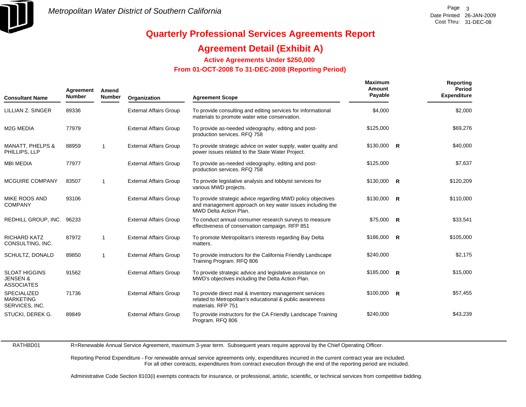

### **Agreement Detail (Exhibit A)**

**Active Agreements Under \$250,000** 

 **From 01-OCT-2008 To 31-DEC-2008 (Reporting Period)** 

| <b>Consultant Name</b>                                           | Agreement<br><b>Number</b> | Amend<br><b>Number</b> | Organization                  | <b>Agreement Scope</b>                                                                                                                                    | <b>Maximum</b><br>Amount<br>Payable | Reporting<br>Period<br><b>Expenditure</b> |
|------------------------------------------------------------------|----------------------------|------------------------|-------------------------------|-----------------------------------------------------------------------------------------------------------------------------------------------------------|-------------------------------------|-------------------------------------------|
| LILLIAN Z. SINGER                                                | 89336                      |                        | <b>External Affairs Group</b> | To provide consulting and editing services for informational<br>materials to promote water wise conservation.                                             | \$4,000                             | \$2,000                                   |
| M <sub>2</sub> G MEDIA                                           | 77979                      |                        | <b>External Affairs Group</b> | To provide as-needed videography, editing and post-<br>production services. RFQ 758                                                                       | \$125,000                           | \$69,276                                  |
| <b>MANATT, PHELPS &amp;</b><br>PHILLIPS, LLP                     | 88959                      | $\overline{1}$         | <b>External Affairs Group</b> | To provide strategic advice on water supply, water quality and<br>power issues related to the State Water Project.                                        | $$130,000$ R                        | \$40,000                                  |
| <b>MBI MEDIA</b>                                                 | 77977                      |                        | <b>External Affairs Group</b> | To provide as-needed videography, editing and post-<br>production services. RFQ 758                                                                       | \$125,000                           | \$7,637                                   |
| MCGUIRE COMPANY                                                  | 83507                      | $\overline{1}$         | <b>External Affairs Group</b> | To provide legislative analysis and lobbyist services for<br>various MWD projects.                                                                        | $$130,000$ R                        | \$120,209                                 |
| MIKE ROOS AND<br><b>COMPANY</b>                                  | 93106                      |                        | <b>External Affairs Group</b> | To provide strategic advice regarding MWD policy objectives<br>and management approach on key water issues including the<br><b>MWD Delta Action Plan.</b> | $$130,000$ R                        | \$110,000                                 |
| REDHILL GROUP, INC. 96233                                        |                            |                        | <b>External Affairs Group</b> | To conduct annual consumer research surveys to measure<br>effectiveness of conservation campaign. RFP 851                                                 | \$75,000 R                          | \$33,541                                  |
| <b>RICHARD KATZ</b><br>CONSULTING, INC.                          | 87972                      | $\overline{1}$         | <b>External Affairs Group</b> | To promote Metropolitan's interests regarding Bay Delta<br>matters.                                                                                       | $$186,000$ R                        | \$105,000                                 |
| SCHULTZ, DONALD                                                  | 89850                      | $\mathbf 1$            | <b>External Affairs Group</b> | To provide instructors for the California Friendly Landscape<br>Training Program. RFQ 806                                                                 | \$240,000                           | \$2,175                                   |
| <b>SLOAT HIGGINS</b><br><b>JENSEN &amp;</b><br><b>ASSOCIATES</b> | 91562                      |                        | <b>External Affairs Group</b> | To provide strategic advice and legislative assistance on<br>MWD's objectives including the Delta Action Plan.                                            | $$185,000$ R                        | \$15,000                                  |
| <b>SPECIALIZED</b><br><b>MARKETING</b><br>SERVICES, INC.         | 71736                      |                        | <b>External Affairs Group</b> | To provide direct mail & inventory management services<br>related to Metropolitan's educational & public awareness<br>materials, RFP 751                  | $$100,000$ R                        | \$57,455                                  |
| STUCKI, DEREK G.                                                 | 89849                      |                        | <b>External Affairs Group</b> | To provide instructors for the CA Friendly Landscape Training<br>Program. RFQ 806                                                                         | \$240,000                           | \$43,239                                  |

RATHBD01

R=Renewable Annual Service Agreement, maximum 3-year term. Subsequent years require approval by the Chief Operating Officer.

Reporting Period Expenditure - For renewable annual service agreements only, expenditures incurred in the current contract year are included. For all other contracts, expenditures from contract execution through the end of the reporting period are included.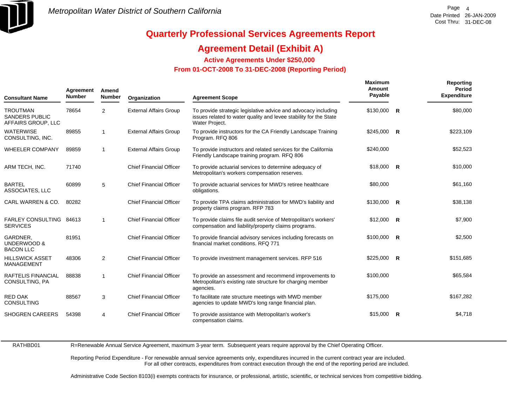

### **Agreement Detail (Exhibit A)**

**Active Agreements Under \$250,000** 

 **From 01-OCT-2008 To 31-DEC-2008 (Reporting Period)** 

| <b>Consultant Name</b>                                         | Agreement<br><b>Number</b> | Amend<br><b>Number</b> | Organization                   | <b>Agreement Scope</b>                                                                                                                                | <b>Maximum</b><br>Amount<br>Payable |   | Reporting<br>Period<br><b>Expenditure</b> |
|----------------------------------------------------------------|----------------------------|------------------------|--------------------------------|-------------------------------------------------------------------------------------------------------------------------------------------------------|-------------------------------------|---|-------------------------------------------|
| <b>TROUTMAN</b><br><b>SANDERS PUBLIC</b><br>AFFAIRS GROUP, LLC | 78654                      | $\overline{2}$         | <b>External Affairs Group</b>  | To provide strategic legislative advice and advocacy including<br>issues related to water quality and levee stability for the State<br>Water Project. | $$130,000$ R                        |   | \$80,000                                  |
| <b>WATERWISE</b><br>CONSULTING, INC.                           | 89855                      | $\mathbf{1}$           | <b>External Affairs Group</b>  | To provide instructors for the CA Friendly Landscape Training<br>Program. RFQ 806                                                                     | $$245,000$ R                        |   | \$223,109                                 |
| <b>WHEELER COMPANY</b>                                         | 89859                      | 1                      | <b>External Affairs Group</b>  | To provide instructors and related services for the California<br>Friendly Landscape training program. RFQ 806                                        | \$240,000                           |   | \$52,523                                  |
| ARM TECH, INC.                                                 | 71740                      |                        | <b>Chief Financial Officer</b> | To provide actuarial services to determine adequacy of<br>Metropolitan's workers compensation reserves.                                               | $$18,000$ R                         |   | \$10,000                                  |
| <b>BARTEL</b><br>ASSOCIATES, LLC                               | 60899                      | 5                      | <b>Chief Financial Officer</b> | To provide actuarial services for MWD's retiree healthcare<br>obligations.                                                                            | \$80,000                            |   | \$61,160                                  |
| CARL WARREN & CO.                                              | 80282                      |                        | <b>Chief Financial Officer</b> | To provide TPA claims administration for MWD's liability and<br>property claims program. RFP 783                                                      | $$130,000$ R                        |   | \$38,138                                  |
| FARLEY CONSULTING 84613<br><b>SERVICES</b>                     |                            | $\mathbf{1}$           | <b>Chief Financial Officer</b> | To provide claims file audit service of Metropolitan's workers'<br>compensation and liability/property claims programs.                               | $$12,000$ R                         |   | \$7,900                                   |
| GARDNER.<br>UNDERWOOD &<br><b>BACON LLC</b>                    | 81951                      |                        | <b>Chief Financial Officer</b> | To provide financial advisory services including forecasts on<br>financial market conditions, RFQ 771                                                 | $$100,000$ R                        |   | \$2,500                                   |
| <b>HILLSWICK ASSET</b><br><b>MANAGEMENT</b>                    | 48306                      | 2                      | <b>Chief Financial Officer</b> | To provide investment management services. RFP 516                                                                                                    | $$225,000$ R                        |   | \$151,685                                 |
| RAFTELIS FINANCIAL<br>CONSULTING, PA                           | 88838                      | $\mathbf{1}$           | <b>Chief Financial Officer</b> | To provide an assessment and recommend improvements to<br>Metropolitan's existing rate structure for charging member<br>agencies.                     | \$100,000                           |   | \$65,584                                  |
| <b>RED OAK</b><br><b>CONSULTING</b>                            | 88567                      | 3                      | <b>Chief Financial Officer</b> | To facilitate rate structure meetings with MWD member<br>agencies to update MWD's long range financial plan.                                          | \$175,000                           |   | \$167,282                                 |
| <b>SHOGREN CAREERS</b>                                         | 54398                      | 4                      | <b>Chief Financial Officer</b> | To provide assistance with Metropolitan's worker's<br>compensation claims.                                                                            | \$15.000                            | R | \$4,718                                   |

RATHBD01

R=Renewable Annual Service Agreement, maximum 3-year term. Subsequent years require approval by the Chief Operating Officer.

Reporting Period Expenditure - For renewable annual service agreements only, expenditures incurred in the current contract year are included. For all other contracts, expenditures from contract execution through the end of the reporting period are included.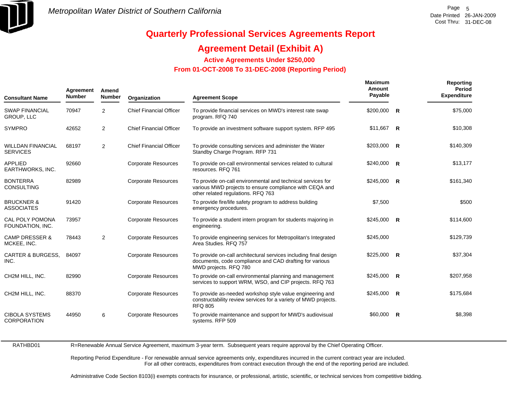

### **Agreement Detail (Exhibit A)**

**Active Agreements Under \$250,000** 

 **From 01-OCT-2008 To 31-DEC-2008 (Reporting Period)** 

| <b>Consultant Name</b>                      | Agreement<br><b>Number</b> | Amend<br><b>Number</b> | Organization                   | <b>Agreement Scope</b>                                                                                                                                       | <b>Maximum</b><br>Amount<br>Payable | Reporting<br>Period<br><b>Expenditure</b> |
|---------------------------------------------|----------------------------|------------------------|--------------------------------|--------------------------------------------------------------------------------------------------------------------------------------------------------------|-------------------------------------|-------------------------------------------|
| <b>SWAP FINANCIAL</b><br><b>GROUP, LLC</b>  | 70947                      | 2                      | <b>Chief Financial Officer</b> | To provide financial services on MWD's interest rate swap<br>program. RFQ 740                                                                                | $$200,000$ R                        | \$75,000                                  |
| <b>SYMPRO</b>                               | 42652                      | 2                      | <b>Chief Financial Officer</b> | To provide an investment software support system. RFP 495                                                                                                    | \$11,667 R                          | \$10,308                                  |
| <b>WILLDAN FINANCIAL</b><br><b>SERVICES</b> | 68197                      | $\overline{2}$         | <b>Chief Financial Officer</b> | To provide consulting services and administer the Water<br>Standby Charge Program. RFP 731                                                                   | $$203,000$ R                        | \$140,309                                 |
| <b>APPLIED</b><br>EARTHWORKS, INC.          | 92660                      |                        | <b>Corporate Resources</b>     | To provide on-call environmental services related to cultural<br>resources. RFQ 761                                                                          | $$240,000$ R                        | \$13,177                                  |
| <b>BONTERRA</b><br><b>CONSULTING</b>        | 82989                      |                        | <b>Corporate Resources</b>     | To provide on-call environmental and technical services for<br>various MWD projects to ensure compliance with CEQA and<br>other related regulations. RFQ 763 | $$245,000$ R                        | \$161,340                                 |
| <b>BRUCKNER &amp;</b><br><b>ASSOCIATES</b>  | 91420                      |                        | <b>Corporate Resources</b>     | To provide fire/life safety program to address building<br>emergency procedures.                                                                             | \$7,500                             | \$500                                     |
| CAL POLY POMONA<br>FOUNDATION, INC.         | 73957                      |                        | <b>Corporate Resources</b>     | To provide a student intern program for students majoring in<br>engineering.                                                                                 | $$245,000$ R                        | \$114,600                                 |
| <b>CAMP DRESSER &amp;</b><br>MCKEE, INC.    | 78443                      | $\overline{2}$         | <b>Corporate Resources</b>     | To provide engineering services for Metropolitan's Integrated<br>Area Studies, RFQ 757                                                                       | \$245,000                           | \$129,739                                 |
| <b>CARTER &amp; BURGESS,</b><br>INC.        | 84097                      |                        | <b>Corporate Resources</b>     | To provide on-call architectural services including final design<br>documents, code compliance and CAD drafting for various<br>MWD projects. RFQ 780         | $$225,000$ R                        | \$37,304                                  |
| CH2M HILL, INC.                             | 82990                      |                        | <b>Corporate Resources</b>     | To provide on-call environmental planning and management<br>services to support WRM, WSO, and CIP projects. RFQ 763                                          | $$245,000$ R                        | \$207,958                                 |
| CH2M HILL, INC.                             | 88370                      |                        | <b>Corporate Resources</b>     | To provide as-needed workshop style value engineering and<br>constructability review services for a variety of MWD projects.<br><b>RFQ 805</b>               | $$245,000$ R                        | \$175,684                                 |
| <b>CIBOLA SYSTEMS</b><br><b>CORPORATION</b> | 44950                      | 6                      | <b>Corporate Resources</b>     | To provide maintenance and support for MWD's audiovisual<br>systems. RFP 509                                                                                 | $$60,000$ R                         | \$8,398                                   |

RATHBD01

R=Renewable Annual Service Agreement, maximum 3-year term. Subsequent years require approval by the Chief Operating Officer.

Reporting Period Expenditure - For renewable annual service agreements only, expenditures incurred in the current contract year are included. For all other contracts, expenditures from contract execution through the end of the reporting period are included.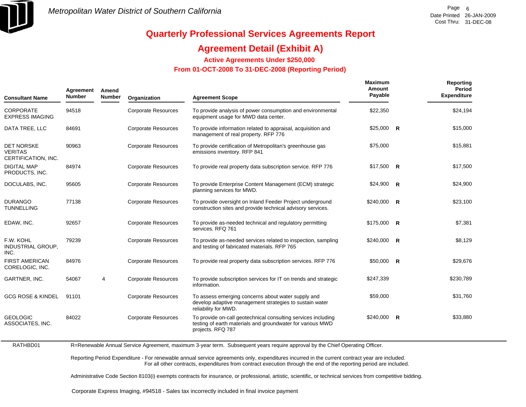

### **Agreement Detail (Exhibit A)**

**Active Agreements Under \$250,000** 

 **From 01-OCT-2008 To 31-DEC-2008 (Reporting Period)** 

| <b>Consultant Name</b>                                     | Agreement<br><b>Number</b> | Amend<br><b>Number</b> | Organization               | <b>Agreement Scope</b>                                                                                                                           | <b>Maximum</b><br>Amount<br>Payable |                | Reporting<br>Period<br><b>Expenditure</b> |
|------------------------------------------------------------|----------------------------|------------------------|----------------------------|--------------------------------------------------------------------------------------------------------------------------------------------------|-------------------------------------|----------------|-------------------------------------------|
| <b>CORPORATE</b><br><b>EXPRESS IMAGING</b>                 | 94518                      |                        | <b>Corporate Resources</b> | To provide analysis of power consumption and environmental<br>equipment usage for MWD data center.                                               | \$22,350                            |                | \$24,194                                  |
| DATA TREE, LLC                                             | 84691                      |                        | <b>Corporate Resources</b> | To provide information related to appraisal, acquisition and<br>management of real property. RFP 776                                             | $$25,000$ R                         |                | \$15,000                                  |
| <b>DET NORSKE</b><br><b>VERITAS</b><br>CERTIFICATION, INC. | 90963                      |                        | <b>Corporate Resources</b> | To provide certification of Metropolitan's greenhouse gas<br>emissions inventory. RFP 841                                                        | \$75,000                            |                | \$15,881                                  |
| <b>DIGITAL MAP</b><br>PRODUCTS, INC.                       | 84974                      |                        | <b>Corporate Resources</b> | To provide real property data subscription service. RFP 776                                                                                      | $$17,500$ R                         |                | \$17,500                                  |
| DOCULABS, INC.                                             | 95605                      |                        | <b>Corporate Resources</b> | To provide Enterprise Content Management (ECM) strategic<br>planning services for MWD.                                                           | \$24,900                            | - R            | \$24,900                                  |
| <b>DURANGO</b><br><b>TUNNELLING</b>                        | 77138                      |                        | <b>Corporate Resources</b> | To provide oversight on Inland Feeder Project underground<br>construction sites and provide technical advisory services.                         | \$240,000                           | $\overline{R}$ | \$23,100                                  |
| EDAW, INC.                                                 | 92657                      |                        | <b>Corporate Resources</b> | To provide as-needed technical and regulatory permitting<br>services, RFQ 761                                                                    | $$175,000$ R                        |                | \$7,381                                   |
| F.W. KOHL<br>INDUSTRIAL GROUP,<br>INC.                     | 79239                      |                        | <b>Corporate Resources</b> | To provide as-needed services related to inspection, sampling<br>and testing of fabricated materials. RFP 765                                    | \$240,000                           | R              | \$8,129                                   |
| <b>FIRST AMERICAN</b><br>CORELOGIC, INC.                   | 84976                      |                        | <b>Corporate Resources</b> | To provide real property data subscription services. RFP 776                                                                                     | $$50,000$ R                         |                | \$29,676                                  |
| GARTNER, INC.                                              | 54067                      | 4                      | <b>Corporate Resources</b> | To provide subscription services for IT on trends and strategic<br>information.                                                                  | \$247,339                           |                | \$230,789                                 |
| <b>GCG ROSE &amp; KINDEL</b>                               | 91101                      |                        | <b>Corporate Resources</b> | To assess emerging concerns about water supply and<br>develop adaptive management strategies to sustain water<br>reliability for MWD.            | \$59,000                            |                | \$31,760                                  |
| <b>GEOLOGIC</b><br>ASSOCIATES, INC.                        | 84022                      |                        | <b>Corporate Resources</b> | To provide on-call geotechnical consulting services including<br>testing of earth materials and groundwater for various MWD<br>projects. RFQ 787 | \$240,000                           | $\overline{R}$ | \$33,880                                  |

RATHBD01R=Renewable Annual Service Agreement, maximum 3-year term. Subsequent years require approval by the Chief Operating Officer.

> Reporting Period Expenditure - For renewable annual service agreements only, expenditures incurred in the current contract year are included. For all other contracts, expenditures from contract execution through the end of the reporting period are included.

Administrative Code Section 8103(i) exempts contracts for insurance, or professional, artistic, scientific, or technical services from competitive bidding.

Corporate Express Imaging, #94518 - Sales tax incorrectly included in final invoice payment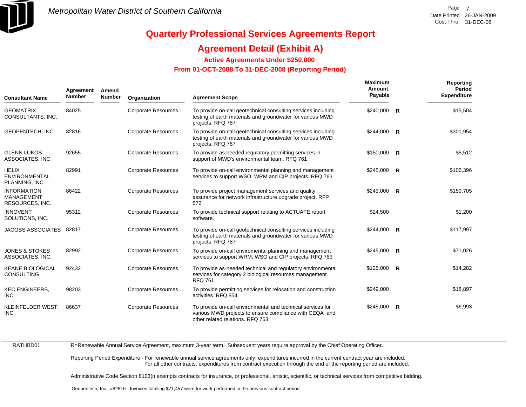

### **Agreement Detail (Exhibit A)**

**Active Agreements Under \$250,000** 

 **From 01-OCT-2008 To 31-DEC-2008 (Reporting Period)** 

| <b>Consultant Name</b>                                     | Agreement<br><b>Number</b> | Amend<br><b>Number</b> | Organization               | <b>Agreement Scope</b>                                                                                                                                     | <b>Maximum</b><br>Amount<br>Payable | Reporting<br>Period<br><b>Expenditure</b> |
|------------------------------------------------------------|----------------------------|------------------------|----------------------------|------------------------------------------------------------------------------------------------------------------------------------------------------------|-------------------------------------|-------------------------------------------|
| <b>GEOMATRIX</b><br>CONSULTANTS, INC.                      | 84025                      |                        | <b>Corporate Resources</b> | To provide on-call geotechnical consulting services including<br>testing of earth materials and groundwater for various MWD<br>projects. RFQ 787           | $$240,000$ R                        | \$15,504                                  |
| <b>GEOPENTECH. INC.</b>                                    | 82816                      |                        | <b>Corporate Resources</b> | To provide on-call geotechnical consulting services including<br>testing of earth materials and groundwater for various MWD<br>projects. RFQ 787           | $$244,000$ R                        | \$301,954                                 |
| <b>GLENN LUKOS</b><br>ASSOCIATES, INC.                     | 92655                      |                        | <b>Corporate Resources</b> | To provide as-needed regulatory permitting services in<br>support of MWD's environmental team. RFQ 761                                                     | $$150,000$ R                        | \$5,512                                   |
| <b>HELIX</b><br><b>ENVIRONMENTAL</b><br>PLANNING, INC.     | 82991                      |                        | <b>Corporate Resources</b> | To provide on-call environmental planning and management<br>services to support WSO, WRM and CIP projects. RFQ 763                                         | $$245,000$ R                        | \$106,396                                 |
| <b>INFORMATION</b><br><b>MANAGEMENT</b><br>RESOURCES, INC. | 86422                      |                        | <b>Corporate Resources</b> | To provide project management services and quality<br>assurance for network infrastructure upgrade project. RFP<br>572                                     | $$243,000$ R                        | \$159,705                                 |
| <b>INNOVENT</b><br>SOLUTIONS, INC.                         | 95312                      |                        | <b>Corporate Resources</b> | To provide technical support relating to ACTUATE report<br>software.                                                                                       | \$24,500                            | \$1,200                                   |
| <b>JACOBS ASSOCIATES</b>                                   | 82817                      |                        | <b>Corporate Resources</b> | To provide on-call geotechnical consulting services including<br>testing of earth materials and groundwater for various MWD<br>projects. RFQ 787           | $$244,000$ R                        | \$117,997                                 |
| <b>JONES &amp; STOKES</b><br>ASSOCIATES, INC.              | 82992                      |                        | <b>Corporate Resources</b> | To provide on-call enviromental planning and management<br>services to support WRM, WSO and CIP projects. RFQ 763                                          | \$245,000 R                         | \$71,026                                  |
| <b>KEANE BIOLOGICAL</b><br><b>CONSULTING</b>               | 92432                      |                        | <b>Corporate Resources</b> | To provide as-needed technical and regulatory environmental<br>services for category 2 biological resources management.<br><b>RFQ 761</b>                  | $$125,000$ R                        | \$14,282                                  |
| <b>KEC ENGINEERS,</b><br>INC.                              | 98203                      |                        | <b>Corporate Resources</b> | To provide permitting services for relocation and construction<br>activities. RFQ 854                                                                      | \$249,000                           | \$18,897                                  |
| KLEINFELDER WEST,<br>INC.                                  | 86637                      |                        | <b>Corporate Resources</b> | To provide on-call environmental and technical services for<br>various MWD projects to ensure compliance with CEQA and<br>other related relations. RFQ 763 | $$245,000$ R                        | \$6,993                                   |

RATHBD01

R=Renewable Annual Service Agreement, maximum 3-year term. Subsequent years require approval by the Chief Operating Officer.

Reporting Period Expenditure - For renewable annual service agreements only, expenditures incurred in the current contract year are included. For all other contracts, expenditures from contract execution through the end of the reporting period are included.

Administrative Code Section 8103(i) exempts contracts for insurance, or professional, artistic, scientific, or technical services from competitive bidding.

Geopentech, Inc., #82816 - Invoices totalling \$71,457 were for work performed in the previous contract period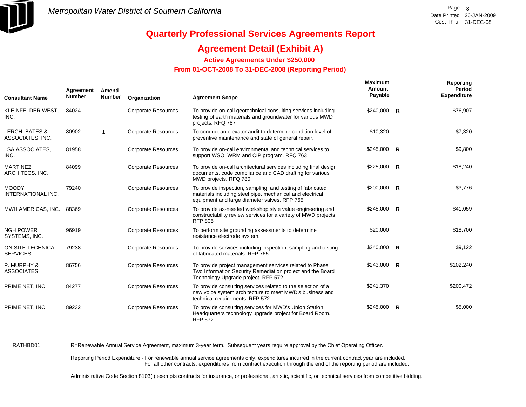

### **Agreement Detail (Exhibit A)**

**Active Agreements Under \$250,000** 

 **From 01-OCT-2008 To 31-DEC-2008 (Reporting Period)** 

| <b>Consultant Name</b>                        | Agreement<br><b>Number</b> | Amend<br><b>Number</b> | Organization               | <b>Agreement Scope</b>                                                                                                                                                  | <b>Maximum</b><br>Amount<br>Payable | Reporting<br><b>Period</b><br><b>Expenditure</b> |
|-----------------------------------------------|----------------------------|------------------------|----------------------------|-------------------------------------------------------------------------------------------------------------------------------------------------------------------------|-------------------------------------|--------------------------------------------------|
| KLEINFELDER WEST,<br>INC.                     | 84024                      |                        | <b>Corporate Resources</b> | To provide on-call geotechnical consulting services including<br>testing of earth materials and groundwater for various MWD<br>projects. RFQ 787                        | $$240,000$ R                        | \$76,907                                         |
| <b>LERCH, BATES &amp;</b><br>ASSOCIATES, INC. | 80902                      | $\overline{1}$         | <b>Corporate Resources</b> | To conduct an elevator audit to determine condition level of<br>preventive maintenance and state of general repair.                                                     | \$10,320                            | \$7,320                                          |
| LSA ASSOCIATES,<br>INC.                       | 81958                      |                        | <b>Corporate Resources</b> | To provide on-call environmental and technical services to<br>support WSO, WRM and CIP program. RFQ 763                                                                 | $$245,000$ R                        | \$9,800                                          |
| <b>MARTINEZ</b><br>ARCHITECS, INC.            | 84099                      |                        | <b>Corporate Resources</b> | To provide on-call architectural services including final design<br>documents, code compliance and CAD drafting for various<br>MWD projects. RFQ 780                    | $$225,000$ R                        | \$18,240                                         |
| <b>MOODY</b><br>INTERNATIONAL INC.            | 79240                      |                        | <b>Corporate Resources</b> | To provide inspection, sampling, and testing of fabricated<br>materials including steel pipe, mechanical and electrical<br>equipment and large diameter valves. RFP 765 | $$200,000$ R                        | \$3,776                                          |
| MWH AMERICAS, INC.                            | 88369                      |                        | <b>Corporate Resources</b> | To provide as-needed workshop style value engineering and<br>constructability review services for a variety of MWD projects.<br><b>RFP 805</b>                          | $$245,000$ R                        | \$41,059                                         |
| <b>NGH POWER</b><br>SYSTEMS, INC.             | 96919                      |                        | <b>Corporate Resources</b> | To perform site grounding assessments to determine<br>resistance electrode system.                                                                                      | \$20,000                            | \$18,700                                         |
| <b>ON-SITE TECHNICAL</b><br><b>SERVICES</b>   | 79238                      |                        | <b>Corporate Resources</b> | To provide services including inspection, sampling and testing<br>of fabricated materials. RFP 765                                                                      | $$240.000$ R                        | \$9,122                                          |
| P. MURPHY &<br><b>ASSOCIATES</b>              | 86756                      |                        | <b>Corporate Resources</b> | To provide project management services related to Phase<br>Two Information Security Remediation project and the Board<br>Technology Upgrade project. RFP 572            | $$243,000$ R                        | \$102,240                                        |
| PRIME NET, INC.                               | 84277                      |                        | <b>Corporate Resources</b> | To provide consulting services related to the selection of a<br>new voice system architecture to meet MWD's business and<br>technical requirements. RFP 572             | \$241,370                           | \$200,472                                        |
| PRIME NET, INC.                               | 89232                      |                        | <b>Corporate Resources</b> | To provide consulting services for MWD's Union Station<br>Headquarters technology upgrade project for Board Room.<br><b>RFP 572</b>                                     | $$245,000$ R                        | \$5,000                                          |

RATHBD01 R=Renewable Annual Service Agreement, maximum 3-year term. Subsequent years require approval by the Chief Operating Officer.

> Reporting Period Expenditure - For renewable annual service agreements only, expenditures incurred in the current contract year are included. For all other contracts, expenditures from contract execution through the end of the reporting period are included.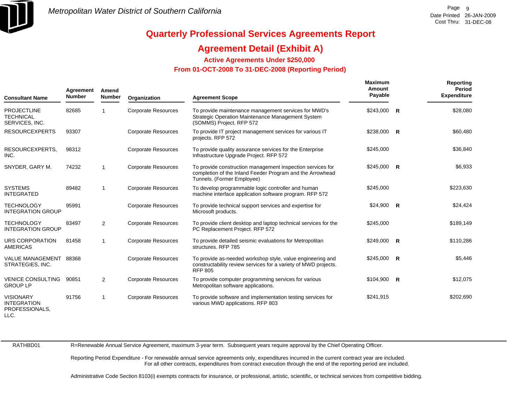

### **Agreement Detail (Exhibit A)**

**Active Agreements Under \$250,000** 

 **From 01-OCT-2008 To 31-DEC-2008 (Reporting Period)** 

| <b>Consultant Name</b>                                   | Agreement<br><b>Number</b> | Amend<br><b>Number</b> | Organization               | <b>Agreement Scope</b>                                                                                                                                | Maximum<br>Amount<br>Payable |              | Reporting<br>Period<br><b>Expenditure</b> |
|----------------------------------------------------------|----------------------------|------------------------|----------------------------|-------------------------------------------------------------------------------------------------------------------------------------------------------|------------------------------|--------------|-------------------------------------------|
| <b>PROJECTLINE</b><br><b>TECHNICAL</b><br>SERVICES, INC. | 82685                      |                        | <b>Corporate Resources</b> | To provide maintenance management services for MWD's<br>Strategic Operation Maintenance Management System<br>(SOMMS) Project. RFP 572                 | \$243,000                    | R            | \$28,080                                  |
| <b>RESOURCEXPERTS</b>                                    | 93307                      |                        | <b>Corporate Resources</b> | To provide IT project management services for various IT<br>projects. RFP 572                                                                         | \$238,000                    | $\mathsf{R}$ | \$60,480                                  |
| RESOURCEXPERTS,<br>INC.                                  | 98312                      |                        | <b>Corporate Resources</b> | To provide quality assurance services for the Enterprise<br>Infrastructure Upgrade Project. RFP 572                                                   | \$245,000                    |              | \$36,840                                  |
| SNYDER, GARY M.                                          | 74232                      |                        | <b>Corporate Resources</b> | To provide construction management inspection services for<br>completion of the Inland Feeder Program and the Arrowhead<br>Tunnels. (Former Employee) | $$245,000$ R                 |              | \$6,933                                   |
| <b>SYSTEMS</b><br><b>INTEGRATED</b>                      | 89482                      | $\overline{1}$         | <b>Corporate Resources</b> | To develop programmable logic controller and human<br>machine interface application software program. RFP 572                                         | \$245,000                    |              | \$223,630                                 |
| <b>TECHNOLOGY</b><br><b>INTEGRATION GROUP</b>            | 95991                      |                        | <b>Corporate Resources</b> | To provide technical support services and expertise for<br>Microsoft products.                                                                        | $$24,900$ R                  |              | \$24,424                                  |
| <b>TECHNOLOGY</b><br><b>INTEGRATION GROUP</b>            | 83497                      | $\overline{2}$         | <b>Corporate Resources</b> | To provide client desktop and laptop technical services for the<br>PC Replacement Project. RFP 572                                                    | \$245,000                    |              | \$189,149                                 |
| URS CORPORATION<br><b>AMERICAS</b>                       | 81458                      | -1                     | <b>Corporate Resources</b> | To provide detailed seismic evaluations for Metropolitan<br>structures. RFP 785                                                                       | $$249,000$ R                 |              | \$110,286                                 |
| <b>VALUE MANAGEMENT</b><br>STRATEGIES, INC.              | 88368                      |                        | <b>Corporate Resources</b> | To provide as-needed workshop style, value engineering and<br>constructability review services for a variety of MWD projects.<br><b>RFP 805</b>       | $$245,000$ R                 |              | \$5,446                                   |
| <b>VENICE CONSULTING</b><br><b>GROUP LP</b>              | 90851                      | $\overline{2}$         | <b>Corporate Resources</b> | To provide computer programming services for various<br>Metropolitan software applications.                                                           | $$104,900$ R                 |              | \$12,075                                  |
| <b>VISIONARY</b><br><b>INTEGRATION</b><br>PROFESSIONALS. | 91756                      | $\overline{1}$         | <b>Corporate Resources</b> | To provide software and implementation testing services for<br>various MWD applications. RFP 803                                                      | \$241,915                    |              | \$202,690                                 |

LLC.

RATHBD01

R=Renewable Annual Service Agreement, maximum 3-year term. Subsequent years require approval by the Chief Operating Officer.

Reporting Period Expenditure - For renewable annual service agreements only, expenditures incurred in the current contract year are included. For all other contracts, expenditures from contract execution through the end of the reporting period are included.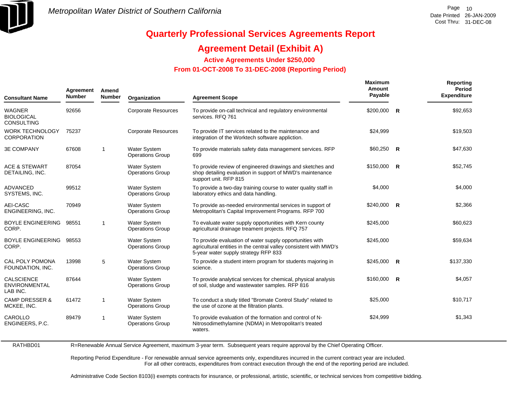

RATHBD01

# **Quarterly Professional Services Agreements Report**

### **Agreement Detail (Exhibit A)**

**Active Agreements Under \$250,000** 

 **From 01-OCT-2008 To 31-DEC-2008 (Reporting Period)** 

| <b>Consultant Name</b>                                  | Agreement<br><b>Number</b> | Amend<br><b>Number</b> | Organization                                   | <b>Agreement Scope</b>                                                                                                                                                | <b>Maximum</b><br>Amount<br>Payable | Reporting<br>Period<br><b>Expenditure</b> |
|---------------------------------------------------------|----------------------------|------------------------|------------------------------------------------|-----------------------------------------------------------------------------------------------------------------------------------------------------------------------|-------------------------------------|-------------------------------------------|
| <b>WAGNER</b><br><b>BIOLOGICAL</b><br><b>CONSULTING</b> | 92656                      |                        | <b>Corporate Resources</b>                     | To provide on-call technical and regulatory environmental<br>services. RFQ 761                                                                                        | $$200,000$ R                        | \$92,653                                  |
| <b>WORK TECHNOLOGY</b><br><b>CORPORATION</b>            | 75237                      |                        | <b>Corporate Resources</b>                     | To provide IT services related to the maintenance and<br>integration of the Worktech software appliction.                                                             | \$24,999                            | \$19,503                                  |
| <b>3E COMPANY</b>                                       | 67608                      | $\mathbf{1}$           | <b>Water System</b><br><b>Operations Group</b> | To provide materials safety data management services. RFP<br>699                                                                                                      | $$60,250$ R                         | \$47,630                                  |
| <b>ACE &amp; STEWART</b><br>DETAILING, INC.             | 87054                      |                        | <b>Water System</b><br><b>Operations Group</b> | To provide review of engineered drawings and sketches and<br>shop detailing evaluation in support of MWD's maintenance<br>support unit. RFP 815                       | $$150,000$ R                        | \$52,745                                  |
| <b>ADVANCED</b><br>SYSTEMS, INC.                        | 99512                      |                        | <b>Water System</b><br><b>Operations Group</b> | To provide a two-day training course to water quality staff in<br>laboratory ethics and data handling.                                                                | \$4,000                             | \$4,000                                   |
| AEI-CASC<br>ENGINEERING, INC.                           | 70949                      |                        | <b>Water System</b><br><b>Operations Group</b> | To provide as-needed environmental services in support of<br>Metropolitan's Capital Improvement Programs. RFP 700                                                     | $$240,000$ R                        | \$2,366                                   |
| <b>BOYLE ENGINEERING</b><br>CORP.                       | 98551                      | $\mathbf{1}$           | <b>Water System</b><br><b>Operations Group</b> | To evaluate water supply opportunities with Kern county<br>agricultural drainage treament projects. RFQ 757                                                           | \$245,000                           | \$60,623                                  |
| BOYLE ENGINEERING<br>CORP.                              | 98553                      |                        | <b>Water System</b><br><b>Operations Group</b> | To provide evaluation of water supply opportunities with<br>agricultural entities in the central valley consistent with MWD's<br>5-year water supply strategy RFP 833 | \$245,000                           | \$59,634                                  |
| <b>CAL POLY POMONA</b><br>FOUNDATION, INC.              | 13998                      | 5                      | <b>Water System</b><br><b>Operations Group</b> | To provide a student intern program for students majoring in<br>science.                                                                                              | $$245,000$ R                        | \$137,330                                 |
| <b>CALSCIENCE</b><br><b>ENVIRONMENTAL</b><br>LAB INC.   | 87644                      |                        | <b>Water System</b><br><b>Operations Group</b> | To provide analytical services for chemical, physical analysis<br>of soil, sludge and wastewater samples. RFP 816                                                     | $$160,000$ R                        | \$4,057                                   |
| <b>CAMP DRESSER &amp;</b><br>MCKEE, INC.                | 61472                      | $\mathbf{1}$           | <b>Water System</b><br><b>Operations Group</b> | To conduct a study titled "Bromate Control Study" related to<br>the use of ozone at the filtration plants.                                                            | \$25,000                            | \$10,717                                  |
| CAROLLO<br>ENGINEERS, P.C.                              | 89479                      | $\mathbf{1}$           | <b>Water System</b><br><b>Operations Group</b> | To provide evaluation of the formation and control of N-<br>Nitrosodimethylamine (NDMA) in Metropolitan's treated<br>waters.                                          | \$24,999                            | \$1,343                                   |

R=Renewable Annual Service Agreement, maximum 3-year term. Subsequent years require approval by the Chief Operating Officer.

Reporting Period Expenditure - For renewable annual service agreements only, expenditures incurred in the current contract year are included. For all other contracts, expenditures from contract execution through the end of the reporting period are included.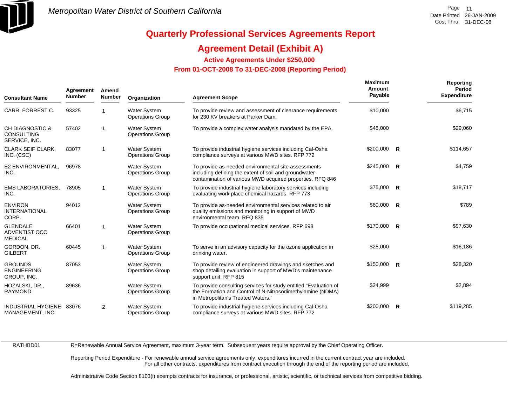

### **Agreement Detail (Exhibit A)**

**Active Agreements Under \$250,000** 

 **From 01-OCT-2008 To 31-DEC-2008 (Reporting Period)** 

| <b>Consultant Name</b>                                           | Agreement<br><b>Number</b> | Amend<br><b>Number</b> | Organization                                   | <b>Agreement Scope</b>                                                                                                                                                    | <b>Maximum</b><br>Amount<br>Payable | Reporting<br><b>Period</b><br><b>Expenditure</b> |
|------------------------------------------------------------------|----------------------------|------------------------|------------------------------------------------|---------------------------------------------------------------------------------------------------------------------------------------------------------------------------|-------------------------------------|--------------------------------------------------|
| CARR, FORREST C.                                                 | 93325                      | -1                     | <b>Water System</b><br><b>Operations Group</b> | To provide review and assessment of clearance requirements<br>for 230 KV breakers at Parker Dam.                                                                          | \$10,000                            | \$6,715                                          |
| <b>CH DIAGNOSTIC &amp;</b><br><b>CONSULTING</b><br>SERVICE, INC. | 57402                      | -1                     | <b>Water System</b><br><b>Operations Group</b> | To provide a complex water analysis mandated by the EPA.                                                                                                                  | \$45,000                            | \$29,060                                         |
| <b>CLARK SEIF CLARK.</b><br>INC. (CSC)                           | 83077                      | -1                     | <b>Water System</b><br><b>Operations Group</b> | To provide industrial hygiene services including Cal-Osha<br>compliance surveys at various MWD sites. RFP 772                                                             | $$200,000$ R                        | \$114,657                                        |
| E2 ENVIRONMENTAL.<br>INC.                                        | 96978                      |                        | Water System<br><b>Operations Group</b>        | To provide as-needed environmental site assessments<br>including defining the extent of soil and groundwater<br>contamination of various MWD acquired properties. RFQ 846 | $$245,000$ R                        | \$4,759                                          |
| <b>EMS LABORATORIES,</b><br>INC.                                 | 78905                      | -1                     | <b>Water System</b><br><b>Operations Group</b> | To provide industrial hygiene laboratory services including<br>evaluating work place chemical hazards. RFP 773                                                            | $$75,000$ R                         | \$18,717                                         |
| <b>ENVIRON</b><br><b>INTERNATIONAL</b><br>CORP.                  | 94012                      |                        | Water System<br><b>Operations Group</b>        | To provide as-needed environmental services related to air<br>quality emissions and monitoring in support of MWD<br>environmental team. RFQ 835                           | $$60,000$ R                         | \$789                                            |
| <b>GLENDALE</b><br>ADVENTIST OCC<br><b>MEDICAL</b>               | 66401                      | $\overline{1}$         | <b>Water System</b><br><b>Operations Group</b> | To provide occupational medical services. RFP 698                                                                                                                         | $$170,000$ R                        | \$97,630                                         |
| GORDON, DR.<br><b>GILBERT</b>                                    | 60445                      | $\overline{1}$         | <b>Water System</b><br><b>Operations Group</b> | To serve in an advisory capacity for the ozone application in<br>drinking water.                                                                                          | \$25,000                            | \$16,186                                         |
| <b>GROUNDS</b><br><b>ENGINEERING</b><br>GROUP, INC.              | 87053                      |                        | <b>Water System</b><br><b>Operations Group</b> | To provide review of engineered drawings and sketches and<br>shop detailing evaluation in support of MWD's maintenance<br>support unit. RFP 815                           | $$150,000$ R                        | \$28,320                                         |
| HOZALSKI, DR.,<br><b>RAYMOND</b>                                 | 89636                      |                        | <b>Water System</b><br><b>Operations Group</b> | To provide consulting services for study entitled "Evaluation of<br>the Formation and Control of N-Nitrosodimethylamine (NDMA)<br>in Metropolitan's Treated Waters."      | \$24,999                            | \$2,894                                          |
| INDUSTRIAL HYGIENE<br>MANAGEMENT, INC.                           | 83076                      | 2                      | Water System<br><b>Operations Group</b>        | To provide industrial hygiene services including Cal-Osha<br>compliance surveys at various MWD sites. RFP 772                                                             | $$200,000$ R                        | \$119,285                                        |

RATHBD01

R=Renewable Annual Service Agreement, maximum 3-year term. Subsequent years require approval by the Chief Operating Officer.

Reporting Period Expenditure - For renewable annual service agreements only, expenditures incurred in the current contract year are included. For all other contracts, expenditures from contract execution through the end of the reporting period are included.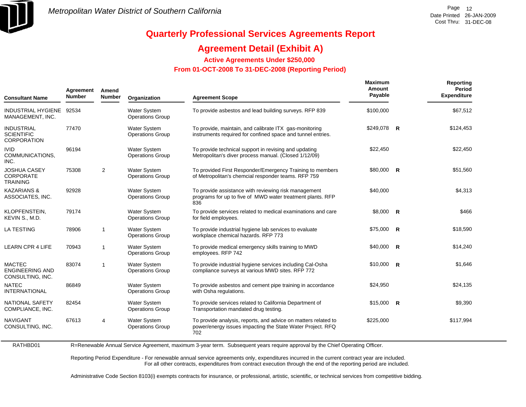

### **Agreement Detail (Exhibit A)**

**Active Agreements Under \$250,000** 

 **From 01-OCT-2008 To 31-DEC-2008 (Reporting Period)** 

| <b>Consultant Name</b>                                       | Agreement<br><b>Number</b> | Amend<br><b>Number</b> | Organization                                   | <b>Agreement Scope</b>                                                                                                              | <b>Maximum</b><br>Amount<br>Payable |                | Reporting<br>Period<br><b>Expenditure</b> |
|--------------------------------------------------------------|----------------------------|------------------------|------------------------------------------------|-------------------------------------------------------------------------------------------------------------------------------------|-------------------------------------|----------------|-------------------------------------------|
| INDUSTRIAL HYGIENE 92534<br>MANAGEMENT, INC.                 |                            |                        | <b>Water System</b><br><b>Operations Group</b> | To provide asbestos and lead building surveys. RFP 839                                                                              | \$100,000                           |                | \$67,512                                  |
| <b>INDUSTRIAL</b><br><b>SCIENTIFIC</b><br><b>CORPORATION</b> | 77470                      |                        | Water System<br><b>Operations Group</b>        | To provide, maintain, and calibrate ITX gas-monitoring<br>instruments required for confined space and tunnel entries.               | \$249,078 R                         |                | \$124,453                                 |
| <b>IVID</b><br>COMMUNICATIONS,<br>INC.                       | 96194                      |                        | <b>Water System</b><br><b>Operations Group</b> | To provide technical support in revising and updating<br>Metropolitan's diver process manual. (Closed 1/12/09)                      | \$22,450                            |                | \$22,450                                  |
| <b>JOSHUA CASEY</b><br><b>CORPORATE</b><br><b>TRAINING</b>   | 75308                      | $\overline{2}$         | Water System<br><b>Operations Group</b>        | To provided First Responder/Emergency Training to members<br>of Metropolitan's chemcial responder teams. RFP 759                    | \$80,000                            | R              | \$51,560                                  |
| <b>KAZARIANS &amp;</b><br>ASSOCIATES, INC.                   | 92928                      |                        | <b>Water System</b><br><b>Operations Group</b> | To provide assistance with reviewing risk management<br>programs for up to five of MWD water treatment plants. RFP<br>836           | \$40,000                            |                | \$4,313                                   |
| KLOPFENSTEIN.<br>KEVIN S., M.D.                              | 79174                      |                        | <b>Water System</b><br><b>Operations Group</b> | To provide services related to medical examinations and care<br>for field employees.                                                | \$8,000                             | $\overline{R}$ | \$466                                     |
| <b>LA TESTING</b>                                            | 78906                      | -1                     | <b>Water System</b><br><b>Operations Group</b> | To provide industrial hygiene lab services to evaluate<br>workplace chemical hazards. RFP 773                                       | \$75,000                            | R              | \$18,590                                  |
| <b>LEARN CPR 4 LIFE</b>                                      | 70943                      | $\overline{1}$         | <b>Water System</b><br><b>Operations Group</b> | To provide medical emergency skills training to MWD<br>employees. RFP 742                                                           | \$40,000                            | <b>R</b>       | \$14,240                                  |
| <b>MACTEC</b><br><b>ENGINEERING AND</b><br>CONSULTING, INC.  | 83074                      | 1                      | <b>Water System</b><br><b>Operations Group</b> | To provide industrial hygiene services including Cal-Osha<br>compliance surveys at various MWD sites. RFP 772                       | \$10,000                            | $\mathsf{R}$   | \$1,646                                   |
| <b>NATEC</b><br><b>INTERNATIONAL</b>                         | 86849                      |                        | Water System<br><b>Operations Group</b>        | To provide asbestos and cement pipe training in accordance<br>with Osha regulations.                                                | \$24,950                            |                | \$24,135                                  |
| <b>NATIONAL SAFETY</b><br>COMPLIANCE, INC.                   | 82454                      |                        | <b>Water System</b><br><b>Operations Group</b> | To provide services related to California Department of<br>Transportation mandated drug testing.                                    | $$15,000$ R                         |                | \$9,390                                   |
| <b>NAVIGANT</b><br>CONSULTING, INC.                          | 67613                      | $\overline{4}$         | <b>Water System</b><br><b>Operations Group</b> | To provide analysis, reports, and advice on matters related to<br>power/energy issues impacting the State Water Project. RFQ<br>702 | \$225,000                           |                | \$117,994                                 |

RATHBD01

R=Renewable Annual Service Agreement, maximum 3-year term. Subsequent years require approval by the Chief Operating Officer.

Reporting Period Expenditure - For renewable annual service agreements only, expenditures incurred in the current contract year are included. For all other contracts, expenditures from contract execution through the end of the reporting period are included.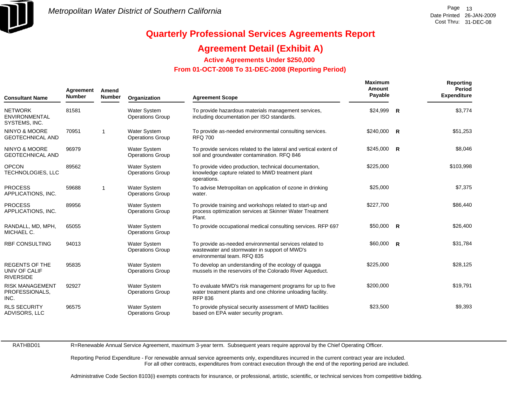

### **Agreement Detail (Exhibit A)**

**Active Agreements Under \$250,000** 

 **From 01-OCT-2008 To 31-DEC-2008 (Reporting Period)** 

| Agreement<br><b>Number</b><br><b>Consultant Name</b>       |       | Amend<br><b>Number</b> | Organization                                   | <b>Agreement Scope</b>                                                                                                                     | Maximum<br>Amount<br>Payable |   | Reporting<br>Period<br><b>Expenditure</b> |
|------------------------------------------------------------|-------|------------------------|------------------------------------------------|--------------------------------------------------------------------------------------------------------------------------------------------|------------------------------|---|-------------------------------------------|
| <b>NETWORK</b><br><b>ENVIRONMENTAL</b><br>SYSTEMS, INC.    | 81581 |                        | <b>Water System</b><br><b>Operations Group</b> | To provide hazardous materials management services,<br>including documentation per ISO standards.                                          | \$24,999                     | R | \$3,774                                   |
| <b>NINYO &amp; MOORE</b><br><b>GEOTECHNICAL AND</b>        | 70951 | $\overline{1}$         | <b>Water System</b><br><b>Operations Group</b> | To provide as-needed environmental consulting services.<br><b>RFQ 700</b>                                                                  | \$240,000 R                  |   | \$51,253                                  |
| <b>NINYO &amp; MOORE</b><br><b>GEOTECHNICAL AND</b>        | 96979 |                        | <b>Water System</b><br><b>Operations Group</b> | To provide services related to the lateral and vertical extent of<br>soil and groundwater contamination. RFQ 846                           | $$245,000$ R                 |   | \$8,046                                   |
| <b>OPCON</b><br>TECHNOLOGIES, LLC                          | 89562 |                        | <b>Water System</b><br><b>Operations Group</b> | To provide video production, technical documentation,<br>knowledge capture related to MWD treatment plant<br>operations.                   | \$225,000                    |   | \$103,998                                 |
| <b>PROCESS</b><br>APPLICATIONS, INC.                       | 59688 | -1                     | <b>Water System</b><br><b>Operations Group</b> | To advise Metropolitan on application of ozone in drinking<br>water.                                                                       | \$25,000                     |   | \$7,375                                   |
| <b>PROCESS</b><br>APPLICATIONS, INC.                       | 89956 |                        | <b>Water System</b><br><b>Operations Group</b> | To provide training and workshops related to start-up and<br>process optimization services at Skinner Water Treatment<br>Plant.            | \$227,700                    |   | \$86,440                                  |
| RANDALL, MD, MPH,<br>MICHAEL C.                            | 65055 |                        | Water System<br><b>Operations Group</b>        | To provide occupational medical consulting services. RFP 697                                                                               | $$50.000$ R                  |   | \$26,400                                  |
| <b>RBF CONSULTING</b>                                      | 94013 |                        | <b>Water System</b><br><b>Operations Group</b> | To provide as-needed environmental services related to<br>wastewater and stormwater in support of MWD's<br>environmental team. RFQ 835     | $$60,000$ R                  |   | \$31,784                                  |
| <b>REGENTS OF THE</b><br>UNIV OF CALIF<br><b>RIVERSIDE</b> | 95835 |                        | <b>Water System</b><br><b>Operations Group</b> | To develop an understanding of the ecology of quagga<br>mussels in the reservoirs of the Colorado River Aqueduct.                          | \$225,000                    |   | \$28,125                                  |
| <b>RISK MANAGEMENT</b><br>PROFESSIONALS,<br>INC.           | 92927 |                        | <b>Water System</b><br><b>Operations Group</b> | To evaluate MWD's risk management programs for up to five<br>water treatment plants and one chlorine unloading facility.<br><b>RFP 836</b> | \$200,000                    |   | \$19,791                                  |
| <b>RLS SECURITY</b><br>ADVISORS, LLC                       | 96575 |                        | <b>Water System</b><br><b>Operations Group</b> | To provide physical security assessment of MWD facilities<br>based on EPA water security program.                                          | \$23,500                     |   | \$9,393                                   |

RATHBD01

R=Renewable Annual Service Agreement, maximum 3-year term. Subsequent years require approval by the Chief Operating Officer.

Reporting Period Expenditure - For renewable annual service agreements only, expenditures incurred in the current contract year are included. For all other contracts, expenditures from contract execution through the end of the reporting period are included.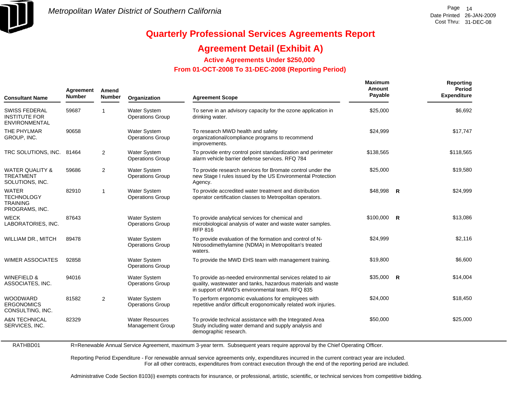

### **Agreement Detail (Exhibit A)**

**Active Agreements Under \$250,000** 

 **From 01-OCT-2008 To 31-DEC-2008 (Reporting Period)** 

| Agreement<br><b>Number</b><br><b>Consultant Name</b>                   |       | Amend<br><b>Number</b> | Organization                                   | <b>Agreement Scope</b>                                                                                                                                                        | <b>Maximum</b><br>Amount<br>Payable |                         | Reporting<br>Period<br><b>Expenditure</b> |
|------------------------------------------------------------------------|-------|------------------------|------------------------------------------------|-------------------------------------------------------------------------------------------------------------------------------------------------------------------------------|-------------------------------------|-------------------------|-------------------------------------------|
| <b>SWISS FEDERAL</b><br><b>INSTITUTE FOR</b><br><b>ENVIRONMENTAL</b>   | 59687 | $\mathbf 1$            | <b>Water System</b><br><b>Operations Group</b> | To serve in an advisory capacity for the ozone application in<br>drinking water.                                                                                              | \$25,000                            |                         | \$6,692                                   |
| THE PHYLMAR<br>GROUP, INC.                                             | 90658 |                        | <b>Water System</b><br><b>Operations Group</b> | To research MWD health and safety<br>organizational/compliance programs to recommend<br>improvements.                                                                         | \$24,999                            |                         | \$17,747                                  |
| TRC SOLUTIONS, INC. 81464                                              |       | 2                      | <b>Water System</b><br><b>Operations Group</b> | To provide entry control point standardization and perimeter<br>alarm vehicle barrier defense services. RFQ 784                                                               | \$138,565                           |                         | \$118,565                                 |
| <b>WATER QUALITY &amp;</b><br><b>TREATMENT</b><br>SOLUTIONS, INC.      | 59686 | 2                      | <b>Water System</b><br><b>Operations Group</b> | To provide research services for Bromate control under the<br>new Stage I rules issued by the US Environmental Protection<br>Agency.                                          | \$25,000                            |                         | \$19,580                                  |
| <b>WATER</b><br><b>TECHNOLOGY</b><br><b>TRAINING</b><br>PROGRAMS, INC. | 82910 | $\overline{1}$         | Water System<br><b>Operations Group</b>        | To provide accredited water treatment and distribution<br>operator certification classes to Metropolitan operators.                                                           | \$48,998                            | <b>R</b>                | \$24,999                                  |
| <b>WECK</b><br>LABORATORIES, INC.                                      | 87643 |                        | <b>Water System</b><br><b>Operations Group</b> | To provide analytical services for chemical and<br>microbiological analysis of water and waste water samples.<br><b>RFP 816</b>                                               | \$100,000                           | $\overline{\mathbf{R}}$ | \$13,086                                  |
| <b>WILLIAM DR., MITCH</b>                                              | 89478 |                        | <b>Water System</b><br><b>Operations Group</b> | To provide evaluation of the formation and control of N-<br>Nitrosodimethylamine (NDMA) in Metropolitan's treated<br>waters.                                                  | \$24,999                            |                         | \$2,116                                   |
| <b>WIMER ASSOCIATES</b>                                                | 92858 |                        | <b>Water System</b><br><b>Operations Group</b> | To provide the MWD EHS team with management training.                                                                                                                         | \$19,800                            |                         | \$6,600                                   |
| <b>WINEFIELD &amp;</b><br>ASSOCIATES, INC.                             | 94016 |                        | <b>Water System</b><br><b>Operations Group</b> | To provide as-needed environmental services related to air<br>quality, wastewater and tanks, hazardous materials and waste<br>in support of MWD's environmental team. RFQ 835 | \$35,000                            | $\mathsf{R}$            | \$14,004                                  |
| <b>WOODWARD</b><br><b>ERGONOMICS</b><br>CONSULTING, INC.               | 81582 | 2                      | <b>Water System</b><br><b>Operations Group</b> | To perform ergonomic evaluations for employees with<br>repetitive and/or difficult erogonomically related work injuries.                                                      | \$24,000                            |                         | \$18,450                                  |
| <b>A&amp;N TECHNICAL</b><br>SERVICES, INC.                             | 82329 |                        | <b>Water Resources</b><br>Management Group     | To provide technical assistance with the Integrated Area<br>Study including water demand and supply analysis and<br>demographic research.                                     | \$50,000                            |                         | \$25,000                                  |

RATHBD01 R=Renewable Annual Service Agreement, maximum 3-year term. Subsequent years require approval by the Chief Operating Officer.

> Reporting Period Expenditure - For renewable annual service agreements only, expenditures incurred in the current contract year are included. For all other contracts, expenditures from contract execution through the end of the reporting period are included.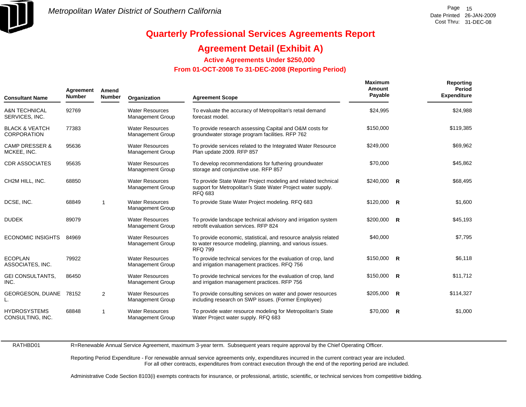

### **Agreement Detail (Exhibit A)**

**Active Agreements Under \$250,000** 

#### **From 01-OCT-2008 To 31-DEC-2008 (Reporting Period)**

| <b>Consultant Name</b>                          | Agreement<br>Amend<br><b>Number</b><br>Number |                | Organization                                      | <b>Agreement Scope</b>                                                                                                                          | <b>Maximum</b><br>Amount<br>Payable | Reporting<br>Period<br><b>Expenditure</b> |
|-------------------------------------------------|-----------------------------------------------|----------------|---------------------------------------------------|-------------------------------------------------------------------------------------------------------------------------------------------------|-------------------------------------|-------------------------------------------|
| <b>A&amp;N TECHNICAL</b><br>SERVICES, INC.      | 92769                                         |                | <b>Water Resources</b><br>Management Group        | To evaluate the accuracy of Metropolitan's retail demand<br>forecast model.                                                                     | \$24,995                            | \$24,988                                  |
| <b>BLACK &amp; VEATCH</b><br><b>CORPORATION</b> | 77383                                         |                | <b>Water Resources</b><br>Management Group        | To provide research assessing Capital and O&M costs for<br>groundwater storage program facilities. RFP 762                                      | \$150,000                           | \$119,385                                 |
| <b>CAMP DRESSER &amp;</b><br>MCKEE, INC.        | 95636                                         |                | <b>Water Resources</b><br>Management Group        | To provide services related to the Integrated Water Resource<br>Plan update 2009. RFP 857                                                       | \$249,000                           | \$69,962                                  |
| <b>CDR ASSOCIATES</b>                           | 95635                                         |                | <b>Water Resources</b><br><b>Management Group</b> | To develop recommendations for futhering groundwater<br>storage and conjunctive use. RFP 857                                                    | \$70,000                            | \$45,862                                  |
| CH2M HILL, INC.                                 | 68850                                         |                | <b>Water Resources</b><br>Management Group        | To provide State Water Project modeling and related technical<br>support for Metropolitan's State Water Project water supply.<br><b>RFQ 683</b> | $$240,000$ R                        | \$68,495                                  |
| DCSE, INC.                                      | 68849                                         | -1             | <b>Water Resources</b><br><b>Management Group</b> | To provide State Water Project modeling. RFQ 683                                                                                                | $$120,000$ R                        | \$1,600                                   |
| <b>DUDEK</b>                                    | 89079                                         |                | <b>Water Resources</b><br><b>Management Group</b> | To provide landscape technical advisory and irrigation system<br>retrofit evaluation services. RFP 824                                          | $$200,000$ R                        | \$45,193                                  |
| <b>ECONOMIC INSIGHTS</b>                        | 84969                                         |                | <b>Water Resources</b><br>Management Group        | To provide economic, statistical, and resource analysis related<br>to water resource modeling, planning, and various issues.<br><b>RFQ 799</b>  | \$40,000                            | \$7,795                                   |
| <b>ECOPLAN</b><br>ASSOCIATES, INC.              | 79922                                         |                | <b>Water Resources</b><br>Management Group        | To provide technical services for the evaluation of crop, land<br>and irrigation management practices. RFQ 756                                  | $$150,000$ R                        | \$6,118                                   |
| <b>GEI CONSULTANTS,</b><br>INC.                 | 86450                                         |                | <b>Water Resources</b><br>Management Group        | To provide technical services for the evaluation of crop, land<br>and irrigation management practices. RFP 756                                  | $$150,000$ R                        | \$11,712                                  |
| <b>GEORGESON, DUANE</b><br>L.                   | 78152                                         | $\overline{2}$ | <b>Water Resources</b><br><b>Management Group</b> | To provide consulting services on water and power resources<br>including research on SWP issues. (Former Employee)                              | $$205,000$ R                        | \$114,327                                 |
| <b>HYDROSYSTEMS</b><br>CONSULTING, INC.         | 68848                                         | 1              | <b>Water Resources</b><br>Management Group        | To provide water resource modeling for Metropolitan's State<br>Water Project water supply. RFQ 683                                              | \$70,000 R                          | \$1,000                                   |

RATHBD01

R=Renewable Annual Service Agreement, maximum 3-year term. Subsequent years require approval by the Chief Operating Officer.

Reporting Period Expenditure - For renewable annual service agreements only, expenditures incurred in the current contract year are included. For all other contracts, expenditures from contract execution through the end of the reporting period are included.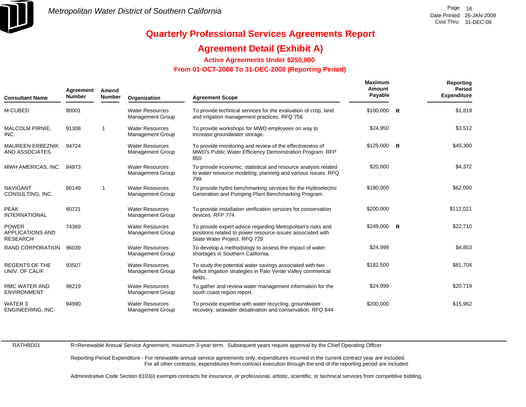

### **Agreement Detail (Exhibit A)**

**Active Agreements Under \$250,000** 

 **From 01-OCT-2008 To 31-DEC-2008 (Reporting Period)** 

| <b>Consultant Name</b>                                     | Agreement<br><b>Number</b> | Amend<br><b>Number</b>  | Organization                                      | <b>Agreement Scope</b>                                                                                                                                    | <b>Maximum</b><br>Amount<br>Payable | <b>Reporting</b><br>Period<br><b>Expenditure</b> |
|------------------------------------------------------------|----------------------------|-------------------------|---------------------------------------------------|-----------------------------------------------------------------------------------------------------------------------------------------------------------|-------------------------------------|--------------------------------------------------|
| M-CUBED                                                    | 80001                      |                         | <b>Water Resources</b><br><b>Management Group</b> | To provide technical services for the evaluation of crop, land<br>and irrigation management practices. RFQ 756                                            | $$100,000$ R                        | \$1,819                                          |
| MALCOLM PIRNIE,<br>INC.                                    | 91308                      | -1                      | <b>Water Resources</b><br><b>Management Group</b> | To provide workshops for MWD employees on way to<br>increase groundwater storage.                                                                         | \$24,950                            | \$3,512                                          |
| <b>MAUREEN ERBEZNIK</b><br><b>AND ASSOCIATES</b>           | 94724                      |                         | <b>Water Resources</b><br>Management Group        | To provide monitoring and review of the effectiveness of<br>MWD's Public Water Efficiency Demonstration Program. RFP<br>850                               | $$125,000$ R                        | \$49,300                                         |
| MWH AMERICAS, INC.                                         | 84973                      |                         | <b>Water Resources</b><br><b>Management Group</b> | To provide economic, statistical and resource analysis related<br>to water resource modeling, planning and various issues. RFQ<br>799                     | \$20,000                            | \$4,372                                          |
| <b>NAVIGANT</b><br>CONSULTING, INC.                        | 80149                      | $\overline{\mathbf{1}}$ | <b>Water Resources</b><br><b>Management Group</b> | To provide hydro benchmarking services for the Hydroelectric<br>Generation and Pumping Plant Benchmarking Program.                                        | \$180,000                           | \$62,000                                         |
| <b>PEAK</b><br><b>INTERNATIONAL</b>                        | 80721                      |                         | <b>Water Resources</b><br><b>Management Group</b> | To provide installation verification services for conservation<br>devices, RFP 774                                                                        | \$200,000                           | \$112,021                                        |
| <b>POWER</b><br><b>APPLICATIONS AND</b><br><b>RESEARCH</b> | 74369                      |                         | <b>Water Resources</b><br><b>Management Group</b> | To provide expert advice regarding Metropolitan's risks and<br>positions related to power resource issues associated with<br>State Water Project. RFQ 729 | $$249,000$ R                        | \$22,710                                         |
| RAND CORPORATION                                           | 96039                      |                         | <b>Water Resources</b><br>Management Group        | To develop a methodology to assess the impact of water<br>shortages in Southern California.                                                               | \$24,999                            | \$4,853                                          |
| <b>REGENTS OF THE</b><br>UNIV. OF CALIF.                   | 93507                      |                         | <b>Water Resources</b><br><b>Management Group</b> | To study the potential water savings associated with two<br>deficit irrigation strategies in Palo Verde Valley commerical<br>fields.                      | \$182,500                           | \$81,704                                         |
| <b>RMC WATER AND</b><br><b>ENVIRONMENT</b>                 | 98219                      |                         | <b>Water Resources</b><br><b>Management Group</b> | To gather and review water management information for the<br>south coast region report.                                                                   | \$24,999                            | \$20,719                                         |
| WATER 3<br>ENGINEERING, INC.                               | 94990                      |                         | <b>Water Resources</b><br><b>Management Group</b> | To provide expertise with water recycling, groundwater<br>recovery, seawater desalination and conservation. RFQ 844                                       | \$200,000                           | \$15,962                                         |

RATHBD01

R=Renewable Annual Service Agreement, maximum 3-year term. Subsequent years require approval by the Chief Operating Officer.

Reporting Period Expenditure - For renewable annual service agreements only, expenditures incurred in the current contract year are included. For all other contracts, expenditures from contract execution through the end of the reporting period are included.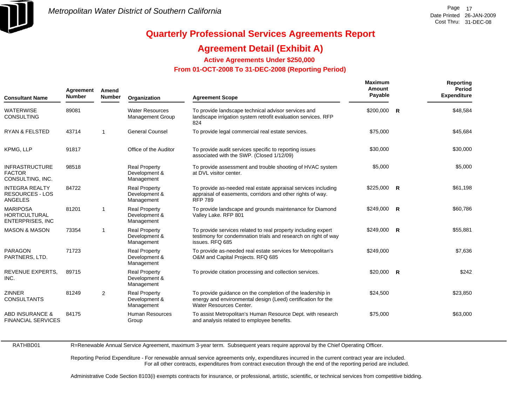

### **Agreement Detail (Exhibit A)**

**Active Agreements Under \$250,000** 

 **From 01-OCT-2008 To 31-DEC-2008 (Reporting Period)** 

| <b>Consultant Name</b>                                             | Agreement<br><b>Number</b> | Amend<br><b>Number</b> | Organization                                        | <b>Agreement Scope</b>                                                                                                                                | <b>Maximum</b><br>Amount<br>Payable | Reporting<br>Period<br><b>Expenditure</b> |
|--------------------------------------------------------------------|----------------------------|------------------------|-----------------------------------------------------|-------------------------------------------------------------------------------------------------------------------------------------------------------|-------------------------------------|-------------------------------------------|
| <b>WATERWISE</b><br><b>CONSULTING</b>                              | 89081                      |                        | <b>Water Resources</b><br><b>Management Group</b>   | To provide landscape technical advisor services and<br>landscape irrigation system retrofit evaluation services. RFP<br>824                           | \$200,000 R                         | \$48,584                                  |
| <b>RYAN &amp; FELSTED</b>                                          | 43714                      | $\mathbf{1}$           | <b>General Counsel</b>                              | To provide legal commercial real estate services.                                                                                                     | \$75,000                            | \$45,684                                  |
| KPMG, LLP                                                          | 91817                      |                        | Office of the Auditor                               | To provide audit services specific to reporting issues<br>associated with the SWP. (Closed 1/12/09)                                                   | \$30,000                            | \$30,000                                  |
| <b>INFRASTRUCTURE</b><br><b>FACTOR</b><br>CONSULTING, INC.         | 98518                      |                        | <b>Real Property</b><br>Development &<br>Management | To provide assessment and trouble shooting of HVAC system<br>at DVL visitor center.                                                                   | \$5,000                             | \$5,000                                   |
| <b>INTEGRA REALTY</b><br><b>RESOURCES - LOS</b><br><b>ANGELES</b>  | 84722                      |                        | <b>Real Property</b><br>Development &<br>Management | To provide as-needed real estate appraisal services including<br>appraisal of easements, corridors and other rights of way.<br><b>RFP 789</b>         | $$225,000$ R                        | \$61,198                                  |
| <b>MARIPOSA</b><br><b>HORTICULTURAL</b><br><b>ENTERPRISES, INC</b> | 81201                      | $\mathbf{1}$           | <b>Real Property</b><br>Development &<br>Management | To provide landscape and grounds maintenance for Diamond<br>Valley Lake. RFP 801                                                                      | $$249,000$ R                        | \$60,786                                  |
| <b>MASON &amp; MASON</b>                                           | 73354                      | 1                      | <b>Real Property</b><br>Development &<br>Management | To provide services related to real property including expert<br>testimony for condemnation trials and research on right of way<br>issues. RFQ 685    | $$249,000$ R                        | \$55,881                                  |
| <b>PARAGON</b><br>PARTNERS, LTD.                                   | 71723                      |                        | <b>Real Property</b><br>Development &<br>Management | To provide as-needed real estate services for Metropolitan's<br>O&M and Capital Projects. RFQ 685                                                     | \$249,000                           | \$7,636                                   |
| REVENUE EXPERTS,<br>INC.                                           | 89715                      |                        | <b>Real Property</b><br>Development &<br>Management | To provide citation processing and collection services.                                                                                               | $$20,000$ R                         | \$242                                     |
| <b>ZINNER</b><br><b>CONSULTANTS</b>                                | 81249                      | 2                      | <b>Real Property</b><br>Development &<br>Management | To provide guidance on the completion of the leadership in<br>energy and environmental design (Leed) certification for the<br>Water Resources Center. | \$24,500                            | \$23,850                                  |
| <b>ABD INSURANCE &amp;</b><br><b>FINANCIAL SERVICES</b>            | 84175                      |                        | Human Resources<br>Group                            | To assist Metropolitan's Human Resource Dept. with research<br>and analysis related to employee benefits.                                             | \$75,000                            | \$63,000                                  |

RATHBD01

R=Renewable Annual Service Agreement, maximum 3-year term. Subsequent years require approval by the Chief Operating Officer.

Reporting Period Expenditure - For renewable annual service agreements only, expenditures incurred in the current contract year are included. For all other contracts, expenditures from contract execution through the end of the reporting period are included.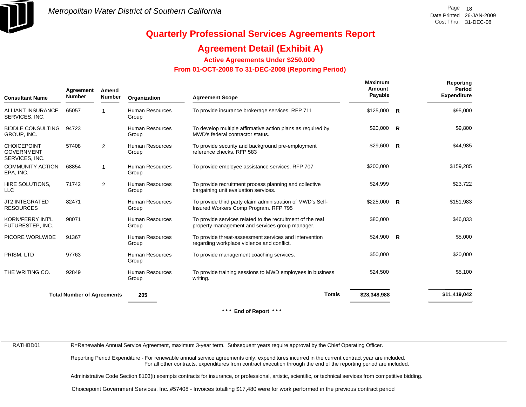

### **Agreement Detail (Exhibit A)**

**Active Agreements Under \$250,000** 

 **From 01-OCT-2008 To 31-DEC-2008 (Reporting Period)** 

| <b>Consultant Name</b>                                    | Agreement<br><b>Number</b>        | Amend<br><b>Number</b> | Organization                    | <b>Agreement Scope</b>                                                                                        | Maximum<br>Amount<br>Payable |          | Reporting<br>Period<br><b>Expenditure</b> |
|-----------------------------------------------------------|-----------------------------------|------------------------|---------------------------------|---------------------------------------------------------------------------------------------------------------|------------------------------|----------|-------------------------------------------|
| ALLIANT INSURANCE<br>SERVICES, INC.                       | 65057                             |                        | <b>Human Resources</b><br>Group | To provide insurance brokerage services. RFP 711                                                              | \$125,000                    | R        | \$95,000                                  |
| <b>BIDDLE CONSULTING</b><br>GROUP, INC.                   | 94723                             |                        | <b>Human Resources</b><br>Group | To develop multiple affirmative action plans as required by<br>MWD's federal contractor status.               | $$20,000$ R                  |          | \$9,800                                   |
| <b>CHOICEPOINT</b><br><b>GOVERNMENT</b><br>SERVICES, INC. | 57408                             | 2                      | <b>Human Resources</b><br>Group | To provide security and background pre-employment<br>reference checks. RFP 583                                | \$29,600                     | R        | \$44,985                                  |
| <b>COMMUNITY ACTION</b><br>EPA, INC.                      | 68854                             | 1                      | Human Resources<br>Group        | To provide employee assistance services. RFP 707                                                              | \$200,000                    |          | \$159,285                                 |
| HIRE SOLUTIONS,<br><b>LLC</b>                             | 71742                             | 2                      | <b>Human Resources</b><br>Group | To provide recruitment process planning and collective<br>bargaining unit evaluation services.                | \$24,999                     |          | \$23,722                                  |
| <b>JT2 INTEGRATED</b><br><b>RESOURCES</b>                 | 82471                             |                        | <b>Human Resources</b><br>Group | To provide third party claim administration of MWD's Self-<br>Insured Workers Comp Program. RFP 795           | $$225,000$ R                 |          | \$151,983                                 |
| KORN/FERRY INT'L<br>FUTURESTEP, INC.                      | 98071                             |                        | Human Resources<br>Group        | To provide services related to the recruitment of the real<br>property management and services group manager. | \$80,000                     |          | \$46,833                                  |
| PICORE WORLWIDE                                           | 91367                             |                        | <b>Human Resources</b><br>Group | To provide threat-assessment services and intervention<br>regarding workplace violence and conflict.          | \$24,900                     | <b>R</b> | \$5,000                                   |
| PRISM. LTD                                                | 97763                             |                        | <b>Human Resources</b><br>Group | To provide management coaching services.                                                                      | \$50,000                     |          | \$20,000                                  |
| THE WRITING CO.                                           | 92849                             |                        | Human Resources<br>Group        | To provide training sessions to MWD employees in business<br>writing.                                         | \$24,500                     |          | \$5,100                                   |
|                                                           | <b>Total Number of Agreements</b> |                        | 205                             | <b>Totals</b>                                                                                                 | \$28,348,988                 |          | \$11,419,042                              |

**\* \* \* End of Report \* \* \***

RATHBD01

R=Renewable Annual Service Agreement, maximum 3-year term. Subsequent years require approval by the Chief Operating Officer.

Reporting Period Expenditure - For renewable annual service agreements only, expenditures incurred in the current contract year are included. For all other contracts, expenditures from contract execution through the end of the reporting period are included.

Administrative Code Section 8103(i) exempts contracts for insurance, or professional, artistic, scientific, or technical services from competitive bidding.

Choicepoint Government Services, Inc.,#57408 - Invoices totalling \$17,480 were for work performed in the previous contract period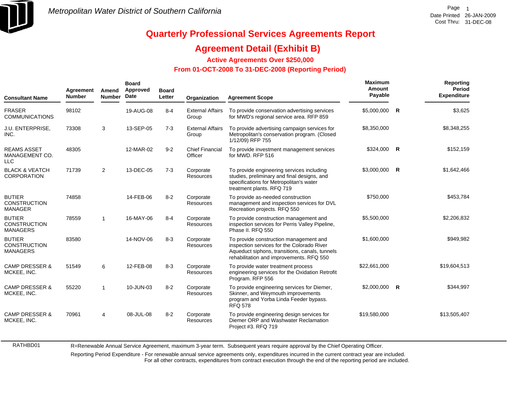

RATHBD01

# **Quarterly Professional Services Agreements Report**

### **Agreement Detail (Exhibit B)**

**Active Agreements Over \$250,000**

#### **From 01-OCT-2008 To 31-DEC-2008 (Reporting Period)**

| <b>Consultant Name</b>                                  | Agreement<br><b>Number</b> | Amend<br><b>Number</b> | <b>Board</b><br>Approved<br>Date | <b>Board</b><br>Letter | Organization                      | <b>Agreement Scope</b>                                                                                                                                                             | Maximum<br>Amount<br>Payable |   | Reporting<br>Period<br><b>Expenditure</b> |
|---------------------------------------------------------|----------------------------|------------------------|----------------------------------|------------------------|-----------------------------------|------------------------------------------------------------------------------------------------------------------------------------------------------------------------------------|------------------------------|---|-------------------------------------------|
| <b>FRASER</b><br><b>COMMUNICATIONS</b>                  | 98102                      |                        | 19-AUG-08                        | $8 - 4$                | <b>External Affairs</b><br>Group  | To provide conservation advertising services<br>for MWD's regional service area. RFP 859                                                                                           | \$5,000,000                  | R | \$3,625                                   |
| J.U. ENTERPRISE,<br>INC.                                | 73308                      | 3                      | 13-SEP-05                        | $7-3$                  | <b>External Affairs</b><br>Group  | To provide advertising campaign services for<br>Metropolitan's conservation program. (Closed<br>1/12/09) RFP 755                                                                   | \$8,350,000                  |   | \$8,348,255                               |
| <b>REAMS ASSET</b><br>MANAGEMENT CO.<br><b>LLC</b>      | 48305                      |                        | 12-MAR-02                        | $9 - 2$                | <b>Chief Financial</b><br>Officer | To provide investment management services<br>for MWD, RFP 516                                                                                                                      | \$324,000 R                  |   | \$152,159                                 |
| <b>BLACK &amp; VEATCH</b><br><b>CORPORATION</b>         | 71739                      | 2                      | 13-DEC-05                        | $7 - 3$                | Corporate<br>Resources            | To provide engineering services including<br>studies, preliminary and final designs, and<br>specifications for Metropolitan's water<br>treatment plants. RFQ 719                   | \$3,000,000                  | R | \$1,642,466                               |
| <b>BUTIER</b><br><b>CONSTRUCTION</b><br><b>MANAGER</b>  | 74858                      |                        | 14-FEB-06                        | $8 - 2$                | Corporate<br>Resources            | To provide as-needed construction<br>management and inspection services for DVL<br>Recreation projects. RFQ 550                                                                    | \$750,000                    |   | \$453,784                                 |
| <b>BUTIER</b><br><b>CONSTRUCTION</b><br><b>MANAGERS</b> | 78559                      | $\overline{1}$         | 16-MAY-06                        | $8 - 4$                | Corporate<br>Resources            | To provide construction management and<br>inspection services for Perris Valley Pipeline,<br>Phase II. RFQ 550                                                                     | \$5,500,000                  |   | \$2,206,832                               |
| <b>BUTIER</b><br><b>CONSTRUCTION</b><br><b>MANAGERS</b> | 83580                      |                        | 14-NOV-06                        | $8 - 3$                | Corporate<br>Resources            | To provide construction management and<br>inspection services for the Colorado River<br>Aqueduct siphons, transitions, canals, tunnels<br>rehabilitation and improvements. RFQ 550 | \$1,600,000                  |   | \$949,982                                 |
| <b>CAMP DRESSER &amp;</b><br>MCKEE, INC.                | 51549                      | 6                      | 12-FEB-08                        | $8 - 3$                | Corporate<br>Resources            | To provide water treatment process<br>engineering services for the Oxidation Retrofit<br>Program. RFP 556                                                                          | \$22,661,000                 |   | \$19,604,513                              |
| <b>CAMP DRESSER &amp;</b><br>MCKEE, INC.                | 55220                      | -1                     | 10-JUN-03                        | $8 - 2$                | Corporate<br>Resources            | To provide engineering services for Diemer,<br>Skinner, and Weymouth improvements<br>program and Yorba Linda Feeder bypass.<br><b>RFQ 578</b>                                      | $$2,000,000$ R               |   | \$344,997                                 |
| <b>CAMP DRESSER &amp;</b><br>MCKEE, INC.                | 70961                      | 4                      | 08-JUL-08                        | $8 - 2$                | Corporate<br>Resources            | To provide engineering design services for<br>Diemer ORP and Washwater Reclamation<br>Project #3. RFQ 719                                                                          | \$19,580,000                 |   | \$13,505,407                              |

R=Renewable Annual Service Agreement, maximum 3-year term. Subsequent years require approval by the Chief Operating Officer.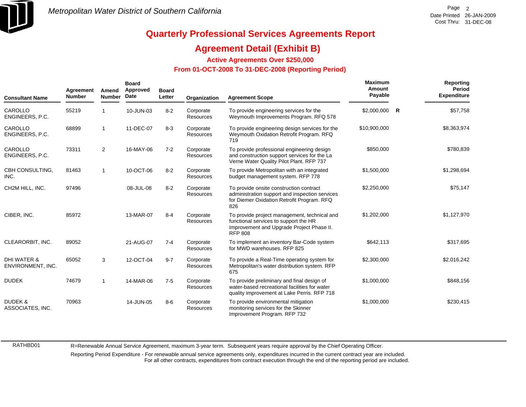

### **Agreement Detail (Exhibit B)**

**Active Agreements Over \$250,000**

#### **From 01-OCT-2008 To 31-DEC-2008 (Reporting Period)**

| <b>Consultant Name</b>                      | Agreement<br><b>Number</b> | Amend<br><b>Number</b> | <b>Board</b><br>Approved<br>Date | <b>Board</b><br>Letter | Organization                  | <b>Agreement Scope</b>                                                                                                                               | Maximum<br>Amount<br>Payable |   | Reporting<br><b>Period</b><br><b>Expenditure</b> |
|---------------------------------------------|----------------------------|------------------------|----------------------------------|------------------------|-------------------------------|------------------------------------------------------------------------------------------------------------------------------------------------------|------------------------------|---|--------------------------------------------------|
| CAROLLO<br>ENGINEERS, P.C.                  | 55219                      |                        | 10-JUN-03                        | $8 - 2$                | Corporate<br><b>Resources</b> | To provide engineering services for the<br>Weymouth Improvements Program. RFQ 578                                                                    | \$2,000,000                  | R | \$57,758                                         |
| CAROLLO<br>ENGINEERS, P.C.                  | 68899                      | $\overline{1}$         | 11-DEC-07                        | $8 - 3$                | Corporate<br><b>Resources</b> | To provide engineering design services for the<br>Weymouth Oxidation Retrofit Program. RFQ<br>719                                                    | \$10,900,000                 |   | \$8,363,974                                      |
| CAROLLO<br>ENGINEERS, P.C.                  | 73311                      | $\overline{2}$         | 16-MAY-06                        | $7 - 2$                | Corporate<br><b>Resources</b> | To provide professional engineering design<br>and construction support services for the La<br>Verne Water Quality Pilot Plant. RFP 737               | \$850,000                    |   | \$780,839                                        |
| CBH CONSULTING,<br>INC.                     | 81463                      | $\overline{1}$         | 10-OCT-06                        | $8 - 2$                | Corporate<br>Resources        | To provide Metropolitan with an integrated<br>budget management system. RFP 778                                                                      | \$1,500,000                  |   | \$1,298,694                                      |
| CH2M HILL, INC.                             | 97496                      |                        | 08-JUL-08                        | $8 - 2$                | Corporate<br><b>Resources</b> | To provide onsite construction contract<br>administration support and inspection services<br>for Diemer Oxidation Retrofit Program. RFQ<br>826       | \$2,250,000                  |   | \$75,147                                         |
| CIBER. INC.                                 | 85972                      |                        | 13-MAR-07                        | $8 - 4$                | Corporate<br><b>Resources</b> | To provide project management, technical and<br>functional services to support the HR<br>Improvement and Upgrade Project Phase II.<br><b>RFP 808</b> | \$1,202,000                  |   | \$1,127,970                                      |
| CLEARORBIT, INC.                            | 89052                      |                        | 21-AUG-07                        | $7 - 4$                | Corporate<br><b>Resources</b> | To implement an inventory Bar-Code system<br>for MWD warehouses. RFP 825                                                                             | \$642,113                    |   | \$317,695                                        |
| <b>DHI WATER &amp;</b><br>ENVIRONMENT, INC. | 65052                      | 3                      | 12-OCT-04                        | $9 - 7$                | Corporate<br><b>Resources</b> | To provide a Real-Time operating system for<br>Metropolitan's water distribution system. RFP<br>675                                                  | \$2,300,000                  |   | \$2,016,242                                      |
| <b>DUDEK</b>                                | 74679                      | $\overline{1}$         | 14-MAR-06                        | $7 - 5$                | Corporate<br><b>Resources</b> | To provide preliminary and final design of<br>water-based recreational facilities for water<br>quality improvement at Lake Perris. RFP 718           | \$1,000,000                  |   | \$848,156                                        |
| <b>DUDEK &amp;</b><br>ASSOCIATES, INC.      | 70963                      |                        | 14-JUN-05                        | $8-6$                  | Corporate<br><b>Resources</b> | To provide environmental mitigation<br>monitoring services for the Skinner<br>Improvement Program. RFP 732                                           | \$1,000,000                  |   | \$230,415                                        |

RATHBD01

R=Renewable Annual Service Agreement, maximum 3-year term. Subsequent years require approval by the Chief Operating Officer.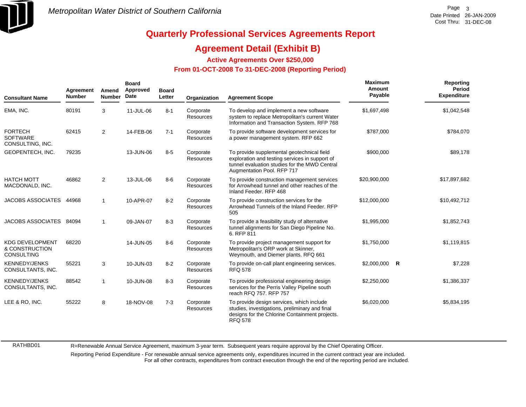

### **Agreement Detail (Exhibit B)**

**Active Agreements Over \$250,000**

#### **From 01-OCT-2008 To 31-DEC-2008 (Reporting Period)**

| <b>Consultant Name</b>                                 | Agreement<br><b>Number</b> | Amend<br><b>Number</b> | <b>Board</b><br>Approved<br>Date | <b>Board</b><br>Letter | Organization                  | <b>Agreement Scope</b>                                                                                                                                                      | Maximum<br>Amount<br>Payable |              | Reporting<br>Period<br><b>Expenditure</b> |
|--------------------------------------------------------|----------------------------|------------------------|----------------------------------|------------------------|-------------------------------|-----------------------------------------------------------------------------------------------------------------------------------------------------------------------------|------------------------------|--------------|-------------------------------------------|
| EMA, INC.                                              | 80191                      | 3                      | 11-JUL-06                        | $8 - 1$                | Corporate<br><b>Resources</b> | To develop and implement a new software<br>system to replace Metropolitan's current Water<br>Information and Transaction System. RFP 768                                    | \$1,697,498                  |              | \$1,042,548                               |
| <b>FORTECH</b><br><b>SOFTWARE</b><br>CONSULTING, INC.  | 62415                      | $\overline{2}$         | 14-FEB-06                        | $7 - 1$                | Corporate<br><b>Resources</b> | To provide software development services for<br>a power management system. RFP 662                                                                                          | \$787,000                    |              | \$784,070                                 |
| GEOPENTECH, INC.                                       | 79235                      |                        | 13-JUN-06                        | $8 - 5$                | Corporate<br>Resources        | To provide supplemental geotechnical field<br>exploration and testing services in support of<br>tunnel evaluation studies for the MWD Central<br>Augmentation Pool. RFP 717 | \$900,000                    |              | \$89,178                                  |
| <b>HATCH MOTT</b><br>MACDONALD, INC.                   | 46862                      | $\overline{2}$         | 13-JUL-06                        | $8-6$                  | Corporate<br><b>Resources</b> | To provide construction management services<br>for Arrowhead tunnel and other reaches of the<br>Inland Feeder, RFP 468                                                      | \$20,900,000                 |              | \$17,897,682                              |
| <b>JACOBS ASSOCIATES</b>                               | 44968                      | $\mathbf{1}$           | 10-APR-07                        | $8 - 2$                | Corporate<br><b>Resources</b> | To provide construction services for the<br>Arrowhead Tunnels of the Inland Feeder, RFP<br>505                                                                              | \$12,000,000                 |              | \$10,492,712                              |
| JACOBS ASSOCIATES 84094                                |                            |                        | 09-JAN-07                        | $8 - 3$                | Corporate<br>Resources        | To provide a feasibility study of alternative<br>tunnel alignments for San Diego Pipeline No.<br>6. RFP 811                                                                 | \$1,995,000                  |              | \$1,852,743                               |
| <b>KDG DEVELOPMENT</b><br>& CONSTRUCTION<br>CONSULTING | 68220                      |                        | 14-JUN-05                        | $8-6$                  | Corporate<br><b>Resources</b> | To provide project management support for<br>Metropolitan's ORP work at Skinner,<br>Weymouth, and Diemer plants. RFQ 661                                                    | \$1,750,000                  |              | \$1,119,815                               |
| <b>KENNEDY/JENKS</b><br>CONSULTANTS, INC.              | 55221                      | 3                      | 10-JUN-03                        | $8 - 2$                | Corporate<br><b>Resources</b> | To provide on-call plant engineering services.<br><b>RFQ 578</b>                                                                                                            | \$2,000,000                  | $\mathsf{R}$ | \$7,228                                   |
| <b>KENNEDY/JENKS</b><br>CONSULTANTS, INC.              | 88542                      | 1                      | 10-JUN-08                        | $8 - 3$                | Corporate<br><b>Resources</b> | To provide professional engineering design<br>services for the Perris Valley Pipeline south<br>reach RFQ 757, RFP 757                                                       | \$2,250,000                  |              | \$1,386,337                               |
| LEE & RO, INC.                                         | 55222                      | 8                      | 18-NOV-08                        | $7 - 3$                | Corporate<br>Resources        | To provide design services, which include<br>studies, investigations, preliminary and final<br>designs for the Chlorine Containment projects.<br><b>RFQ 578</b>             | \$6,020,000                  |              | \$5,834,195                               |

RATHBD01

R=Renewable Annual Service Agreement, maximum 3-year term. Subsequent years require approval by the Chief Operating Officer.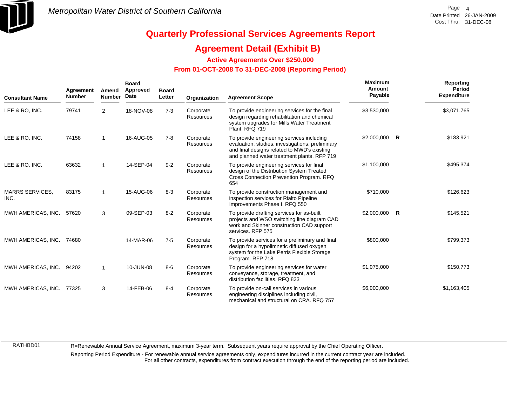

### **Agreement Detail (Exhibit B)**

**Active Agreements Over \$250,000**

#### **From 01-OCT-2008 To 31-DEC-2008 (Reporting Period)**

| <b>Consultant Name</b>         | Agreement<br><b>Number</b> | Amend<br><b>Number</b> | <b>Board</b><br>Approved<br>Date | <b>Board</b><br>Letter | Organization                  | <b>Agreement Scope</b>                                                                                                                                                                      | Maximum<br>Amount<br>Payable | Reporting<br><b>Period</b><br><b>Expenditure</b> |
|--------------------------------|----------------------------|------------------------|----------------------------------|------------------------|-------------------------------|---------------------------------------------------------------------------------------------------------------------------------------------------------------------------------------------|------------------------------|--------------------------------------------------|
| LEE & RO, INC.                 | 79741                      | $\overline{2}$         | 18-NOV-08                        | $7 - 3$                | Corporate<br>Resources        | To provide engineering services for the final<br>design regarding rehabilitation and chemical<br>system upgrades for Mills Water Treatment<br>Plant, RFQ 719                                | \$3,530,000                  | \$3,071,765                                      |
| LEE & RO, INC.                 | 74158                      |                        | 16-AUG-05                        | $7 - 8$                | Corporate<br><b>Resources</b> | To provide engineering services including<br>evaluation, studies, investigations, preliminary<br>and final designs related to MWD's existing<br>and planned water treatment plants. RFP 719 | $$2,000,000$ R               | \$183,921                                        |
| LEE & RO, INC.                 | 63632                      |                        | 14-SEP-04                        | $9 - 2$                | Corporate<br><b>Resources</b> | To provide engineering services for final<br>design of the Distribution System Treated<br>Cross Connection Prevention Program. RFQ<br>654                                                   | \$1,100,000                  | \$495,374                                        |
| <b>MARRS SERVICES.</b><br>INC. | 83175                      |                        | 15-AUG-06                        | $8 - 3$                | Corporate<br><b>Resources</b> | To provide construction management and<br>inspection services for Rialto Pipeline<br>Improvements Phase I. RFQ 550                                                                          | \$710,000                    | \$126,623                                        |
| MWH AMERICAS, INC.             | 57620                      | 3                      | 09-SEP-03                        | $8 - 2$                | Corporate<br>Resources        | To provide drafting services for as-built<br>projects and WSO switching line diagram CAD<br>work and Skinner construction CAD support<br>services. RFP 575                                  | $$2,000,000$ R               | \$145,521                                        |
| MWH AMERICAS, INC.             | 74680                      |                        | 14-MAR-06                        | $7 - 5$                | Corporate<br>Resources        | To provide services for a preliminary and final<br>design for a hypolimnetic diffused oxygen<br>system for the Lake Perris Flexible Storage<br>Program. RFP 718                             | \$800,000                    | \$799,373                                        |
| MWH AMERICAS, INC.             | 94202                      |                        | 10-JUN-08                        | $8-6$                  | Corporate<br>Resources        | To provide engineering services for water<br>conveyance, storage, treatment, and<br>distribution facilities. RFQ 833                                                                        | \$1,075,000                  | \$150,773                                        |
| MWH AMERICAS, INC.             | 77325                      | 3                      | 14-FEB-06                        | $8 - 4$                | Corporate<br>Resources        | To provide on-call services in various<br>engineering disciplines including civil,<br>mechanical and structural on CRA. RFQ 757                                                             | \$6,000,000                  | \$1,163,405                                      |

RATHBD01

R=Renewable Annual Service Agreement, maximum 3-year term. Subsequent years require approval by the Chief Operating Officer.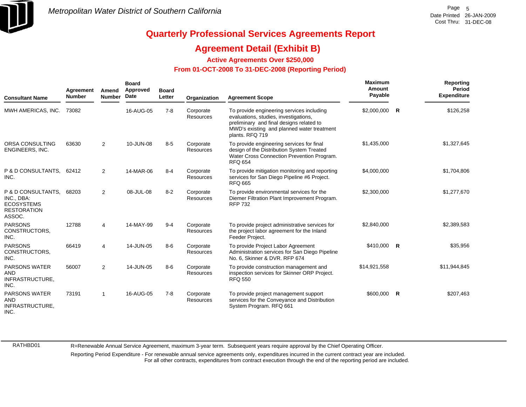

### **Agreement Detail (Exhibit B)**

**Active Agreements Over \$250,000**

#### **From 01-OCT-2008 To 31-DEC-2008 (Reporting Period)**

| <b>Consultant Name</b>                                                                | Agreement<br><b>Number</b> | Amend<br><b>Number</b> | <b>Board</b><br>Approved<br>Date | <b>Board</b><br>Letter | Organization           | <b>Agreement Scope</b>                                                                                                                                                                          | <b>Maximum</b><br>Amount<br>Payable |              | Reporting<br><b>Period</b><br><b>Expenditure</b> |
|---------------------------------------------------------------------------------------|----------------------------|------------------------|----------------------------------|------------------------|------------------------|-------------------------------------------------------------------------------------------------------------------------------------------------------------------------------------------------|-------------------------------------|--------------|--------------------------------------------------|
| MWH AMERICAS, INC.                                                                    | 73082                      |                        | 16-AUG-05                        | $7 - 8$                | Corporate<br>Resources | To provide engineering services including<br>evaluations, studies, investigations,<br>preliminary and final designs related to<br>MWD's existing and planned water treatment<br>plants. RFQ 719 | \$2,000,000                         | R            | \$126,258                                        |
| ORSA CONSULTING<br>ENGINEERS, INC.                                                    | 63630                      | $\overline{2}$         | 10-JUN-08                        | $8-5$                  | Corporate<br>Resources | To provide engineering services for final<br>design of the Distribution System Treated<br>Water Cross Connection Prevention Program.<br><b>RFQ 654</b>                                          | \$1,435,000                         |              | \$1,327,645                                      |
| P & D CONSULTANTS,<br>INC.                                                            | 62412                      | $\overline{2}$         | 14-MAR-06                        | $8 - 4$                | Corporate<br>Resources | To provide mitigation monitoring and reporting<br>services for San Diego Pipeline #6 Project.<br><b>RFQ 665</b>                                                                                 | \$4,000,000                         |              | \$1,704,806                                      |
| P & D CONSULTANTS.<br>INC., DBA:<br><b>ECOSYSTEMS</b><br><b>RESTORATION</b><br>ASSOC. | 68203                      | $\overline{2}$         | 08-JUL-08                        | $8 - 2$                | Corporate<br>Resources | To provide environmental services for the<br>Diemer Filtration Plant Improvement Program.<br><b>RFP 732</b>                                                                                     | \$2,300,000                         |              | \$1,277,670                                      |
| <b>PARSONS</b><br>CONSTRUCTORS.<br>INC.                                               | 12788                      | 4                      | 14-MAY-99                        | $9 - 4$                | Corporate<br>Resources | To provide project administrative services for<br>the project labor agreement for the Inland<br>Feeder Project.                                                                                 | \$2,840,000                         |              | \$2,389,583                                      |
| <b>PARSONS</b><br>CONSTRUCTORS.<br>INC.                                               | 66419                      | 4                      | 14-JUN-05                        | $8-6$                  | Corporate<br>Resources | To provide Project Labor Agreement<br>Administration services for San Diego Pipeline<br>No. 6, Skinner & DVR. RFP 674                                                                           | \$410,000 R                         |              | \$35,956                                         |
| <b>PARSONS WATER</b><br><b>AND</b><br>INFRASTRUCTURE,<br>INC.                         | 56007                      | $\overline{2}$         | 14-JUN-05                        | $8-6$                  | Corporate<br>Resources | To provide construction management and<br>inspection services for Skinner ORP Project.<br><b>RFQ 550</b>                                                                                        | \$14,921,558                        |              | \$11,944,845                                     |
| <b>PARSONS WATER</b><br><b>AND</b><br>INFRASTRUCTURE,<br>INC.                         | 73191                      | 1                      | 16-AUG-05                        | $7 - 8$                | Corporate<br>Resources | To provide project management support<br>services for the Conveyance and Distribution<br>System Program. RFQ 661                                                                                | \$600,000                           | $\mathsf{R}$ | \$207,463                                        |

RATHBD01

R=Renewable Annual Service Agreement, maximum 3-year term. Subsequent years require approval by the Chief Operating Officer.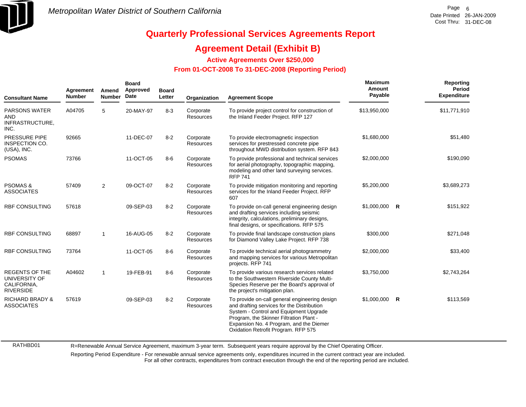

RATHBD01

# **Quarterly Professional Services Agreements Report**

### **Agreement Detail (Exhibit B)**

**Active Agreements Over \$250,000**

#### **From 01-OCT-2008 To 31-DEC-2008 (Reporting Period)**

| <b>Consultant Name</b>                                                    | Agreement<br><b>Number</b> | Amend<br><b>Number</b> | <b>Board</b><br>Approved<br>Date | <b>Board</b><br>Letter | Organization                  | <b>Agreement Scope</b>                                                                                                                                                                                                                                             | <b>Maximum</b><br>Amount<br>Payable | Reporting<br>Period<br><b>Expenditure</b> |
|---------------------------------------------------------------------------|----------------------------|------------------------|----------------------------------|------------------------|-------------------------------|--------------------------------------------------------------------------------------------------------------------------------------------------------------------------------------------------------------------------------------------------------------------|-------------------------------------|-------------------------------------------|
| <b>PARSONS WATER</b><br><b>AND</b><br>INFRASTRUCTURE,<br>INC.             | A04705                     | 5                      | 20-MAY-97                        | $8 - 3$                | Corporate<br><b>Resources</b> | To provide project control for construction of<br>the Inland Feeder Project. RFP 127                                                                                                                                                                               | \$13,950,000                        | \$11,771,910                              |
| <b>PRESSURE PIPE</b><br>INSPECTION CO.<br>(USA), INC.                     | 92665                      |                        | 11-DEC-07                        | $8 - 2$                | Corporate<br><b>Resources</b> | To provide electromagnetic inspection<br>services for prestressed concrete pipe<br>throughout MWD distribution system. RFP 843                                                                                                                                     | \$1,680,000                         | \$51,480                                  |
| <b>PSOMAS</b>                                                             | 73766                      |                        | 11-OCT-05                        | $8-6$                  | Corporate<br><b>Resources</b> | To provide professional and technical services<br>for aerial photography, topographic mapping,<br>modeling and other land surveying services.<br><b>RFP 741</b>                                                                                                    | \$2,000,000                         | \$190,090                                 |
| <b>PSOMAS &amp;</b><br><b>ASSOCIATES</b>                                  | 57409                      | $\overline{2}$         | 09-OCT-07                        | $8 - 2$                | Corporate<br>Resources        | To provide mitigation monitoring and reporting<br>services for the Inland Feeder Project. RFP<br>607                                                                                                                                                               | \$5,200,000                         | \$3,689,273                               |
| <b>RBF CONSULTING</b>                                                     | 57618                      |                        | 09-SEP-03                        | $8 - 2$                | Corporate<br><b>Resources</b> | To provide on-call general engineering design<br>and drafting services including seismic<br>integrity, calculations, preliminary designs,<br>final designs, or specifications. RFP 575                                                                             | $$1,000,000$ R                      | \$151,922                                 |
| <b>RBF CONSULTING</b>                                                     | 68897                      | -1                     | 16-AUG-05                        | $8 - 2$                | Corporate<br><b>Resources</b> | To provide final landscape construction plans<br>for Diamond Valley Lake Project. RFP 738                                                                                                                                                                          | \$300,000                           | \$271,048                                 |
| <b>RBF CONSULTING</b>                                                     | 73764                      |                        | 11-OCT-05                        | $8-6$                  | Corporate<br>Resources        | To provide technical aerial photogrammetry<br>and mapping services for various Metropolitan<br>projects. RFP 741                                                                                                                                                   | \$2,000,000                         | \$33,400                                  |
| <b>REGENTS OF THE</b><br>UNIVERSITY OF<br>CALIFORNIA,<br><b>RIVERSIDE</b> | A04602                     | $\overline{1}$         | 19-FEB-91                        | $8-6$                  | Corporate<br><b>Resources</b> | To provide various research services related<br>to the Southwestern Riverside County Multi-<br>Species Reserve per the Board's approval of<br>the project's mitigation plan.                                                                                       | \$3,750,000                         | \$2,743,264                               |
| <b>RICHARD BRADY &amp;</b><br><b>ASSOCIATES</b>                           | 57619                      |                        | 09-SEP-03                        | $8 - 2$                | Corporate<br>Resources        | To provide on-call general engineering design<br>and drafting services for the Distribution<br>System - Control and Equipment Upgrade<br>Program, the Skinner Filtration Plant -<br>Expansion No. 4 Program, and the Diemer<br>Oxidation Retrofit Program. RFP 575 | $$1,000,000$ R                      | \$113,569                                 |

R=Renewable Annual Service Agreement, maximum 3-year term. Subsequent years require approval by the Chief Operating Officer.

Reporting Period Expenditure - For renewable annual service agreements only, expenditures incurred in the current contract year are included.

For all other contracts, expenditures from contract execution through the end of the reporting period are included.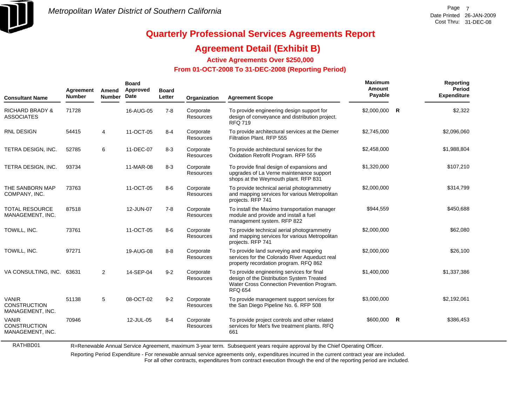

### **Agreement Detail (Exhibit B)**

**Active Agreements Over \$250,000**

#### **From 01-OCT-2008 To 31-DEC-2008 (Reporting Period)**

| <b>Consultant Name</b>                                  | Agreement<br><b>Number</b> | Amend<br><b>Number</b> | <b>Board</b><br>Approved<br>Date | <b>Board</b><br>Letter | Organization           | <b>Agreement Scope</b>                                                                                                                                 | Maximum<br>Amount<br>Payable | Reporting<br>Period<br><b>Expenditure</b> |
|---------------------------------------------------------|----------------------------|------------------------|----------------------------------|------------------------|------------------------|--------------------------------------------------------------------------------------------------------------------------------------------------------|------------------------------|-------------------------------------------|
| <b>RICHARD BRADY &amp;</b><br><b>ASSOCIATES</b>         | 71728                      |                        | 16-AUG-05                        | $7 - 8$                | Corporate<br>Resources | To provide engineering design support for<br>design of conveyance and distribution project.<br><b>RFQ 719</b>                                          | \$2,000,000 R                | \$2,322                                   |
| <b>RNL DESIGN</b>                                       | 54415                      | 4                      | 11-OCT-05                        | $8 - 4$                | Corporate<br>Resources | To provide architectural services at the Diemer<br>Filtration Plant. RFP 555                                                                           | \$2,745,000                  | \$2,096,060                               |
| TETRA DESIGN, INC.                                      | 52785                      | 6                      | 11-DEC-07                        | $8 - 3$                | Corporate<br>Resources | To provide architectural services for the<br>Oxidation Retrofit Program. RFP 555                                                                       | \$2,458,000                  | \$1,988,804                               |
| TETRA DESIGN, INC.                                      | 93734                      |                        | 11-MAR-08                        | $8 - 3$                | Corporate<br>Resources | To provide final design of expansions and<br>upgrades of La Verne maintenance support<br>shops at the Weymouth plant. RFP 831                          | \$1,320,000                  | \$107,210                                 |
| THE SANBORN MAP<br>COMPANY, INC.                        | 73763                      |                        | 11-OCT-05                        | $8-6$                  | Corporate<br>Resources | To provide technical aerial photogrammetry<br>and mapping services for various Metropolitan<br>projects. RFP 741                                       | \$2,000,000                  | \$314,799                                 |
| <b>TOTAL RESOURCE</b><br>MANAGEMENT, INC.               | 87518                      |                        | 12-JUN-07                        | $7 - 8$                | Corporate<br>Resources | To install the Maximo transportation manager<br>module and provide and install a fuel<br>management system. RFP 822                                    | \$944,559                    | \$450,688                                 |
| TOWILL, INC.                                            | 73761                      |                        | 11-OCT-05                        | $8-6$                  | Corporate<br>Resources | To provide technical aerial photogrammetry<br>and mapping services for various Metropolitan<br>projects. RFP 741                                       | \$2,000,000                  | \$62,080                                  |
| TOWILL, INC.                                            | 97271                      |                        | 19-AUG-08                        | $8 - 8$                | Corporate<br>Resources | To provide land surveying and mapping<br>services for the Colorado River Aqueduct real<br>property recordation program. RFQ 862                        | \$2,000,000                  | \$26,100                                  |
| VA CONSULTING, INC.                                     | 63631                      | $\overline{2}$         | 14-SEP-04                        | $9 - 2$                | Corporate<br>Resources | To provide engineering services for final<br>design of the Distribution System Treated<br>Water Cross Connection Prevention Program.<br><b>RFQ 654</b> | \$1,400,000                  | \$1,337,386                               |
| <b>VANIR</b><br><b>CONSTRUCTION</b><br>MANAGEMENT, INC. | 51138                      | 5                      | 08-OCT-02                        | $9 - 2$                | Corporate<br>Resources | To provide management support services for<br>the San Diego Pipeline No. 6. RFP 508                                                                    | \$3,000,000                  | \$2,192,061                               |
| <b>VANIR</b><br><b>CONSTRUCTION</b><br>MANAGEMENT, INC. | 70946                      |                        | 12-JUL-05                        | $8 - 4$                | Corporate<br>Resources | To provide project controls and other related<br>services for Met's five treatment plants. RFQ<br>661                                                  | $$600,000$ R                 | \$386,453                                 |

RATHBD01

R=Renewable Annual Service Agreement, maximum 3-year term. Subsequent years require approval by the Chief Operating Officer.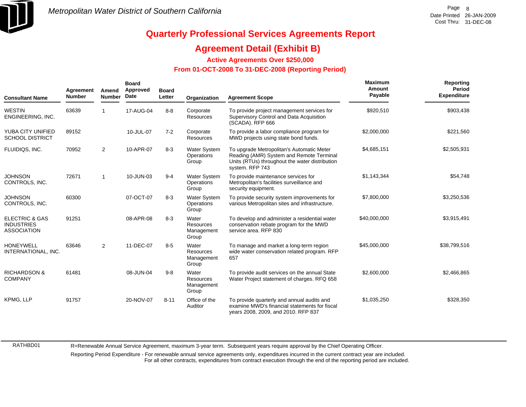

### **Agreement Detail (Exhibit B)**

**Active Agreements Over \$250,000**

#### **From 01-OCT-2008 To 31-DEC-2008 (Reporting Period)**

| <b>Consultant Name</b>                                               | Agreement<br><b>Number</b> | Amend<br><b>Number</b> | <b>Board</b><br>Approved<br>Date | <b>Board</b><br>Letter | Organization                                     | <b>Agreement Scope</b>                                                                                                                                     | Maximum<br>Amount<br>Payable | Reporting<br><b>Period</b><br><b>Expenditure</b> |
|----------------------------------------------------------------------|----------------------------|------------------------|----------------------------------|------------------------|--------------------------------------------------|------------------------------------------------------------------------------------------------------------------------------------------------------------|------------------------------|--------------------------------------------------|
| <b>WESTIN</b><br>ENGINEERING, INC.                                   | 63639                      |                        | 17-AUG-04                        | $8 - 8$                | Corporate<br>Resources                           | To provide project management services for<br>Supervisory Control and Data Acquisition<br>(SCADA). RFP 666                                                 | \$920,510                    | \$903,438                                        |
| YUBA CITY UNIFIED<br><b>SCHOOL DISTRICT</b>                          | 89152                      |                        | 10-JUL-07                        | $7 - 2$                | Corporate<br><b>Resources</b>                    | To provide a labor compliance program for<br>MWD projects using state bond funds.                                                                          | \$2,000,000                  | \$221,560                                        |
| FLUIDIQS, INC.                                                       | 70952                      | $\overline{2}$         | 10-APR-07                        | $8 - 3$                | <b>Water System</b><br>Operations<br>Group       | To upgrade Metropolitan's Automatic Meter<br>Reading (AMR) System and Remote Terminal<br>Units (RTUs) throughout the water distribution<br>system. RFP 743 | \$4,685,151                  | \$2,505,931                                      |
| <b>JOHNSON</b><br>CONTROLS, INC.                                     | 72671                      | -1                     | 10-JUN-03                        | $9 - 4$                | <b>Water System</b><br>Operations<br>Group       | To provide maintenance services for<br>Metropolitan's facilities surveillance and<br>security equipment.                                                   | \$1,143,344                  | \$54,748                                         |
| <b>JOHNSON</b><br>CONTROLS, INC.                                     | 60300                      |                        | 07-OCT-07                        | $8 - 3$                | <b>Water System</b><br>Operations<br>Group       | To provide security system improvements for<br>various Metropolitan sites and infrastructure.                                                              | \$7,800,000                  | \$3,250,536                                      |
| <b>ELECTRIC &amp; GAS</b><br><b>INDUSTRIES</b><br><b>ASSOCIATION</b> | 91251                      |                        | 08-APR-08                        | $8 - 3$                | Water<br>Resources<br>Management<br>Group        | To develop and administer a residential water<br>conservation rebate program for the MWD<br>service area. RFP 830                                          | \$40,000,000                 | \$3,915,491                                      |
| <b>HONEYWELL</b><br>INTERNATIONAL, INC.                              | 63646                      | $\overline{2}$         | 11-DEC-07                        | $8 - 5$                | Water<br><b>Resources</b><br>Management<br>Group | To manage and market a long-term region<br>wide water conservation related program. RFP<br>657                                                             | \$45,000,000                 | \$38,799,516                                     |
| <b>RICHARDSON &amp;</b><br><b>COMPANY</b>                            | 61481                      |                        | 08-JUN-04                        | $9 - 8$                | Water<br><b>Resources</b><br>Management<br>Group | To provide audit services on the annual State<br>Water Project statement of charges. RFQ 658                                                               | \$2,600,000                  | \$2,466,865                                      |
| <b>KPMG. LLP</b>                                                     | 91757                      |                        | 20-NOV-07                        | $8 - 11$               | Office of the<br>Auditor                         | To provide quarterly and annual audits and<br>examine MWD's financial statements for fiscal<br>years 2008, 2009, and 2010. RFP 837                         | \$1,035,250                  | \$328,350                                        |

RATHBD01

R=Renewable Annual Service Agreement, maximum 3-year term. Subsequent years require approval by the Chief Operating Officer.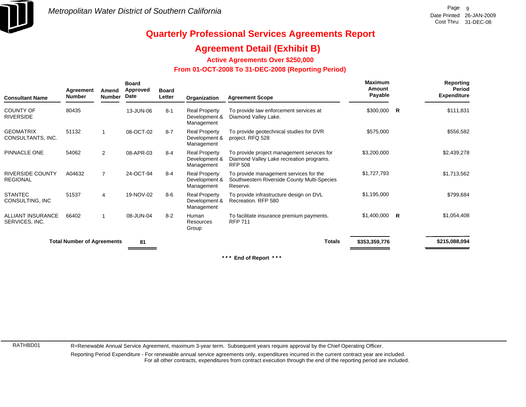

### **Agreement Detail (Exhibit B)**

**Active Agreements Over \$250,000**

#### **From 01-OCT-2008 To 31-DEC-2008 (Reporting Period)**

| <b>Consultant Name</b>                     | Agreement<br><b>Number</b>        | Amend<br><b>Number</b>   | <b>Board</b><br><b>Approved</b><br>Date | <b>Board</b><br>Letter | Organization                                        | <b>Agreement Scope</b>                                                                                   | <b>Maximum</b><br>Amount<br>Payable |   | Reporting<br>Period<br><b>Expenditure</b> |
|--------------------------------------------|-----------------------------------|--------------------------|-----------------------------------------|------------------------|-----------------------------------------------------|----------------------------------------------------------------------------------------------------------|-------------------------------------|---|-------------------------------------------|
| COUNTY OF<br><b>RIVERSIDE</b>              | 80435                             |                          | 13-JUN-06                               | $8 - 1$                | <b>Real Property</b><br>Development &<br>Management | To provide law enforcement services at<br>Diamond Valley Lake.                                           | \$300,000                           | R | \$111,831                                 |
| <b>GEOMATRIX</b><br>CONSULTANTS, INC.      | 51132                             |                          | 08-OCT-02                               | $8 - 7$                | <b>Real Property</b><br>Development &<br>Management | To provide geotechnical studies for DVR<br>project. RFQ 528                                              | \$575,000                           |   | \$556,582                                 |
| PINNACLE ONE                               | 54062                             | $\overline{2}$           | 08-APR-03                               | $8 - 4$                | <b>Real Property</b><br>Development &<br>Management | To provide project management services for<br>Diamond Valley Lake recreation programs.<br><b>RFP 508</b> | \$3,200,000                         |   | \$2,439,278                               |
| <b>RIVERSIDE COUNTY</b><br><b>REGIONAL</b> | A04632                            | $\overline{7}$           | 24-OCT-94                               | $8 - 4$                | <b>Real Property</b><br>Development &<br>Management | To provide management services for the<br>Southwestern Riverside County Multi-Species<br>Reserve.        | \$1,727,793                         |   | \$1,713,562                               |
| <b>STANTEC</b><br>CONSULTING, INC          | 51537                             | 4                        | 19-NOV-02                               | $8 - 6$                | <b>Real Property</b><br>Development &<br>Management | To provide infrastructure design on DVL<br>Recreation, RFP 580                                           | \$1,195,000                         |   | \$799,684                                 |
| <b>ALLIANT INSURANCE</b><br>SERVICES, INC. | 66402                             | $\overline{\phantom{a}}$ | 08-JUN-04                               | $8 - 2$                | Human<br>Resources<br>Group                         | To facilitate insurance premium payments.<br><b>RFP 711</b>                                              | $$1,400,000$ R                      |   | \$1,054,408                               |
|                                            | <b>Total Number of Agreements</b> |                          | 81                                      |                        |                                                     | <b>Totals</b>                                                                                            | \$353,359,776                       |   | \$215,088,094                             |

**\* \* \* End of Report \* \* \***

RATHBD01

R=Renewable Annual Service Agreement, maximum 3-year term. Subsequent years require approval by the Chief Operating Officer.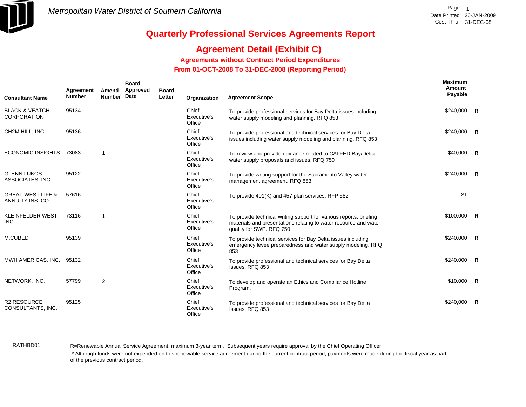

## **Agreement Detail (Exhibit C)**

**Agreements without Contract Period Expenditures**

 **From 01-OCT-2008 To 31-DEC-2008 (Reporting Period)** 

| <b>Consultant Name</b>                           | Agreement<br><b>Number</b> | Amend<br><b>Number</b> | <b>Board</b><br>Approved<br>Date | <b>Board</b><br>Letter | Organization                   | <b>Agreement Scope</b>                                                                                                                                             | Maximum<br>Amount<br>Payable |                |
|--------------------------------------------------|----------------------------|------------------------|----------------------------------|------------------------|--------------------------------|--------------------------------------------------------------------------------------------------------------------------------------------------------------------|------------------------------|----------------|
| <b>BLACK &amp; VEATCH</b><br><b>CORPORATION</b>  | 95134                      |                        |                                  |                        | Chief<br>Executive's<br>Office | To provide professional services for Bay Delta issues including<br>water supply modeling and planning. RFQ 853                                                     | $$240,000$ R                 |                |
| CH2M HILL, INC.                                  | 95136                      |                        |                                  |                        | Chief<br>Executive's<br>Office | To provide professional and technical services for Bay Delta<br>issues including water supply modeling and planning. RFQ 853                                       | $$240,000$ R                 |                |
| <b>ECONOMIC INSIGHTS</b>                         | 73083                      | $\mathbf{1}$           |                                  |                        | Chief<br>Executive's<br>Office | To review and provide guidance related to CALFED Bay/Delta<br>water supply proposals and issues. RFQ 750                                                           | \$40,000 R                   |                |
| <b>GLENN LUKOS</b><br>ASSOCIATES, INC.           | 95122                      |                        |                                  |                        | Chief<br>Executive's<br>Office | To provide writing support for the Sacramento Valley water<br>management agreement. RFQ 853                                                                        | $$240,000$ R                 |                |
| <b>GREAT-WEST LIFE &amp;</b><br>ANNUITY INS. CO. | 57616                      |                        |                                  |                        | Chief<br>Executive's<br>Office | To provide 401(K) and 457 plan services. RFP 582                                                                                                                   | \$1                          |                |
| KLEINFELDER WEST,<br>INC.                        | 73116                      | 1                      |                                  |                        | Chief<br>Executive's<br>Office | To provide technical writing support for various reports, briefing<br>materials and presentations relating to water resource and water<br>quality for SWP. RFQ 750 | $$100,000$ R                 |                |
| M.CUBED                                          | 95139                      |                        |                                  |                        | Chief<br>Executive's<br>Office | To provide technical services for Bay Delta issues including<br>emergency levee preparedness and water supply modeling. RFQ<br>853                                 | $$240,000$ R                 |                |
| MWH AMERICAS, INC.                               | 95132                      |                        |                                  |                        | Chief<br>Executive's<br>Office | To provide professional and technical services for Bay Delta<br>Issues. RFQ 853                                                                                    | $$240,000$ R                 |                |
| NETWORK, INC.                                    | 57799                      | $\overline{2}$         |                                  |                        | Chief<br>Executive's<br>Office | To develop and operate an Ethics and Compliance Hotline<br>Program.                                                                                                | $$10,000$ R                  |                |
| <b>R2 RESOURCE</b><br>CONSULTANTS, INC.          | 95125                      |                        |                                  |                        | Chief<br>Executive's<br>Office | To provide professional and technical services for Bay Delta<br>Issues, RFQ 853                                                                                    | \$240,000                    | $\overline{R}$ |

RATHBD01

R=Renewable Annual Service Agreement, maximum 3-year term. Subsequent years require approval by the Chief Operating Officer.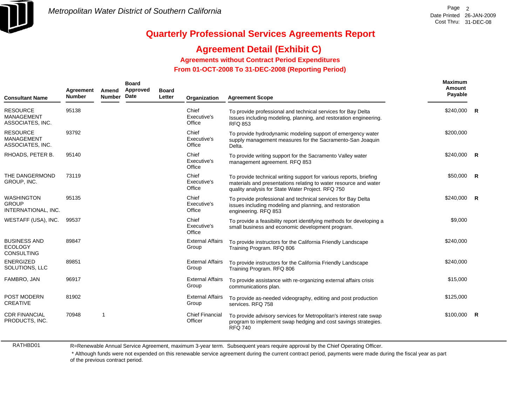

**Maximum**

# **Quarterly Professional Services Agreements Report**

### **Agreement Detail (Exhibit C)**

**Agreements without Contract Period Expenditures**

 **From 01-OCT-2008 To 31-DEC-2008 (Reporting Period)** 

| <b>Consultant Name</b>                                     | Agreement<br><b>Number</b> | Amend<br><b>Number</b> | <b>Board</b><br>Approved<br>Date | <b>Board</b><br>Letter | Organization                      | <b>Agreement Scope</b>                                                                                                                                                                      | <u>maxımum</u><br>Amount<br>Payable |              |
|------------------------------------------------------------|----------------------------|------------------------|----------------------------------|------------------------|-----------------------------------|---------------------------------------------------------------------------------------------------------------------------------------------------------------------------------------------|-------------------------------------|--------------|
| <b>RESOURCE</b><br><b>MANAGEMENT</b><br>ASSOCIATES, INC.   | 95138                      |                        |                                  |                        | Chief<br>Executive's<br>Office    | To provide professional and technical services for Bay Delta<br>Issues including modeling, planning, and restoration engineering.<br><b>RFQ 853</b>                                         | \$240,000                           | R            |
| <b>RESOURCE</b><br><b>MANAGEMENT</b><br>ASSOCIATES, INC.   | 93792                      |                        |                                  |                        | Chief<br>Executive's<br>Office    | To provide hydrodynamic modeling support of emergency water<br>supply management measures for the Sacramento-San Joaquin<br>Delta.                                                          | \$200,000                           |              |
| RHOADS, PETER B.                                           | 95140                      |                        |                                  |                        | Chief<br>Executive's<br>Office    | To provide writing support for the Sacramento Valley water<br>management agreement. RFQ 853                                                                                                 | \$240,000                           | R            |
| THE DANGERMOND<br>GROUP, INC.                              | 73119                      |                        |                                  |                        | Chief<br>Executive's<br>Office    | To provide technical writing support for various reports, briefing<br>materials and presentations relating to water resource and water<br>quality analysis for State Water Project. RFQ 750 | \$50,000                            | -R           |
| <b>WASHINGTON</b><br><b>GROUP</b><br>INTERNATIONAL, INC.   | 95135                      |                        |                                  |                        | Chief<br>Executive's<br>Office    | To provide professional and technical services for Bay Delta<br>issues including modeling and planning, and restoration<br>engineering. RFQ 853                                             | \$240,000                           | $\mathsf{R}$ |
| WESTAFF (USA), INC.                                        | 99537                      |                        |                                  |                        | Chief<br>Executive's<br>Office    | To provide a feasibility report identifying methods for developing a<br>small business and economic development program.                                                                    | \$9,000                             |              |
| <b>BUSINESS AND</b><br><b>ECOLOGY</b><br><b>CONSULTING</b> | 89847                      |                        |                                  |                        | <b>External Affairs</b><br>Group  | To provide instructors for the California Friendly Landscape<br>Training Program. RFQ 806                                                                                                   | \$240,000                           |              |
| <b>ENERGIZED</b><br>SOLUTIONS, LLC                         | 89851                      |                        |                                  |                        | <b>External Affairs</b><br>Group  | To provide instructors for the California Friendly Landscape<br>Training Program. RFQ 806                                                                                                   | \$240,000                           |              |
| FAMBRO, JAN                                                | 96917                      |                        |                                  |                        | <b>External Affairs</b><br>Group  | To provide assistance with re-organizing external affairs crisis<br>communications plan.                                                                                                    | \$15,000                            |              |
| POST MODERN<br><b>CREATIVE</b>                             | 81902                      |                        |                                  |                        | <b>External Affairs</b><br>Group  | To provide as-needed videography, editing and post production<br>services. RFQ 758                                                                                                          | \$125,000                           |              |
| <b>CDR FINANCIAL</b><br>PRODUCTS, INC.                     | 70948                      | $\mathbf{1}$           |                                  |                        | <b>Chief Financial</b><br>Officer | To provide advisory services for Metropolitan's interest rate swap<br>program to implement swap hedging and cost savings strategies.<br><b>RFQ 740</b>                                      | \$100,000                           | $\mathsf{R}$ |

RATHBD01

R=Renewable Annual Service Agreement, maximum 3-year term. Subsequent years require approval by the Chief Operating Officer.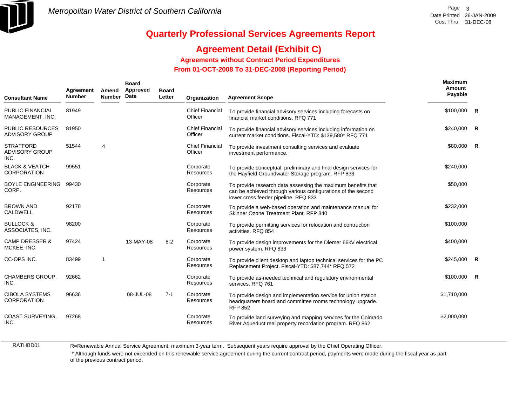

### **Agreement Detail (Exhibit C)**

**Agreements without Contract Period Expenditures**

 **From 01-OCT-2008 To 31-DEC-2008 (Reporting Period)** 

| <b>Consultant Name</b>                            | Agreement<br><b>Number</b> | Amend<br><b>Number</b> | <b>Board</b><br>Approved<br>Date | <b>Board</b><br>Letter | Organization                      | <b>Agreement Scope</b>                                                                                                                                               | Maximum<br>Amount<br>Payable |                |
|---------------------------------------------------|----------------------------|------------------------|----------------------------------|------------------------|-----------------------------------|----------------------------------------------------------------------------------------------------------------------------------------------------------------------|------------------------------|----------------|
| <b>PUBLIC FINANCIAL</b><br>MANAGEMENT, INC.       | 81949                      |                        |                                  |                        | <b>Chief Financial</b><br>Officer | To provide financial advisory services including forecasts on<br>financial market conditions. RFQ 771                                                                | $$100,000$ R                 |                |
| <b>PUBLIC RESOURCES</b><br><b>ADVISORY GROUP</b>  | 81950                      |                        |                                  |                        | <b>Chief Financial</b><br>Officer | To provide financial advisory services including information on<br>current market conditions. Fiscal-YTD: \$139,580* RFQ 771                                         | \$240,000                    | $\overline{R}$ |
| <b>STRATFORD</b><br><b>ADVISORY GROUP</b><br>INC. | 51544                      | 4                      |                                  |                        | <b>Chief Financial</b><br>Officer | To provide investment consulting services and evaluate<br>investment performance.                                                                                    | \$80,000 R                   |                |
| <b>BLACK &amp; VEATCH</b><br><b>CORPORATION</b>   | 99551                      |                        |                                  |                        | Corporate<br>Resources            | To provide conceptual, preliminary and final design services for<br>the Hayfield Groundwater Storage program. RFP 833                                                | \$240,000                    |                |
| BOYLE ENGINEERING<br>CORP.                        | 99430                      |                        |                                  |                        | Corporate<br>Resources            | To provide research data assessing the maximum benefits that<br>can be achieved through various configurations of the second<br>lower cross feeder pipeline. RFQ 833 | \$50,000                     |                |
| <b>BROWN AND</b><br><b>CALDWELL</b>               | 92178                      |                        |                                  |                        | Corporate<br>Resources            | To provide a web-based operation and maintenance manual for<br>Skinner Ozone Treatment Plant. RFP 840                                                                | \$232,000                    |                |
| <b>BULLOCK &amp;</b><br>ASSOCIATES, INC.          | 98200                      |                        |                                  |                        | Corporate<br>Resources            | To provide permitting services for relocation and contruction<br>activities. RFQ 854                                                                                 | \$100,000                    |                |
| <b>CAMP DRESSER &amp;</b><br>MCKEE, INC.          | 97424                      |                        | 13-MAY-08                        | $8 - 2$                | Corporate<br>Resources            | To provide design improvements for the Diemer 66kV electrical<br>power system. RFQ 833                                                                               | \$400,000                    |                |
| CC-OPS INC.                                       | 83499                      |                        |                                  |                        | Corporate<br>Resources            | To provide client desktop and laptop technical services for the PC<br>Replacement Project. Fiscal-YTD: \$87,744* RFQ 572                                             | \$245,000                    | $\overline{R}$ |
| CHAMBERS GROUP,<br>INC.                           | 92662                      |                        |                                  |                        | Corporate<br>Resources            | To provide as-needed technical and regulatory environmental<br>services. RFQ 761                                                                                     | $$100,000$ R                 |                |
| <b>CIBOLA SYSTEMS</b><br><b>CORPORATION</b>       | 96636                      |                        | 08-JUL-08                        | $7 - 1$                | Corporate<br>Resources            | To provide design and implementation service for union station<br>headquarters board and committee rooms technology upgrade.<br><b>RFP 852</b>                       | \$1,710,000                  |                |
| <b>COAST SURVEYING,</b><br>INC.                   | 97268                      |                        |                                  |                        | Corporate<br>Resources            | To provide land surveying and mapping services for the Colorado<br>River Aqueduct real property recordation program. RFQ 862                                         | \$2,000,000                  |                |
|                                                   |                            |                        |                                  |                        |                                   |                                                                                                                                                                      |                              |                |

RATHBD01

R=Renewable Annual Service Agreement, maximum 3-year term. Subsequent years require approval by the Chief Operating Officer.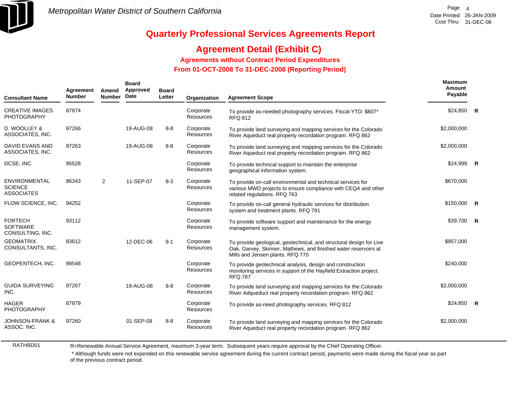

### **Agreement Detail (Exhibit C)**

**Agreements without Contract Period Expenditures**

 **From 01-OCT-2008 To 31-DEC-2008 (Reporting Period)** 

| <b>Consultant Name</b>                                | Agreement<br><b>Number</b> | Amend<br><b>Number</b> | <b>Board</b><br>Approved<br>Date | <b>Board</b><br>Letter | Organization           | <b>Agreement Scope</b>                                                                                                                                                     | <b>Maximum</b><br>Amount<br>Payable |                         |
|-------------------------------------------------------|----------------------------|------------------------|----------------------------------|------------------------|------------------------|----------------------------------------------------------------------------------------------------------------------------------------------------------------------------|-------------------------------------|-------------------------|
| <b>CREATIVE IMAGES</b><br><b>PHOTOGRAPHY</b>          | 87874                      |                        |                                  |                        | Corporate<br>Resources | To provide as-needed photography services. Fiscal-YTD: \$807*<br><b>RFQ 812</b>                                                                                            | $$24,850$ R                         |                         |
| D. WOOLLEY &<br>ASSOCIATES, INC.                      | 97266                      |                        | 19-AUG-08                        | $8 - 8$                | Corporate<br>Resources | To provide land surveying and mapping services for the Colorado<br>River Aqueduct real property recordation program. RFQ 862                                               | \$2,000,000                         |                         |
| <b>DAVID EVANS AND</b><br>ASSOCIATES, INC.            | 97263                      |                        | 19-AUG-08                        | $8 - 8$                | Corporate<br>Resources | To provide land surveying and mapping services for the Colorado<br>River Aqueduct real property recordation program. RFQ 862                                               | \$2,000,000                         |                         |
| DCSE, INC.                                            | 95528                      |                        |                                  |                        | Corporate<br>Resources | To provide technical support to maintain the enterprise<br>geographical information system.                                                                                | \$24,999                            | $\overline{\mathbf{R}}$ |
| ENVIRONMENTAL<br><b>SCIENCE</b><br><b>ASSOCIATES</b>  | 86343                      | $\overline{2}$         | 11-SEP-07                        | $8 - 3$                | Corporate<br>Resources | To provide on-call environmental and technical services for<br>various MWD projects to ensure compliance with CEQA and other<br>related regulations. RFQ 763               | \$670,000                           |                         |
| FLOW SCIENCE, INC.                                    | 94252                      |                        |                                  |                        | Corporate<br>Resources | To provide on-call general hydraulic services for distribution<br>system and treatment plants. RFQ 791                                                                     | \$150,000                           | $\mathsf{R}$            |
| <b>FORTECH</b><br><b>SOFTWARE</b><br>CONSULTING, INC. | 93112                      |                        |                                  |                        | Corporate<br>Resources | To provide software support and maintenance for the energy<br>management system.                                                                                           | \$39,700                            | $\overline{R}$          |
| <b>GEOMATRIX</b><br>CONSULTANTS, INC.                 | 83612                      |                        | 12-DEC-06                        | $8 - 1$                | Corporate<br>Resources | To provide geological, geotechnical, and structural design for Live<br>Oak, Garvey, Skinner, Mathews, and finished water reservoirs at<br>Mills and Jensen plants. RFQ 770 | \$957,000                           |                         |
| GEOPENTECH, INC.                                      | 99548                      |                        |                                  |                        | Corporate<br>Resources | To provide geotechnical analysis, design and construction<br>monitoring services in support of the Hayfield Extraction project.<br><b>RFQ 787</b>                          | \$240,000                           |                         |
| <b>GUIDA SURVEYING</b><br>INC.                        | 97267                      |                        | 19-AUG-08                        | $8 - 8$                | Corporate<br>Resources | To provide land surveying and mapping services for the Colorado<br>River Adqueduct real property recordation program. RFQ 862                                              | \$2,000,000                         |                         |
| <b>HAGER</b><br><b>PHOTOGRAPHY</b>                    | 87879                      |                        |                                  |                        | Corporate<br>Resources | To provide as-need photography services. RFQ 812                                                                                                                           | \$24,850                            | $\overline{R}$          |
| <b>JOHNSON-FRANK &amp;</b><br>ASSOC. INC.             | 97260                      |                        | 01-SEP-08                        | $8 - 8$                | Corporate<br>Resources | To provide land surveying and mapping services for the Colorado<br>River Aqueduct real property recordation program. RFQ 862                                               | \$2,000,000                         |                         |

RATHBD01

R=Renewable Annual Service Agreement, maximum 3-year term. Subsequent years require approval by the Chief Operating Officer.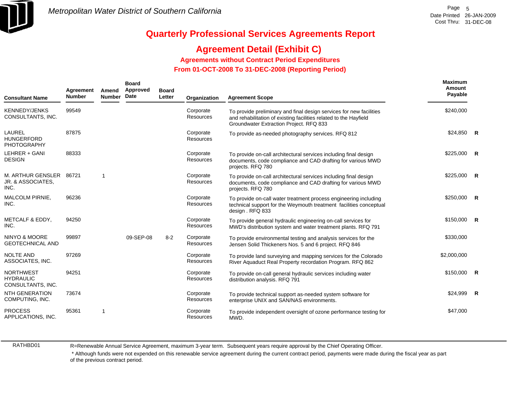

### **Agreement Detail (Exhibit C)**

**Agreements without Contract Period Expenditures**

 **From 01-OCT-2008 To 31-DEC-2008 (Reporting Period)** 

| <b>Consultant Name</b>                                    | Agreement<br><b>Number</b> | Amend<br><b>Number</b> | <b>Board</b><br>Approved<br>Date | <b>Board</b><br>Letter | Organization                  | <b>Agreement Scope</b>                                                                                                                                                              | <b>Maximum</b><br>Amount<br>Payable |  |
|-----------------------------------------------------------|----------------------------|------------------------|----------------------------------|------------------------|-------------------------------|-------------------------------------------------------------------------------------------------------------------------------------------------------------------------------------|-------------------------------------|--|
| <b>KENNEDY/JENKS</b><br>CONSULTANTS, INC.                 | 99549                      |                        |                                  |                        | Corporate<br>Resources        | To provide preliminary and final design services for new facilities<br>and rehabilitation of existing facilities related to the Hayfield<br>Groundwater Extraction Project. RFQ 833 | \$240,000                           |  |
| LAUREL<br><b>HUNGERFORD</b><br><b>PHOTOGRAPHY</b>         | 87875                      |                        |                                  |                        | Corporate<br><b>Resources</b> | To provide as-needed photography services. RFQ 812                                                                                                                                  | $$24,850$ R                         |  |
| LEHRER + GANI<br><b>DESIGN</b>                            | 88333                      |                        |                                  |                        | Corporate<br>Resources        | To provide on-call architectural services including final design<br>documents, code compliance and CAD drafting for various MWD<br>projects. RFQ 780                                | $$225,000$ R                        |  |
| M. ARTHUR GENSLER 86721<br>JR. & ASSOCIATES,<br>INC.      |                            | 1                      |                                  |                        | Corporate<br>Resources        | To provide on-call architectural services including final design<br>documents, code compliance and CAD drafting for various MWD<br>projects. RFQ 780                                | $$225,000$ R                        |  |
| MALCOLM PIRNIE,<br>INC.                                   | 96236                      |                        |                                  |                        | Corporate<br>Resources        | To provide on-call water treatment process engineering including<br>technical support for the Weymouth treatment facilities conceptual<br>design . RFQ 833                          | $$250,000$ R                        |  |
| METCALF & EDDY,<br>INC.                                   | 94250                      |                        |                                  |                        | Corporate<br><b>Resources</b> | To provide general hydraulic engineering on-call services for<br>MWD's distribution system and water treatment plants. RFQ 791                                                      | $$150,000$ R                        |  |
| NINYO & MOORE<br><b>GEOTECHNICAL AND</b>                  | 99897                      |                        | 09-SEP-08                        | $8 - 2$                | Corporate<br>Resources        | To provide environmental testing and analysis services for the<br>Jensen Solid Thickeners Nos. 5 and 6 project. RFQ 846                                                             | \$330,000                           |  |
| <b>NOLTE AND</b><br>ASSOCIATES, INC.                      | 97269                      |                        |                                  |                        | Corporate<br>Resources        | To provide land surveying and mapping services for the Colorado<br>River Aquaduct Real Property recordation Program. RFQ 862                                                        | \$2,000,000                         |  |
| <b>NORTHWEST</b><br><b>HYDRAULIC</b><br>CONSULTANTS, INC. | 94251                      |                        |                                  |                        | Corporate<br><b>Resources</b> | To provide on-call general hydraulic services including water<br>distribution analysis. RFQ 791                                                                                     | $$150,000$ R                        |  |
| <b>NTH GENERATION</b><br>COMPUTING, INC.                  | 73674                      |                        |                                  |                        | Corporate<br>Resources        | To provide technical support as-needed system software for<br>enterprise UNIX and SAN/NAS environments.                                                                             | $$24,999$ R                         |  |
| <b>PROCESS</b><br>APPLICATIONS, INC.                      | 95361                      | 1                      |                                  |                        | Corporate<br><b>Resources</b> | To provide independent oversight of ozone performance testing for<br>MWD.                                                                                                           | \$47,000                            |  |

RATHBD01

R=Renewable Annual Service Agreement, maximum 3-year term. Subsequent years require approval by the Chief Operating Officer.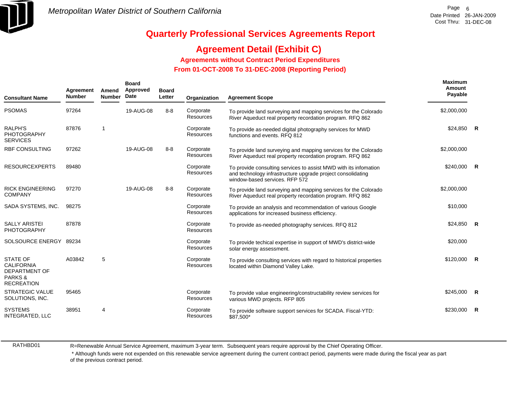

## **Agreement Detail (Exhibit C)**

**Agreements without Contract Period Expenditures**

 **From 01-OCT-2008 To 31-DEC-2008 (Reporting Period)** 

| <b>Consultant Name</b>                                                                       | Agreement<br><b>Number</b> | Amend<br><b>Number</b> | <b>Board</b><br>Approved<br>Date | <b>Board</b><br>Letter | Organization                  | <b>Agreement Scope</b>                                                                                                                                            | Maximum<br>Amount<br>Payable |              |
|----------------------------------------------------------------------------------------------|----------------------------|------------------------|----------------------------------|------------------------|-------------------------------|-------------------------------------------------------------------------------------------------------------------------------------------------------------------|------------------------------|--------------|
| <b>PSOMAS</b>                                                                                | 97264                      |                        | 19-AUG-08                        | $8 - 8$                | Corporate<br><b>Resources</b> | To provide land surveying and mapping services for the Colorado<br>River Aqueduct real property recordation program. RFQ 862                                      | \$2,000,000                  |              |
| <b>RALPH'S</b><br><b>PHOTOGRAPHY</b><br><b>SERVICES</b>                                      | 87876                      | 1                      |                                  |                        | Corporate<br><b>Resources</b> | To provide as-needed digital photography services for MWD<br>functions and events, RFQ 812                                                                        | $$24,850$ R                  |              |
| <b>RBF CONSULTING</b>                                                                        | 97262                      |                        | 19-AUG-08                        | $8 - 8$                | Corporate<br>Resources        | To provide land surveying and mapping services for the Colorado<br>River Aqueduct real property recordation program. RFQ 862                                      | \$2,000,000                  |              |
| <b>RESOURCEXPERTS</b>                                                                        | 89480                      |                        |                                  |                        | Corporate<br><b>Resources</b> | To provide consulting services to assist MWD with its infomation<br>and technology infrastructure upgrade project consolidating<br>window-based services. RFP 572 | $$240,000$ R                 |              |
| <b>RICK ENGINEERING</b><br><b>COMPANY</b>                                                    | 97270                      |                        | 19-AUG-08                        | $8 - 8$                | Corporate<br>Resources        | To provide land surveying and mapping services for the Colorado<br>River Aqueduct real property recordation program. RFQ 862                                      | \$2,000,000                  |              |
| SADA SYSTEMS, INC.                                                                           | 98275                      |                        |                                  |                        | Corporate<br><b>Resources</b> | To provide an analysis and recommendation of various Google<br>applications for increased business efficiency.                                                    | \$10,000                     |              |
| <b>SALLY ARISTEI</b><br>PHOTOGRAPHY                                                          | 87878                      |                        |                                  |                        | Corporate<br>Resources        | To provide as-needed photography services. RFQ 812                                                                                                                | $$24,850$ R                  |              |
| SOLSOURCE ENERGY                                                                             | 89234                      |                        |                                  |                        | Corporate<br>Resources        | To provide techical expertise in support of MWD's district-wide<br>solar energy assessment.                                                                       | \$20,000                     |              |
| <b>STATE OF</b><br><b>CALIFORNIA</b><br><b>DEPARTMENT OF</b><br>PARKS &<br><b>RECREATION</b> | A03842                     | 5                      |                                  |                        | Corporate<br>Resources        | To provide consulting services with regard to historical properties<br>located within Diamond Valley Lake.                                                        | $$120,000$ R                 |              |
| <b>STRATEGIC VALUE</b><br>SOLUTIONS, INC.                                                    | 95465                      |                        |                                  |                        | Corporate<br>Resources        | To provide value engineering/constructability review services for<br>various MWD projects. RFP 805                                                                | \$245,000 R                  |              |
| <b>SYSTEMS</b><br><b>INTEGRATED, LLC</b>                                                     | 38951                      | 4                      |                                  |                        | Corporate<br>Resources        | To provide software support services for SCADA. Fiscal-YTD:<br>\$87,500*                                                                                          | \$230,000                    | $\mathsf{R}$ |

RATHBD01

R=Renewable Annual Service Agreement, maximum 3-year term. Subsequent years require approval by the Chief Operating Officer.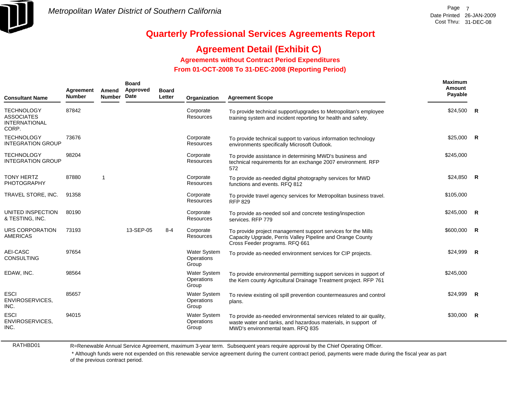

## **Agreement Detail (Exhibit C)**

**Agreements without Contract Period Expenditures**

 **From 01-OCT-2008 To 31-DEC-2008 (Reporting Period)** 

| <b>Consultant Name</b>                                                  | Agreement<br><b>Number</b> | Amend<br><b>Number</b> | <b>Board</b><br>Approved<br>Date | <b>Board</b><br>Letter | Organization                               | <b>Agreement Scope</b>                                                                                                                                                    | Maximum<br>Amount<br>Payable |              |
|-------------------------------------------------------------------------|----------------------------|------------------------|----------------------------------|------------------------|--------------------------------------------|---------------------------------------------------------------------------------------------------------------------------------------------------------------------------|------------------------------|--------------|
| <b>TECHNOLOGY</b><br><b>ASSOCIATES</b><br><b>INTERNATIONAL</b><br>CORP. | 87842                      |                        |                                  |                        | Corporate<br>Resources                     | To provide technical support/upgrades to Metropolitan's employee<br>training system and incident reporting for health and safety.                                         | $$24,500$ R                  |              |
| <b>TECHNOLOGY</b><br><b>INTEGRATION GROUP</b>                           | 73676                      |                        |                                  |                        | Corporate<br>Resources                     | To provide technical support to various information technology<br>environments specifically Microsoft Outlook.                                                            | \$25,000                     | $\mathsf{R}$ |
| <b>TECHNOLOGY</b><br><b>INTEGRATION GROUP</b>                           | 98204                      |                        |                                  |                        | Corporate<br>Resources                     | To provide assistance in determining MWD's business and<br>technical requirements for an exchange 2007 environment. RFP<br>572                                            | \$245,000                    |              |
| <b>TONY HERTZ</b><br><b>PHOTOGRAPHY</b>                                 | 87880                      | $\mathbf{1}$           |                                  |                        | Corporate<br>Resources                     | To provide as-needed digital photography services for MWD<br>functions and events. RFQ 812                                                                                | \$24,850                     | $\mathsf{R}$ |
| TRAVEL STORE, INC.                                                      | 91358                      |                        |                                  |                        | Corporate<br>Resources                     | To provide travel agency services for Metropolitan business travel.<br><b>RFP 829</b>                                                                                     | \$105,000                    |              |
| UNITED INSPECTION<br>& TESTING, INC.                                    | 80190                      |                        |                                  |                        | Corporate<br>Resources                     | To provide as-needed soil and concrete testing/inspection<br>services. RFP 779                                                                                            | \$245,000                    | R            |
| URS CORPORATION<br>AMERICAS                                             | 73193                      |                        | 13-SEP-05                        | $8 - 4$                | Corporate<br>Resources                     | To provide project management support services for the Mills<br>Capacity Upgrade, Perris Valley Pipeline and Orange County<br>Cross Feeder programs. RFQ 661              | \$600,000                    | R            |
| AEI-CASC<br><b>CONSULTING</b>                                           | 97654                      |                        |                                  |                        | <b>Water System</b><br>Operations<br>Group | To provide as-needed environment services for CIP projects.                                                                                                               | \$24,999                     | R            |
| EDAW, INC.                                                              | 98564                      |                        |                                  |                        | Water System<br>Operations<br>Group        | To provide environmental permitting support services in support of<br>the Kern county Agricultural Drainage Treatment project. RFP 761                                    | \$245,000                    |              |
| <b>ESCI</b><br>ENVIROSERVICES,<br>INC.                                  | 85657                      |                        |                                  |                        | <b>Water System</b><br>Operations<br>Group | To review existing oil spill prevention countermeasures and control<br>plans.                                                                                             | \$24,999                     | <b>R</b>     |
| <b>ESCI</b><br>ENVIROSERVICES,<br>INC.                                  | 94015                      |                        |                                  |                        | <b>Water System</b><br>Operations<br>Group | To provide as-needed environmental services related to air quality,<br>waste water and tanks, and hazardous materials, in support of<br>MWD's environmental team. RFQ 835 | \$30,000                     | <b>R</b>     |

RATHBD01

R=Renewable Annual Service Agreement, maximum 3-year term. Subsequent years require approval by the Chief Operating Officer.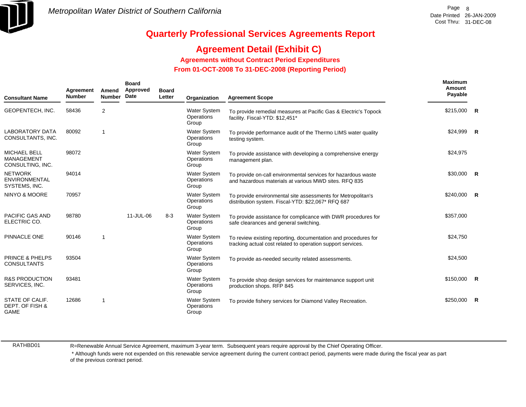

## **Agreement Detail (Exhibit C)**

**Agreements without Contract Period Expenditures**

 **From 01-OCT-2008 To 31-DEC-2008 (Reporting Period)** 

| <b>Consultant Name</b>                                       | <b>Agreement</b><br><b>Number</b> | Amend<br><b>Number</b> | <b>Board</b><br>Approved<br>Date | <b>Board</b><br>Letter | Organization                               | <b>Agreement Scope</b>                                                                                                        | Maximum<br>Amount<br>Payable |                |
|--------------------------------------------------------------|-----------------------------------|------------------------|----------------------------------|------------------------|--------------------------------------------|-------------------------------------------------------------------------------------------------------------------------------|------------------------------|----------------|
| GEOPENTECH, INC.                                             | 58436                             | $\overline{2}$         |                                  |                        | <b>Water System</b><br>Operations<br>Group | To provide remedial measures at Pacific Gas & Electric's Topock<br>facility. Fiscal-YTD: \$12,451*                            | \$215,000 R                  |                |
| <b>LABORATORY DATA</b><br>CONSULTANTS, INC.                  | 80092                             | 1                      |                                  |                        | Water System<br>Operations<br>Group        | To provide performance audit of the Thermo LIMS water quality<br>testing system.                                              | $$24,999$ R                  |                |
| <b>MICHAEL BELL</b><br><b>MANAGEMENT</b><br>CONSULTING, INC. | 98072                             |                        |                                  |                        | <b>Water System</b><br>Operations<br>Group | To provide assistance with developing a comprehensive energy<br>management plan.                                              | \$24,975                     |                |
| <b>NETWORK</b><br><b>ENVIRONMENTAL</b><br>SYSTEMS, INC.      | 94014                             |                        |                                  |                        | <b>Water System</b><br>Operations<br>Group | To provide on-call environmental services for hazardous waste<br>and hazardous materials at various MWD sites. RFQ 835        | \$30,000 R                   |                |
| NINYO & MOORE                                                | 70957                             |                        |                                  |                        | <b>Water System</b><br>Operations<br>Group | To provide environmental site assessments for Metropolitan's<br>distribution system. Fiscal-YTD: \$22,067* RFQ 687            | \$240,000                    | $\overline{R}$ |
| <b>PACIFIC GAS AND</b><br>ELECTRIC CO.                       | 98780                             |                        | 11-JUL-06                        | $8 - 3$                | <b>Water System</b><br>Operations<br>Group | To provide assistance for complicance with DWR procedures for<br>safe clearances and general switching.                       | \$357,000                    |                |
| PINNACLE ONE                                                 | 90146                             | $\mathbf{1}$           |                                  |                        | <b>Water System</b><br>Operations<br>Group | To review existing reporting, documentation and procedures for<br>tracking actual cost related to operation support services. | \$24,750                     |                |
| <b>PRINCE &amp; PHELPS</b><br><b>CONSULTANTS</b>             | 93504                             |                        |                                  |                        | <b>Water System</b><br>Operations<br>Group | To provide as-needed security related assessments.                                                                            | \$24,500                     |                |
| <b>R&amp;S PRODUCTION</b><br>SERVICES, INC.                  | 93481                             |                        |                                  |                        | <b>Water System</b><br>Operations<br>Group | To provide shop design services for maintenance support unit<br>production shops. RFP 845                                     | $$150,000$ R                 |                |
| STATE OF CALIF.<br>DEPT. OF FISH &<br><b>GAME</b>            | 12686                             | 1                      |                                  |                        | <b>Water System</b><br>Operations<br>Group | To provide fishery services for Diamond Valley Recreation.                                                                    | \$250,000                    | <b>R</b>       |

RATHBD01

R=Renewable Annual Service Agreement, maximum 3-year term. Subsequent years require approval by the Chief Operating Officer.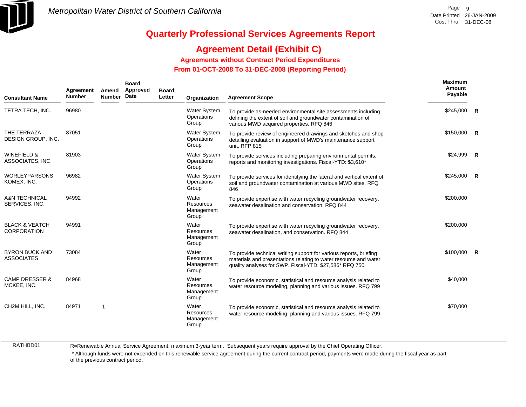

## **Agreement Detail (Exhibit C)**

**Agreements without Contract Period Expenditures**

 **From 01-OCT-2008 To 31-DEC-2008 (Reporting Period)** 

| <b>Consultant Name</b>                          | Agreement<br><b>Number</b> | Amend<br><b>Number</b> | <b>Board</b><br>Approved<br>Date | <b>Board</b><br>Letter | Organization                               | <b>Agreement Scope</b>                                                                                                                                                                            | Maximum<br>Amount<br>Payable |                |
|-------------------------------------------------|----------------------------|------------------------|----------------------------------|------------------------|--------------------------------------------|---------------------------------------------------------------------------------------------------------------------------------------------------------------------------------------------------|------------------------------|----------------|
| TETRA TECH, INC.                                | 96980                      |                        |                                  |                        | <b>Water System</b><br>Operations<br>Group | To provide as-needed environmental site assessments including<br>defining the extent of soil and groundwater contamination of<br>various MWD acquired properties. RFQ 846                         | \$245,000                    | $\overline{R}$ |
| THE TERRAZA<br>DESIGN GROUP, INC.               | 87051                      |                        |                                  |                        | <b>Water System</b><br>Operations<br>Group | To provide review of engineered drawings and sketches and shop<br>detailing evaluation in support of MWD's maintenance support<br>unit. RFP 815                                                   | \$150,000                    | $\overline{R}$ |
| <b>WINEFIELD &amp;</b><br>ASSOCIATES, INC.      | 81903                      |                        |                                  |                        | Water System<br>Operations<br>Group        | To provide services including preparing environmental permits,<br>reports and monitoring investigations. Fiscal-YTD: \$3,610*                                                                     | \$24.999                     | R              |
| <b>WORLEYPARSONS</b><br>KOMEX, INC.             | 96982                      |                        |                                  |                        | <b>Water System</b><br>Operations<br>Group | To provide services for identifying the lateral and vertical extent of<br>soil and groundwater contamination at various MWD sites. RFQ<br>846                                                     | \$245,000                    | $\overline{R}$ |
| <b>A&amp;N TECHNICAL</b><br>SERVICES, INC.      | 94992                      |                        |                                  |                        | Water<br>Resources<br>Management<br>Group  | To provide expertise with water recycling groundwater recovery,<br>seawater desalination and conservation. RFQ 844                                                                                | \$200,000                    |                |
| <b>BLACK &amp; VEATCH</b><br><b>CORPORATION</b> | 94991                      |                        |                                  |                        | Water<br>Resources<br>Management<br>Group  | To provide expertise with water recycling groundwater recovery,<br>seawater desalination, and conservation. RFQ 844                                                                               | \$200,000                    |                |
| <b>BYRON BUCK AND</b><br><b>ASSOCIATES</b>      | 73084                      |                        |                                  |                        | Water<br>Resources<br>Management<br>Group  | To provide technical writing support for various reports, briefing<br>materials and presentations relating to water resource and water<br>quality analyses for SWP. Fiscal-YTD: \$27,586* RFQ 750 | $$100,000$ R                 |                |
| <b>CAMP DRESSER &amp;</b><br>MCKEE, INC.        | 84968                      |                        |                                  |                        | Water<br>Resources<br>Management<br>Group  | To provide economic, statistical and resource analysis related to<br>water resource modeling, planning and various issues. RFQ 799                                                                | \$40,000                     |                |
| CH2M HILL, INC.                                 | 84971                      | 1                      |                                  |                        | Water<br>Resources<br>Management<br>Group  | To provide economic, statistical and resource analysis related to<br>water resource modeling, planning and various issues. RFQ 799                                                                | \$70,000                     |                |

RATHBD01

R=Renewable Annual Service Agreement, maximum 3-year term. Subsequent years require approval by the Chief Operating Officer.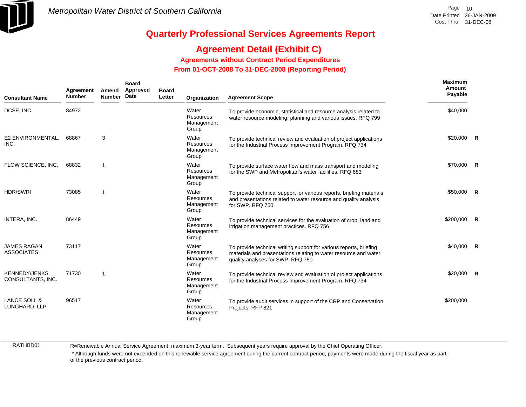

### **Agreement Detail (Exhibit C)**

**Agreements without Contract Period Expenditures**

 **From 01-OCT-2008 To 31-DEC-2008 (Reporting Period)** 

| <b>Consultant Name</b>                    | Agreement<br><b>Number</b> | Amend<br><b>Number</b> | <b>Board</b><br>Approved<br>Date | <b>Board</b><br>Letter | Organization                                     | <b>Agreement Scope</b>                                                                                                                                                      | Maximum<br>Amount<br>Payable |                |
|-------------------------------------------|----------------------------|------------------------|----------------------------------|------------------------|--------------------------------------------------|-----------------------------------------------------------------------------------------------------------------------------------------------------------------------------|------------------------------|----------------|
| DCSE, INC.                                | 84972                      |                        |                                  |                        | Water<br><b>Resources</b><br>Management<br>Group | To provide economic, statistical and resource analysis related to<br>water resource modeling, planning and various issues. RFQ 799                                          | \$40,000                     |                |
| E2 ENVIRONMENTAL,<br>INC.                 | 68867                      | 3                      |                                  |                        | Water<br>Resources<br>Management<br>Group        | To provide technical review and evaluation of project applications<br>for the Industrial Process Improvement Program. RFQ 734                                               | $$20,000$ R                  |                |
| FLOW SCIENCE, INC.                        | 68832                      | $\mathbf{1}$           |                                  |                        | Water<br><b>Resources</b><br>Management<br>Group | To provide surface water flow and mass transport and modeling<br>for the SWP and Metropolitan's water facilities. RFQ 683                                                   | \$70,000 R                   |                |
| <b>HDR/SWRI</b>                           | 73085                      | $\mathbf 1$            |                                  |                        | Water<br>Resources<br>Management<br>Group        | To provide technical support for various reports, briefing materials<br>and presentations related to water resource and quality analysis<br>for SWP. RFQ 750                | \$50,000                     | $\overline{R}$ |
| INTERA, INC.                              | 86449                      |                        |                                  |                        | Water<br>Resources<br>Management<br>Group        | To provide technical services for the evaluation of crop, land and<br>irrigation management practices. RFQ 756                                                              | \$200,000                    | $\mathbf{R}$   |
| <b>JAMES RAGAN</b><br><b>ASSOCIATES</b>   | 73117                      |                        |                                  |                        | Water<br><b>Resources</b><br>Management<br>Group | To provide technical writing support for various reports, briefing<br>materials and presentations relating to water resource and water<br>quality analyses for SWP. RFQ 750 | \$40,000 R                   |                |
| <b>KENNEDY/JENKS</b><br>CONSULTANTS, INC. | 71730                      | 1                      |                                  |                        | Water<br><b>Resources</b><br>Management<br>Group | To provide technical review and evaluation of project applications<br>for the Industrial Process Improvement Program. RFQ 734                                               | $$20,000$ R                  |                |
| LANCE SOLL &<br>LUNGHARD, LLP             | 96517                      |                        |                                  |                        | Water<br><b>Resources</b><br>Management<br>Group | To provide audit services in support of the CRP and Conservation<br>Projects. RFP 821                                                                                       | \$200,000                    |                |

RATHBD01

R=Renewable Annual Service Agreement, maximum 3-year term. Subsequent years require approval by the Chief Operating Officer.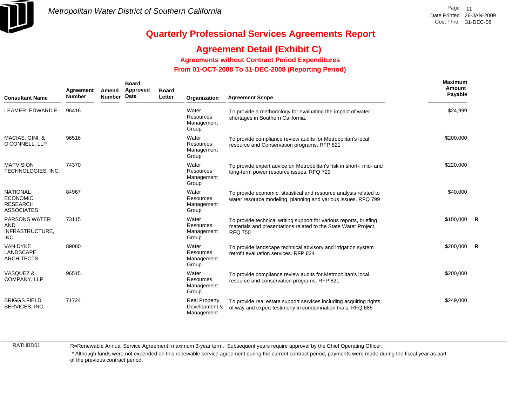

## **Agreement Detail (Exhibit C)**

**Agreements without Contract Period Expenditures**

 **From 01-OCT-2008 To 31-DEC-2008 (Reporting Period)** 

| <b>Consultant Name</b>                                                     | Agreement<br><b>Number</b> | Amend<br><b>Number</b> | <b>Board</b><br>Approved<br>Date | <b>Board</b><br>Letter | Organization                                        | <b>Agreement Scope</b>                                                                                                                                  | <b>Maximum</b><br>Amount<br>Payable |  |
|----------------------------------------------------------------------------|----------------------------|------------------------|----------------------------------|------------------------|-----------------------------------------------------|---------------------------------------------------------------------------------------------------------------------------------------------------------|-------------------------------------|--|
| LEAMER, EDWARD E.                                                          | 96416                      |                        |                                  |                        | Water<br><b>Resources</b><br>Management<br>Group    | To provide a methodology for evaluating the impact of water<br>shortages in Southern California.                                                        | \$24,999                            |  |
| MACIAS, GINI, &<br>O'CONNELL, LLP                                          | 96516                      |                        |                                  |                        | Water<br>Resources<br>Management<br>Group           | To provide compliance review audits for Metropolitan's local<br>resource and Conservation programs. RFP 821                                             | \$200,000                           |  |
| <b>MAPVISION</b><br>TECHNOLOGIES, INC.                                     | 74370                      |                        |                                  |                        | Water<br>Resources<br>Management<br>Group           | To provide expert advice on Metropolitan's risk in short-, mid- and<br>long-term power resource issues. RFQ 729                                         | \$220,000                           |  |
| <b>NATIONAL</b><br><b>ECONOMIC</b><br><b>RESEARCH</b><br><b>ASSOCIATES</b> | 84967                      |                        |                                  |                        | Water<br><b>Resources</b><br>Management<br>Group    | To provide economic, statistical and resource analysis related to<br>water resource modeling, planning and various issues. RFQ 799                      | \$40,000                            |  |
| <b>PARSONS WATER</b><br>AND<br>INFRASTRUCTURE,<br>INC.                     | 73115                      |                        |                                  |                        | Water<br>Resources<br>Management<br>Group           | To provide technical writing support for various reports, briefing<br>materials and presentations related to the State Water Project.<br><b>RFQ 750</b> | $$100,000$ R                        |  |
| VAN DYKE<br>LANDSCAPE<br><b>ARCHITECTS</b>                                 | 89080                      |                        |                                  |                        | Water<br>Resources<br>Management<br>Group           | To provide landscape technical advisory and irrigation system<br>retrofit evaluation services. RFP 824                                                  | $$200,000$ R                        |  |
| VASQUEZ &<br>COMPANY, LLP                                                  | 96515                      |                        |                                  |                        | Water<br>Resources<br>Management<br>Group           | To provide compliance review audits for Metropolitan's local<br>resource and conservation programs. RFP 821                                             | \$200,000                           |  |
| <b>BRIGGS FIELD</b><br>SERVICES, INC.                                      | 71724                      |                        |                                  |                        | <b>Real Property</b><br>Development &<br>Management | To provide real estate support services including acquiring rights<br>of way and expert testimony in condemnation trials. RFQ 685                       | \$249,000                           |  |

RATHBD01

R=Renewable Annual Service Agreement, maximum 3-year term. Subsequent years require approval by the Chief Operating Officer.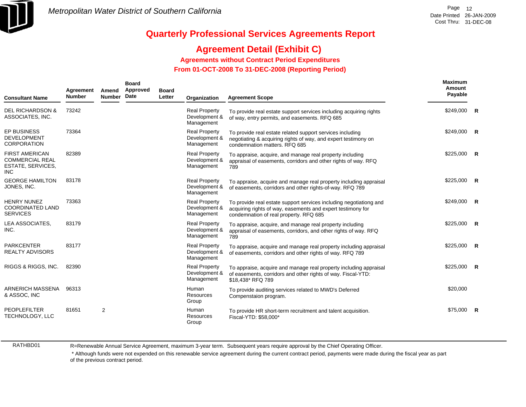

## **Agreement Detail (Exhibit C)**

**Agreements without Contract Period Expenditures**

 **From 01-OCT-2008 To 31-DEC-2008 (Reporting Period)** 

| <b>Consultant Name</b>                                                             | Agreement<br><b>Number</b> | Amend<br><b>Number</b> | <b>Board</b><br>Approved<br>Date | <b>Board</b><br>Letter | Organization                                        | <b>Agreement Scope</b>                                                                                                                                                      | Maximum<br>Amount<br>Payable |                |
|------------------------------------------------------------------------------------|----------------------------|------------------------|----------------------------------|------------------------|-----------------------------------------------------|-----------------------------------------------------------------------------------------------------------------------------------------------------------------------------|------------------------------|----------------|
| <b>DEL RICHARDSON &amp;</b><br>ASSOCIATES, INC.                                    | 73242                      |                        |                                  |                        | <b>Real Property</b><br>Development &<br>Management | To provide real estate support services including acquiring rights<br>of way, entry permits, and easements. RFQ 685                                                         | $$249,000$ R                 |                |
| <b>EP BUSINESS</b><br><b>DEVELOPMENT</b><br><b>CORPORATION</b>                     | 73364                      |                        |                                  |                        | <b>Real Property</b><br>Development &<br>Management | To provide real estate related support services including<br>negotiating & acquiring rights of way, and expert testimony on<br>condemnation matters. RFQ 685                | \$249,000                    | $\overline{R}$ |
| <b>FIRST AMERICAN</b><br><b>COMMERCIAL REAL</b><br>ESTATE, SERVICES,<br><b>INC</b> | 82389                      |                        |                                  |                        | <b>Real Property</b><br>Development &<br>Management | To appraise, acquire, and manage real property including<br>appraisal of easements, corridors and other rights of way. RFQ<br>789                                           | \$225,000                    | R              |
| <b>GEORGE HAMILTON</b><br>JONES, INC.                                              | 83178                      |                        |                                  |                        | <b>Real Property</b><br>Development &<br>Management | To appraise, acquire and manage real property including appraisal<br>of easements, corridors and other rights-of-way. RFQ 789                                               | \$225,000                    | $\mathsf{R}$   |
| <b>HENRY NUNEZ</b><br><b>COORDINATED LAND</b><br><b>SERVICES</b>                   | 73363                      |                        |                                  |                        | <b>Real Property</b><br>Development &<br>Management | To provide real estate support services including negotiationg and<br>acquiring rights of way, easements and expert testimony for<br>condemnation of real property. RFQ 685 | \$249,000                    | R              |
| LEA ASSOCIATES,<br>INC.                                                            | 83179                      |                        |                                  |                        | <b>Real Property</b><br>Development &<br>Management | To appraise, acquire, and manage real property including<br>appraisal of easements, corridors, and other rights of way. RFQ<br>789                                          | \$225,000                    | $\mathbf R$    |
| <b>PARKCENTER</b><br><b>REALTY ADVISORS</b>                                        | 83177                      |                        |                                  |                        | <b>Real Property</b><br>Development &<br>Management | To appraise, acquire and manage real property including appraisal<br>of easements, corridors and other rights of way. RFQ 789                                               | \$225,000                    | R              |
| RIGGS & RIGGS, INC.                                                                | 82390                      |                        |                                  |                        | <b>Real Property</b><br>Development &<br>Management | To appraise, acquire and manage real property including appraisal<br>of easements, corridors and other rights of way. Fiscal-YTD:<br>\$18.438* RFQ 789                      | \$225,000                    | $\overline{R}$ |
| ARNERICH MASSENA<br>& ASSOC, INC                                                   | 96313                      |                        |                                  |                        | Human<br>Resources<br>Group                         | To provide auditing services related to MWD's Deferred<br>Compenstaion program.                                                                                             | \$20,000                     |                |
| <b>PEOPLEFILTER</b><br>TECHNOLOGY, LLC                                             | 81651                      | $\overline{2}$         |                                  |                        | Human<br>Resources<br>Group                         | To provide HR short-term recruitment and talent acquisition.<br>Fiscal-YTD: \$58,000*                                                                                       | \$75,000                     | R              |

RATHBD01

R=Renewable Annual Service Agreement, maximum 3-year term. Subsequent years require approval by the Chief Operating Officer.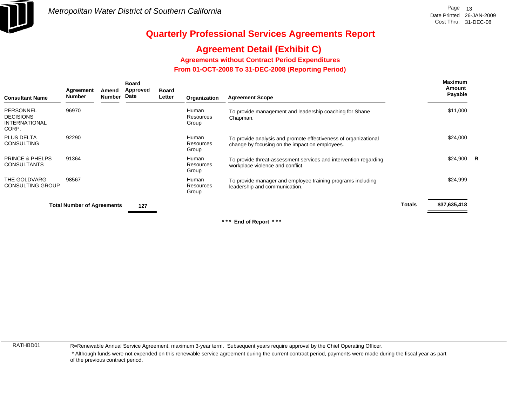

# **Agreement Detail (Exhibit C)**

**Agreements without Contract Period Expenditures**

 **From 01-OCT-2008 To 31-DEC-2008 (Reporting Period)** 

| <b>Consultant Name</b>                                  | Agreement<br><b>Number</b>        | Amend<br>Number | <b>Board</b><br><b>Approved</b><br>Date | Board<br>Letter | Organization                | <b>Agreement Scope</b>                                                                                            |        | <b>Maximum</b><br>Amount<br>Payable |  |
|---------------------------------------------------------|-----------------------------------|-----------------|-----------------------------------------|-----------------|-----------------------------|-------------------------------------------------------------------------------------------------------------------|--------|-------------------------------------|--|
| PERSONNEL<br><b>DECISIONS</b><br>INTERNATIONAL<br>CORP. | 96970                             |                 |                                         |                 | Human<br>Resources<br>Group | To provide management and leadership coaching for Shane<br>Chapman.                                               |        | \$11,000                            |  |
| PLUS DELTA<br>CONSULTING                                | 92290                             |                 |                                         |                 | Human<br>Resources<br>Group | To provide analysis and promote effectiveness of organizational<br>change by focusing on the impact on employees. |        | \$24,000                            |  |
| PRINCE & PHELPS<br>CONSULTANTS                          | 91364                             |                 |                                         |                 | Human<br>Resources<br>Group | To provide threat-assessment services and intervention regarding<br>workplace violence and conflict.              |        | $$24,900$ R                         |  |
| THE GOLDVARG<br>CONSULTING GROUP                        | 98567                             |                 |                                         |                 | Human<br>Resources<br>Group | To provide manager and employee training programs including<br>leadership and communication.                      |        | \$24,999                            |  |
|                                                         | <b>Total Number of Agreements</b> |                 | 127                                     |                 |                             |                                                                                                                   | Totals | \$37,635,418                        |  |
|                                                         |                                   |                 |                                         |                 |                             |                                                                                                                   |        |                                     |  |

**\* \* \* End of Report \* \* \***

RATHBD01

R=Renewable Annual Service Agreement, maximum 3-year term. Subsequent years require approval by the Chief Operating Officer.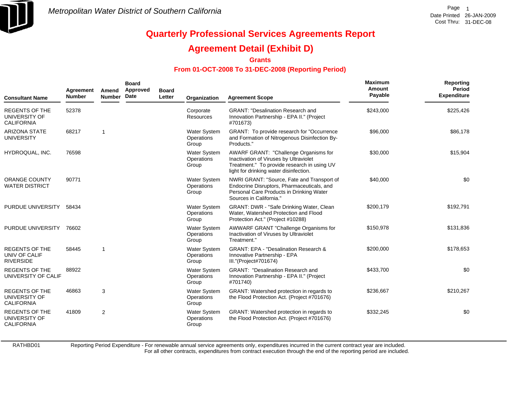

### **Agreement Detail (Exhibit D)**

**Grants**

#### **From 01-OCT-2008 To 31-DEC-2008 (Reporting Period)**

| <b>Consultant Name</b>                                      | Agreement<br><b>Number</b> | Amend<br><b>Number</b> | <b>Board</b><br>Approved<br>Date | <b>Board</b><br>Letter | Organization                               | <b>Agreement Scope</b>                                                                                                                                                   | <b>Maximum</b><br>Amount<br>Payable | Reporting<br>Period<br><b>Expenditure</b> |
|-------------------------------------------------------------|----------------------------|------------------------|----------------------------------|------------------------|--------------------------------------------|--------------------------------------------------------------------------------------------------------------------------------------------------------------------------|-------------------------------------|-------------------------------------------|
| <b>REGENTS OF THE</b><br>UNIVERSITY OF<br><b>CALIFORNIA</b> | 52378                      |                        |                                  |                        | Corporate<br>Resources                     | <b>GRANT: "Desalination Research and</b><br>Innovation Partnership - EPA II." (Project<br>#701673)                                                                       | \$243,000                           | \$225,426                                 |
| <b>ARIZONA STATE</b><br>UNIVERSITY                          | 68217                      | 1                      |                                  |                        | Water System<br>Operations<br>Group        | GRANT: To provide research for "Occurrence"<br>and Formation of Nitrogenous Disinfection By-<br>Products."                                                               | \$96,000                            | \$86,178                                  |
| HYDROQUAL, INC.                                             | 76598                      |                        |                                  |                        | Water System<br>Operations<br>Group        | AWARF GRANT: "Challenge Organisms for<br>Inactivation of Viruses by Ultraviolet<br>Treatment." To provide research in using UV<br>light for drinking water disinfection. | \$30,000                            | \$15,904                                  |
| <b>ORANGE COUNTY</b><br><b>WATER DISTRICT</b>               | 90771                      |                        |                                  |                        | Water System<br>Operations<br>Group        | NWRI GRANT: "Source, Fate and Transport of<br>Endocrine Disruptors, Pharmaceuticals, and<br>Personal Care Products in Drinking Water<br>Sources in California."          | \$40,000                            | \$0                                       |
| PURDUE UNIVERSITY                                           | 58434                      |                        |                                  |                        | <b>Water System</b><br>Operations<br>Group | GRANT: DWR - "Safe Drinking Water, Clean<br>Water, Watershed Protection and Flood<br>Protection Act." (Project #10288)                                                   | \$200,179                           | \$192,791                                 |
| PURDUE UNIVERSITY                                           | 76602                      |                        |                                  |                        | <b>Water System</b><br>Operations<br>Group | AWWARF GRANT "Challenge Organisms for<br>Inactivation of Viruses by Ultraviolet<br>Treatment."                                                                           | \$150,978                           | \$131,836                                 |
| <b>REGENTS OF THE</b><br>UNIV OF CALIF<br><b>RIVERSIDE</b>  | 58445                      | $\mathbf 1$            |                                  |                        | Water System<br>Operations<br>Group        | <b>GRANT: EPA - "Desalination Research &amp;</b><br>Innovative Partnership - EPA<br>III."(Project#701674)                                                                | \$200,000                           | \$178,653                                 |
| <b>REGENTS OF THE</b><br>UNIVERSITY OF CALIF                | 88922                      |                        |                                  |                        | <b>Water System</b><br>Operations<br>Group | <b>GRANT: "Desalination Research and</b><br>Innovation Partnership - EPA II." (Project<br>#701740)                                                                       | \$433,700                           | \$0                                       |
| REGENTS OF THE<br>UNIVERSITY OF<br><b>CALIFORNIA</b>        | 46863                      | 3                      |                                  |                        | <b>Water System</b><br>Operations<br>Group | GRANT: Watershed protection in regards to<br>the Flood Protection Act. (Project #701676)                                                                                 | \$236,667                           | \$210,267                                 |
| <b>REGENTS OF THE</b><br>UNIVERSITY OF<br><b>CALIFORNIA</b> | 41809                      | $\overline{2}$         |                                  |                        | <b>Water System</b><br>Operations<br>Group | GRANT: Watershed protection in regards to<br>the Flood Protection Act. (Project #701676)                                                                                 | \$332,245                           | \$0                                       |

RATHBD01

Reporting Period Expenditure - For renewable annual service agreements only, expenditures incurred in the current contract year are included.

For all other contracts, expenditures from contract execution through the end of the reporting period are included.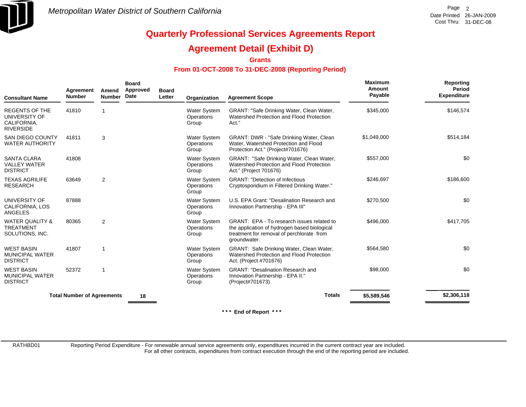

### **Agreement Detail (Exhibit D)**

**Grants**

#### **From 01-OCT-2008 To 31-DEC-2008 (Reporting Period)**

| <b>Consultant Name</b>                                                    | Agreement<br><b>Number</b>        | Amend<br><b>Number</b> | <b>Board</b><br>Approved<br>Date | <b>Board</b><br>Letter | Organization                               | <b>Agreement Scope</b>                                                                                                                                  | Maximum<br>Amount<br>Payable | Reporting<br><b>Period</b><br><b>Expenditure</b> |
|---------------------------------------------------------------------------|-----------------------------------|------------------------|----------------------------------|------------------------|--------------------------------------------|---------------------------------------------------------------------------------------------------------------------------------------------------------|------------------------------|--------------------------------------------------|
| <b>REGENTS OF THE</b><br>UNIVERSITY OF<br>CALIFORNIA,<br><b>RIVERSIDE</b> | 41810                             |                        |                                  |                        | Water System<br>Operations<br>Group        | GRANT: "Safe Drinking Water, Clean Water,<br>Watershed Protection and Flood Protection<br>Act."                                                         | \$345,000                    | \$146,574                                        |
| <b>SAN DIEGO COUNTY</b><br><b>WATER AUTHORITY</b>                         | 41811                             | 3                      |                                  |                        | Water System<br>Operations<br>Group        | GRANT: DWR - "Safe Drinking Water, Clean<br>Water, Watershed Protection and Flood<br>Protection Act." (Project#701676)                                  | \$1,049,000                  | \$514,184                                        |
| <b>SANTA CLARA</b><br><b>VALLEY WATER</b><br><b>DISTRICT</b>              | 41808                             |                        |                                  |                        | <b>Water System</b><br>Operations<br>Group | GRANT: "Safe Drinking Water, Clean Water,<br>Watershed Protection and Flood Protection<br>Act." (Project 701676)                                        | \$557,000                    | \$0                                              |
| <b>TEXAS AGRILIFE</b><br><b>RESEARCH</b>                                  | 63649                             | 2                      |                                  |                        | <b>Water System</b><br>Operations<br>Group | <b>GRANT: "Detection of Infectious</b><br>Cryptosporidium in Filtered Drinking Water."                                                                  | \$246,697                    | \$186,600                                        |
| UNIVERSITY OF<br>CALIFORNIA, LOS<br><b>ANGELES</b>                        | 87888                             |                        |                                  |                        | <b>Water System</b><br>Operations<br>Group | U.S. EPA Grant: "Desalination Research and<br>Innovation Partnership - EPA III"                                                                         | \$270,500                    | \$0                                              |
| <b>WATER QUALITY &amp;</b><br><b>TREATMENT</b><br>SOLUTIONS, INC.         | 80365                             | $\overline{2}$         |                                  |                        | Water System<br>Operations<br>Group        | GRANT: EPA - To research issues related to<br>the application of hydrogen based biological<br>treatment for removal of perchlorate from<br>groundwater. | \$496.000                    | \$417,705                                        |
| <b>WEST BASIN</b><br><b>MUNICIPAL WATER</b><br><b>DISTRICT</b>            | 41807                             |                        |                                  |                        | <b>Water System</b><br>Operations<br>Group | GRANT: Safe Drinking Water, Clean Water,<br>Watershed Protection and Flood Protection<br>Act. (Project #701676)                                         | \$564,580                    | \$0                                              |
| <b>WEST BASIN</b><br><b>MUNICIPAL WATER</b><br><b>DISTRICT</b>            | 52372                             | 1                      |                                  |                        | <b>Water System</b><br>Operations<br>Group | <b>GRANT: "Desalination Research and</b><br>Innovation Partnership - EPA II."<br>(Project#701673)                                                       | \$98,000                     | \$0                                              |
|                                                                           | <b>Total Number of Agreements</b> |                        | 18                               |                        |                                            | <b>Totals</b>                                                                                                                                           | \$5,589,546                  | \$2,306,118                                      |
|                                                                           |                                   |                        |                                  |                        |                                            |                                                                                                                                                         |                              |                                                  |

**\* \* \* End of Report \* \* \***

RATHBD01

Reporting Period Expenditure - For renewable annual service agreements only, expenditures incurred in the current contract year are included.

For all other contracts, expenditures from contract execution through the end of the reporting period are included.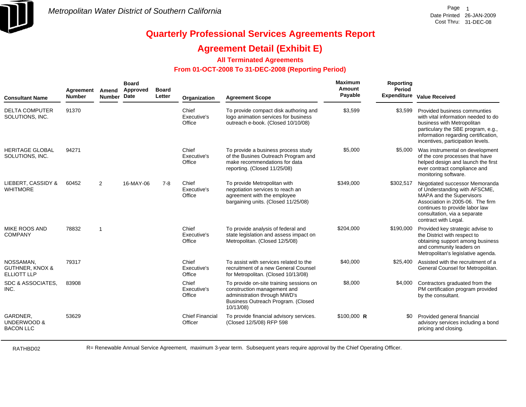

### **Agreement Detail (Exhibit E)**

#### **All Terminated Agreements**

#### **From 01-OCT-2008 To 31-DEC-2008 (Reporting Period)**

| <b>Consultant Name</b>                                        | Agreement<br><b>Number</b> | Amend<br><b>Number</b> | <b>Board</b><br>Approved<br>Date | <b>Board</b><br>Letter | Organization                      | <b>Agreement Scope</b>                                                                                                                                    | Maximum<br>Amount<br>Payable | Reporting<br>Period<br><b>Expenditure</b> | <b>Value Received</b>                                                                                                                                                                                                     |
|---------------------------------------------------------------|----------------------------|------------------------|----------------------------------|------------------------|-----------------------------------|-----------------------------------------------------------------------------------------------------------------------------------------------------------|------------------------------|-------------------------------------------|---------------------------------------------------------------------------------------------------------------------------------------------------------------------------------------------------------------------------|
| <b>DELTA COMPUTER</b><br>SOLUTIONS, INC.                      | 91370                      |                        |                                  |                        | Chief<br>Executive's<br>Office    | To provide compact disk authoring and<br>logo animation services for business<br>outreach e-book. (Closed 10/10/08)                                       | \$3,599                      | \$3,599                                   | Provided business communties<br>with vital information needed to do<br>business with Metropolitan<br>particulary the SBE program, e.g.,<br>information regarding certification,<br>incentives, participation levels.      |
| <b>HERITAGE GLOBAL</b><br>SOLUTIONS, INC.                     | 94271                      |                        |                                  |                        | Chief<br>Executive's<br>Office    | To provide a business process study<br>of the Busines Outreach Program and<br>make recommendations for data<br>reporting. (Closed 11/25/08)               | \$5,000                      | \$5,000                                   | Was instrumental on development<br>of the core processes that have<br>helped design and launch the first<br>ever contract compliance and<br>monitoring software.                                                          |
| LIEBERT, CASSIDY &<br><b>WHITMORE</b>                         | 60452                      | $\overline{2}$         | 16-MAY-06                        | $7 - 8$                | Chief<br>Executive's<br>Office    | To provide Metropolitan with<br>negotiation services to reach an<br>agreement with the employee<br>bargaining units. (Closed 11/25/08)                    | \$349,000                    | \$302,517                                 | Negotiated successor Memoranda<br>of Understanding with AFSCME,<br>MAPA and the Supervisors<br>Association in 2005-06. The firm<br>continues to provide labor law<br>consultation, via a separate<br>contract with Legal. |
| MIKE ROOS AND<br><b>COMPANY</b>                               | 78832                      | $\overline{1}$         |                                  |                        | Chief<br>Executive's<br>Office    | To provide analysis of federal and<br>state legislation and assess impact on<br>Metropolitan. (Closed 12/5/08)                                            | \$204,000                    | \$190,000                                 | Provided key strategic advise to<br>the District with respect to<br>obtaining support among business<br>and community leaders on<br>Metropolitan's legislative agenda.                                                    |
| NOSSAMAN,<br><b>GUTHNER, KNOX &amp;</b><br><b>ELLIOTT LLP</b> | 79317                      |                        |                                  |                        | Chief<br>Executive's<br>Office    | To assist with services related to the<br>recruitment of a new General Counsel<br>for Metropolitan. (Closed 10/13/08)                                     | \$40,000                     | \$25,400                                  | Assisted with the recruitment of a<br>General Counsel for Metropolitan.                                                                                                                                                   |
| SDC & ASSOCIATES,<br>INC.                                     | 83908                      |                        |                                  |                        | Chief<br>Executive's<br>Office    | To provide on-site training sessions on<br>construction management and<br>administration through MWD's<br>Business Outreach Program. (Closed<br>10/13/08) | \$8,000                      |                                           | \$4,000 Contractors graduated from the<br>PM certification program provided<br>by the consultant.                                                                                                                         |
| GARDNER,<br>UNDERWOOD &<br><b>BACON LLC</b>                   | 53629                      |                        |                                  |                        | <b>Chief Financial</b><br>Officer | To provide financial advisory services.<br>(Closed 12/5/08) RFP 598                                                                                       | \$100,000 R                  | \$0                                       | Provided general financial<br>advisory services including a bond<br>pricing and closing.                                                                                                                                  |

RATHBD02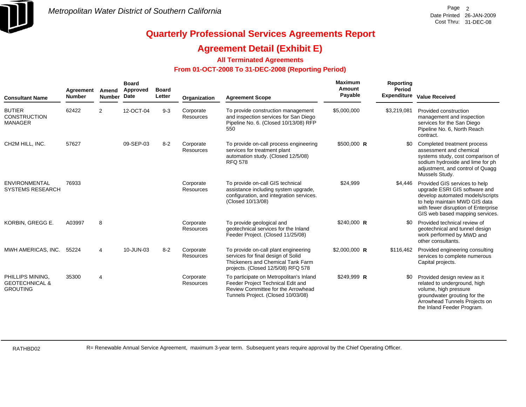

### **Agreement Detail (Exhibit E)**

#### **All Terminated Agreements**

#### **From 01-OCT-2008 To 31-DEC-2008 (Reporting Period)**

| <b>Consultant Name</b>                                           | Agreement<br><b>Number</b> | Amend<br><b>Number</b> | <b>Board</b><br>Approved<br>Date | <b>Board</b><br>Letter | Organization                  | <b>Agreement Scope</b>                                                                                                                                   | Maximum<br><b>Amount</b><br>Payable | Reporting<br>Period | Expenditure Value Received                                                                                                                                                                                    |
|------------------------------------------------------------------|----------------------------|------------------------|----------------------------------|------------------------|-------------------------------|----------------------------------------------------------------------------------------------------------------------------------------------------------|-------------------------------------|---------------------|---------------------------------------------------------------------------------------------------------------------------------------------------------------------------------------------------------------|
| <b>BUTIER</b><br><b>CONSTRUCTION</b><br><b>MANAGER</b>           | 62422                      | $\overline{2}$         | 12-OCT-04                        | $9 - 3$                | Corporate<br><b>Resources</b> | To provide construction management<br>and inspection services for San Diego<br>Pipeline No. 6. (Closed 10/13/08) RFP<br>550                              | \$5,000,000                         | \$3,219,081         | Provided construction<br>management and inspection<br>services for the San Diego<br>Pipeline No. 6, North Reach<br>contract.                                                                                  |
| CH2M HILL, INC.                                                  | 57627                      |                        | 09-SEP-03                        | $8 - 2$                | Corporate<br>Resources        | To provide on-call process engineering<br>services for treatment plant<br>automation study. (Closed 12/5/08)<br><b>RFQ 578</b>                           | $$500,000$ R                        | \$0                 | Completed treatment process<br>assessment and chemical<br>systems study, cost comparison of<br>sodium hydroxide and lime for ph<br>adjustment, and control of Quagg<br>Mussels Study.                         |
| <b>ENVIRONMENTAL</b><br><b>SYSTEMS RESEARCH</b>                  | 76933                      |                        |                                  |                        | Corporate<br>Resources        | To provide on-call GIS technical<br>assistance including system upgrade,<br>configuration, and integration services.<br>(Closed 10/13/08)                | \$24,999                            | \$4,446             | Provided GIS services to help<br>upgrade ESRI GIS software and<br>develop automated models/scripts<br>to help maintain MWD GIS data<br>with fewer disruption of Enterprise<br>GIS web based mapping services. |
| KORBIN, GREGG E.                                                 | A03997                     | 8                      |                                  |                        | Corporate<br><b>Resources</b> | To provide geological and<br>geotechnical services for the Inland<br>Feeder Project. (Closed 11/25/08)                                                   | $$240,000$ R                        | \$0                 | Provided technical review of<br>geotechnical and tunnel design<br>work performed by MWD and<br>other consultants.                                                                                             |
| MWH AMERICAS, INC.                                               | 55224                      | 4                      | 10-JUN-03                        | $8 - 2$                | Corporate<br>Resources        | To provide on-call plant engineering<br>services for final design of Solid<br>Thickeners and Chemical Tank Farm<br>projects. (Closed 12/5/08) RFQ 578    | \$2,000,000 R                       | \$116,462           | Provided engineering consulting<br>services to complete numerous<br>Capital projects.                                                                                                                         |
| PHILLIPS MINING.<br><b>GEOTECHNICAL &amp;</b><br><b>GROUTING</b> | 35300                      | $\overline{4}$         |                                  |                        | Corporate<br>Resources        | To participate on Metropolitan's Inland<br>Feeder Project Technical Edit and<br>Review Committee for the Arrowhead<br>Tunnels Project. (Closed 10/03/08) | $$249,999$ R                        | \$0                 | Provided design review as it<br>related to underground, high<br>volume, high pressure<br>groundwater grouting for the<br>Arrowhead Tunnels Projects on<br>the Inland Feeder Program.                          |

RATHBD02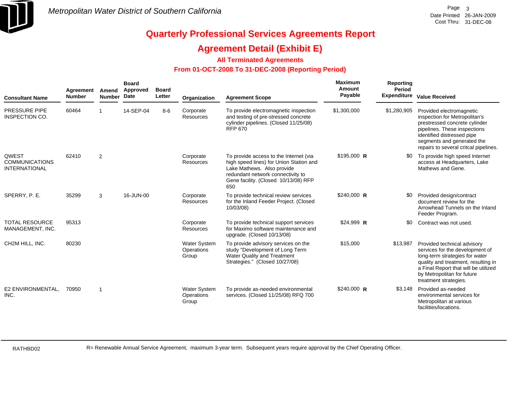

### **Agreement Detail (Exhibit E)**

#### **All Terminated Agreements**

#### **From 01-OCT-2008 To 31-DEC-2008 (Reporting Period)**

| <b>Consultant Name</b>                                        | Agreement<br><b>Number</b> | Amend<br>Number | <b>Board</b><br>Approved<br>Date | <b>Board</b><br>Letter | Organization                               | <b>Agreement Scope</b>                                                                                                                                                                              | <b>Maximum</b><br>Amount<br>Payable | Reporting<br>Period<br><b>Expenditure</b> | <b>Value Received</b>                                                                                                                                                                                                                  |
|---------------------------------------------------------------|----------------------------|-----------------|----------------------------------|------------------------|--------------------------------------------|-----------------------------------------------------------------------------------------------------------------------------------------------------------------------------------------------------|-------------------------------------|-------------------------------------------|----------------------------------------------------------------------------------------------------------------------------------------------------------------------------------------------------------------------------------------|
| <b>PRESSURE PIPE</b><br>INSPECTION CO.                        | 60464                      |                 | 14-SEP-04                        | $8-6$                  | Corporate<br><b>Resources</b>              | To provide electromagnetic inspection<br>and testing of pre-stressed concrete<br>cylinder pipelines. (Closed 11/25/08)<br>RFP 670                                                                   | \$1,300,000                         | \$1,280,905                               | Provided electromagnetic<br>inspection for Metropolitan's<br>prestressed concrete cylinder<br>pipelines. These inspections<br>identified distressed pipe<br>segments and generated the<br>repairs to several critcal pipelines.        |
| <b>QWEST</b><br><b>COMMUNICATIONS</b><br><b>INTERNATIONAL</b> | 62410                      | 2               |                                  |                        | Corporate<br>Resources                     | To provide access to the Internet (via<br>high speed lines) for Union Station and<br>Lake Mathews. Also provide<br>redundant network connectivity to<br>Gene facility. (Closed 10/13/08) RFP<br>650 | $$195,000$ R                        | \$0                                       | To provide high speed Internet<br>access at Headquarters, Lake<br>Mathews and Gene.                                                                                                                                                    |
| SPERRY, P. E.                                                 | 35299                      | 3               | 16-JUN-00                        |                        | Corporate<br><b>Resources</b>              | To provide technical review services<br>for the Inland Feeder Project. (Closed<br>10/03/08)                                                                                                         | $$240,000$ R                        | \$0                                       | Provided design/contract<br>document review for the<br>Arrowhead Tunnels on the Inland<br>Feeder Program.                                                                                                                              |
| <b>TOTAL RESOURCE</b><br>MANAGEMENT, INC.                     | 95313                      |                 |                                  |                        | Corporate<br><b>Resources</b>              | To provide technical support services<br>for Maximo software maintenance and<br>upgrade. (Closed 10/13/08)                                                                                          | $$24,999$ R                         | \$0                                       | Contract was not used.                                                                                                                                                                                                                 |
| CH2M HILL, INC.                                               | 80230                      |                 |                                  |                        | <b>Water System</b><br>Operations<br>Group | To provide advisory services on the<br>study "Development of Long Term<br>Water Quality and Treatment<br>Strategies." (Closed 10/27/08)                                                             | \$15,000                            | \$13,987                                  | Provided technical advisory<br>services for the development of<br>long-term strategies for water<br>quality and treatment, resulting in<br>a Final Report that will be utilized<br>by Metropolitan for future<br>treatment strategies. |
| E2 ENVIRONMENTAL.<br>INC.                                     | 70950                      | $\overline{1}$  |                                  |                        | <b>Water System</b><br>Operations<br>Group | To provide as-needed environmental<br>services. (Closed 11/25/08) RFQ 700                                                                                                                           | $$240,000$ R                        | \$3,148                                   | Provided as-needed<br>environmental services for<br>Metropolitan at various<br>facilities/locations.                                                                                                                                   |

RATHBD02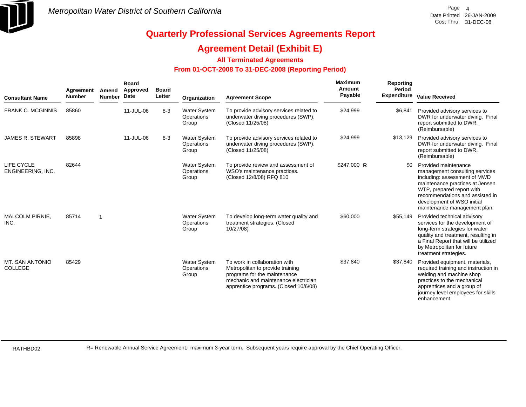

### **Agreement Detail (Exhibit E)**

**All Terminated Agreements**

#### **From 01-OCT-2008 To 31-DEC-2008 (Reporting Period)**

| <b>Consultant Name</b>            | Agreement<br><b>Number</b> | Amend<br><b>Number</b>  | <b>Board</b><br>Approved<br>Date | <b>Board</b><br>Letter | Organization                               | <b>Agreement Scope</b>                                                                                                                                                             | Maximum<br>Amount<br>Payable | Reporting<br><b>Period</b><br><b>Expenditure</b> | <b>Value Received</b>                                                                                                                                                                                                                                   |
|-----------------------------------|----------------------------|-------------------------|----------------------------------|------------------------|--------------------------------------------|------------------------------------------------------------------------------------------------------------------------------------------------------------------------------------|------------------------------|--------------------------------------------------|---------------------------------------------------------------------------------------------------------------------------------------------------------------------------------------------------------------------------------------------------------|
| <b>FRANK C. MCGINNIS</b>          | 85860                      |                         | 11-JUL-06                        | $8-3$                  | <b>Water System</b><br>Operations<br>Group | To provide advisory services related to<br>underwater diving procedures (SWP).<br>(Closed 11/25/08)                                                                                | \$24,999                     | \$6,841                                          | Provided advisory services to<br>DWR for underwater diving. Final<br>report submitted to DWR.<br>(Reimbursable)                                                                                                                                         |
| <b>JAMES R. STEWART</b>           | 85898                      |                         | 11-JUL-06                        | $8 - 3$                | <b>Water System</b><br>Operations<br>Group | To provide advisory services related to<br>underwater diving procedures (SWP).<br>(Closed 11/25/08)                                                                                | \$24,999                     | \$13,129                                         | Provided advisory services to<br>DWR for underwater diving. Final<br>report submitted to DWR.<br>(Reimbursable)                                                                                                                                         |
| LIFE CYCLE<br>ENGINEERING, INC.   | 82644                      |                         |                                  |                        | <b>Water System</b><br>Operations<br>Group | To provide review and assessment of<br>WSO's maintenance practices.<br>(Closed 12/8/08) RFQ 810                                                                                    | $$247,000$ R                 | \$0                                              | Provided maintenance<br>management consulting services<br>including: assessment of MWD<br>maintenance practices at Jensen<br>WTP, prepared report with<br>recommendations and assisted in<br>development of WSO initial<br>maintenance management plan. |
| MALCOLM PIRNIE,<br>INC.           | 85714                      | $\overline{\mathbf{1}}$ |                                  |                        | <b>Water System</b><br>Operations<br>Group | To develop long-term water quality and<br>treatment strategies. (Closed<br>10/27/08)                                                                                               | \$60,000                     | \$55,149                                         | Provided technical advisory<br>services for the development of<br>long-term strategies for water<br>quality and treatment, resulting in<br>a Final Report that will be utilized<br>by Metropolitan for future<br>treatment strategies.                  |
| MT. SAN ANTONIO<br><b>COLLEGE</b> | 85429                      |                         |                                  |                        | <b>Water System</b><br>Operations<br>Group | To work in collaboration with<br>Metropolitan to provide training<br>programs for the maintenance<br>mechanic and maintenance electrician<br>apprentice programs. (Closed 10/6/08) | \$37,840                     | \$37,840                                         | Provided equipment, materials,<br>required training and instruction in<br>welding and machine shop<br>practices to the mechanical<br>apprentices and a group of<br>journey level employees for skills<br>enhancement.                                   |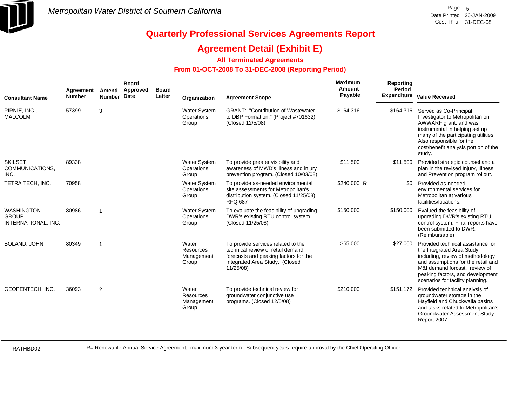

### **Agreement Detail (Exhibit E)**

#### **All Terminated Agreements**

#### **From 01-OCT-2008 To 31-DEC-2008 (Reporting Period)**

| <b>Consultant Name</b>                                   | Agreement<br><b>Number</b> | Amend<br><b>Number</b> | <b>Board</b><br>Approved<br>Date | <b>Board</b><br>Letter | Organization                               | <b>Agreement Scope</b>                                                                                                                                          | Maximum<br>Amount<br>Payable | Reporting<br><b>Period</b> | Expenditure Value Received                                                                                                                                                                                                                        |
|----------------------------------------------------------|----------------------------|------------------------|----------------------------------|------------------------|--------------------------------------------|-----------------------------------------------------------------------------------------------------------------------------------------------------------------|------------------------------|----------------------------|---------------------------------------------------------------------------------------------------------------------------------------------------------------------------------------------------------------------------------------------------|
| PIRNIE, INC.,<br><b>MALCOLM</b>                          | 57399                      | 3                      |                                  |                        | <b>Water System</b><br>Operations<br>Group | <b>GRANT: "Contribution of Wastewater</b><br>to DBP Formation." (Project #701632)<br>(Closed 12/5/08)                                                           | \$164,316                    | \$164,316                  | Served as Co-Principal<br>Investigator to Metropolitan on<br>AWWARF grant, and was<br>instrumental in helping set up<br>many of the participating utilities.<br>Also responsible for the<br>cost/benefit analysis portion of the<br>study.        |
| <b>SKILSET</b><br>COMMUNICATIONS,<br>INC.                | 89338                      |                        |                                  |                        | <b>Water System</b><br>Operations<br>Group | To provide greater visibility and<br>awareness of MWD's illness and injury<br>prevention program. (Closed 10/03/08)                                             | \$11,500                     | \$11,500                   | Provided strategic counsel and a<br>plan in the revised Injury, Illness<br>and Prevention program rollout.                                                                                                                                        |
| TETRA TECH, INC.                                         | 70958                      |                        |                                  |                        | Water System<br>Operations<br>Group        | To provide as-needed environmental<br>site assessments for Metropolitan's<br>distribution system. (Closed 11/25/08)<br><b>RFQ 687</b>                           | $$240,000$ R                 | \$0                        | Provided as-needed<br>environmental services for<br>Metropolitan at various<br>facilities/locations.                                                                                                                                              |
| <b>WASHINGTON</b><br><b>GROUP</b><br>INTERNATIONAL, INC. | 80986                      | -1                     |                                  |                        | <b>Water System</b><br>Operations<br>Group | To evaluate the feasibility of upgrading<br>DWR's existing RTU control system.<br>(Closed 11/25/08)                                                             | \$150,000                    | \$150,000                  | Evalued the feasibility of<br>upgrading DWR's existing RTU<br>control system. Final reports have<br>been submitted to DWR.<br>(Reimbursable)                                                                                                      |
| BOLAND, JOHN                                             | 80349                      | $\overline{1}$         |                                  |                        | Water<br>Resources<br>Management<br>Group  | To provide services related to the<br>technical review of retail demand<br>forecasts and peaking factors for the<br>Integrated Area Study. (Closed<br>11/25/08) | \$65,000                     | \$27,000                   | Provided technical assistance for<br>the Integrated Area Study<br>including, review of methodology<br>and assumptions for the retail and<br>M&I demand forcast, review of<br>peaking factors, and development<br>scenarios for facility planning. |
| GEOPENTECH, INC.                                         | 36093                      | 2                      |                                  |                        | Water<br>Resources<br>Management<br>Group  | To provide technical review for<br>groundwater conjunctive use<br>programs. (Closed 12/5/08)                                                                    | \$210,000                    | \$151,172                  | Provided technical analysis of<br>groundwater storage in the<br>Hayfield and Chuckwalla basins<br>and tasks related to Metropolitan's<br>Groundwater Assessment Study<br>Report 2007.                                                             |

RATHBD02